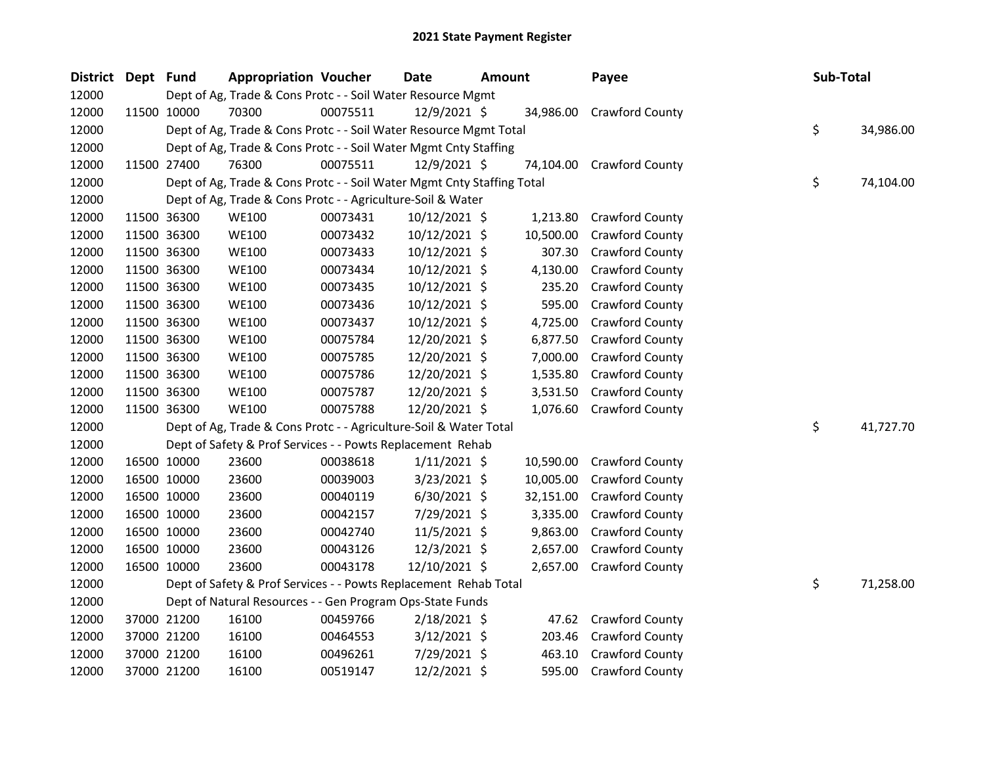| District | Dept Fund |             | <b>Appropriation Voucher</b>                                           |          | <b>Date</b>    | <b>Amount</b> |           | Payee                  | Sub-Total |    |           |
|----------|-----------|-------------|------------------------------------------------------------------------|----------|----------------|---------------|-----------|------------------------|-----------|----|-----------|
| 12000    |           |             | Dept of Ag, Trade & Cons Protc - - Soil Water Resource Mgmt            |          |                |               |           |                        |           |    |           |
| 12000    |           | 11500 10000 | 70300                                                                  | 00075511 | 12/9/2021 \$   |               | 34,986.00 | <b>Crawford County</b> |           |    |           |
| 12000    |           |             | Dept of Ag, Trade & Cons Protc - - Soil Water Resource Mgmt Total      |          |                |               |           |                        |           | \$ | 34,986.00 |
| 12000    |           |             | Dept of Ag, Trade & Cons Protc - - Soil Water Mgmt Cnty Staffing       |          |                |               |           |                        |           |    |           |
| 12000    |           | 11500 27400 | 76300                                                                  | 00075511 | 12/9/2021 \$   |               | 74,104.00 | <b>Crawford County</b> |           |    |           |
| 12000    |           |             | Dept of Ag, Trade & Cons Protc - - Soil Water Mgmt Cnty Staffing Total |          |                |               |           |                        |           | \$ | 74,104.00 |
| 12000    |           |             | Dept of Ag, Trade & Cons Protc - - Agriculture-Soil & Water            |          |                |               |           |                        |           |    |           |
| 12000    |           | 11500 36300 | <b>WE100</b>                                                           | 00073431 | 10/12/2021 \$  |               | 1,213.80  | <b>Crawford County</b> |           |    |           |
| 12000    |           | 11500 36300 | <b>WE100</b>                                                           | 00073432 | 10/12/2021 \$  |               | 10,500.00 | Crawford County        |           |    |           |
| 12000    |           | 11500 36300 | <b>WE100</b>                                                           | 00073433 | 10/12/2021 \$  |               | 307.30    | Crawford County        |           |    |           |
| 12000    |           | 11500 36300 | <b>WE100</b>                                                           | 00073434 | 10/12/2021 \$  |               | 4,130.00  | Crawford County        |           |    |           |
| 12000    |           | 11500 36300 | <b>WE100</b>                                                           | 00073435 | 10/12/2021 \$  |               | 235.20    | <b>Crawford County</b> |           |    |           |
| 12000    |           | 11500 36300 | <b>WE100</b>                                                           | 00073436 | 10/12/2021 \$  |               | 595.00    | <b>Crawford County</b> |           |    |           |
| 12000    |           | 11500 36300 | <b>WE100</b>                                                           | 00073437 | 10/12/2021 \$  |               | 4,725.00  | Crawford County        |           |    |           |
| 12000    |           | 11500 36300 | <b>WE100</b>                                                           | 00075784 | 12/20/2021 \$  |               | 6,877.50  | Crawford County        |           |    |           |
| 12000    |           | 11500 36300 | <b>WE100</b>                                                           | 00075785 | 12/20/2021 \$  |               | 7,000.00  | Crawford County        |           |    |           |
| 12000    |           | 11500 36300 | <b>WE100</b>                                                           | 00075786 | 12/20/2021 \$  |               | 1,535.80  | Crawford County        |           |    |           |
| 12000    |           | 11500 36300 | <b>WE100</b>                                                           | 00075787 | 12/20/2021 \$  |               | 3,531.50  | Crawford County        |           |    |           |
| 12000    |           | 11500 36300 | <b>WE100</b>                                                           | 00075788 | 12/20/2021 \$  |               | 1,076.60  | <b>Crawford County</b> |           |    |           |
| 12000    |           |             | Dept of Ag, Trade & Cons Protc - - Agriculture-Soil & Water Total      |          |                |               |           |                        |           | \$ | 41,727.70 |
| 12000    |           |             | Dept of Safety & Prof Services - - Powts Replacement Rehab             |          |                |               |           |                        |           |    |           |
| 12000    |           | 16500 10000 | 23600                                                                  | 00038618 | $1/11/2021$ \$ |               | 10,590.00 | Crawford County        |           |    |           |
| 12000    |           | 16500 10000 | 23600                                                                  | 00039003 | 3/23/2021 \$   |               | 10,005.00 | Crawford County        |           |    |           |
| 12000    |           | 16500 10000 | 23600                                                                  | 00040119 | $6/30/2021$ \$ |               | 32,151.00 | Crawford County        |           |    |           |
| 12000    |           | 16500 10000 | 23600                                                                  | 00042157 | 7/29/2021 \$   |               | 3,335.00  | Crawford County        |           |    |           |
| 12000    |           | 16500 10000 | 23600                                                                  | 00042740 | 11/5/2021 \$   |               | 9,863.00  | Crawford County        |           |    |           |
| 12000    |           | 16500 10000 | 23600                                                                  | 00043126 | 12/3/2021 \$   |               | 2,657.00  | <b>Crawford County</b> |           |    |           |
| 12000    |           | 16500 10000 | 23600                                                                  | 00043178 | 12/10/2021 \$  |               | 2,657.00  | <b>Crawford County</b> |           |    |           |
| 12000    |           |             | Dept of Safety & Prof Services - - Powts Replacement Rehab Total       |          |                |               |           |                        |           | \$ | 71,258.00 |
| 12000    |           |             | Dept of Natural Resources - - Gen Program Ops-State Funds              |          |                |               |           |                        |           |    |           |
| 12000    |           | 37000 21200 | 16100                                                                  | 00459766 | 2/18/2021 \$   |               | 47.62     | <b>Crawford County</b> |           |    |           |
| 12000    |           | 37000 21200 | 16100                                                                  | 00464553 | 3/12/2021 \$   |               | 203.46    | Crawford County        |           |    |           |
| 12000    |           | 37000 21200 | 16100                                                                  | 00496261 | 7/29/2021 \$   |               | 463.10    | Crawford County        |           |    |           |
| 12000    |           | 37000 21200 | 16100                                                                  | 00519147 | 12/2/2021 \$   |               | 595.00    | <b>Crawford County</b> |           |    |           |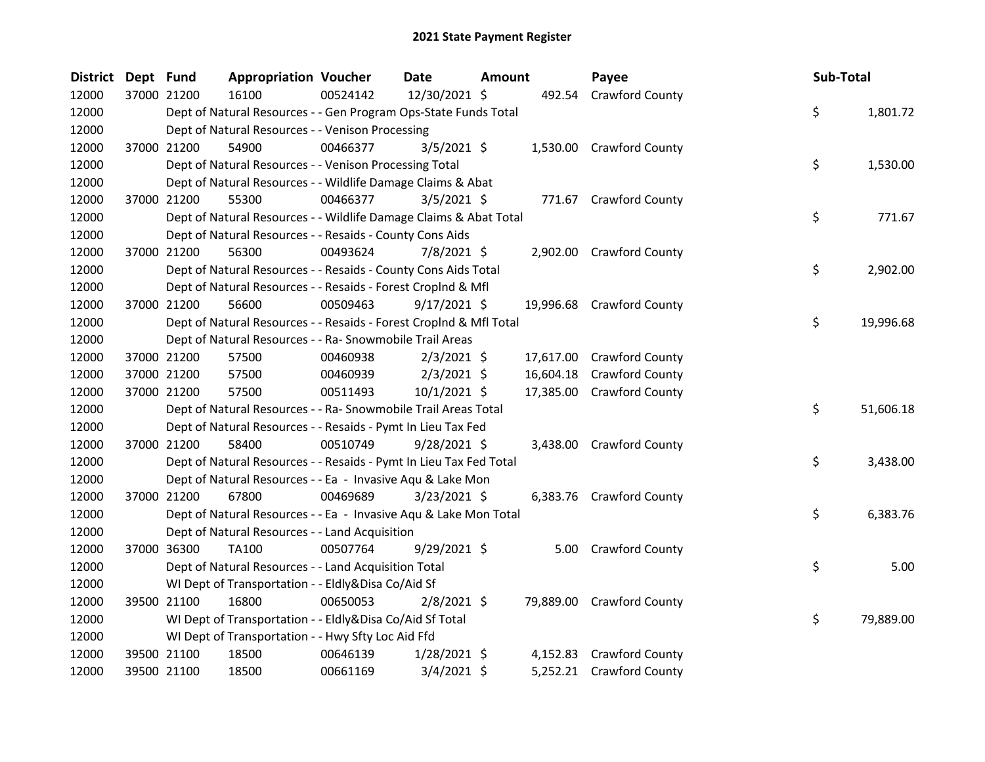| <b>District</b> | Dept Fund |             | <b>Appropriation Voucher</b>                                       |          | <b>Date</b>    | Amount |           | Payee                     | Sub-Total |           |
|-----------------|-----------|-------------|--------------------------------------------------------------------|----------|----------------|--------|-----------|---------------------------|-----------|-----------|
| 12000           |           | 37000 21200 | 16100                                                              | 00524142 | 12/30/2021 \$  |        |           | 492.54 Crawford County    |           |           |
| 12000           |           |             | Dept of Natural Resources - - Gen Program Ops-State Funds Total    |          |                |        |           |                           | \$        | 1,801.72  |
| 12000           |           |             | Dept of Natural Resources - - Venison Processing                   |          |                |        |           |                           |           |           |
| 12000           |           | 37000 21200 | 54900                                                              | 00466377 | $3/5/2021$ \$  |        |           | 1,530.00 Crawford County  |           |           |
| 12000           |           |             | Dept of Natural Resources - - Venison Processing Total             |          |                |        |           |                           | \$        | 1,530.00  |
| 12000           |           |             | Dept of Natural Resources - - Wildlife Damage Claims & Abat        |          |                |        |           |                           |           |           |
| 12000           |           | 37000 21200 | 55300                                                              | 00466377 | $3/5/2021$ \$  |        |           | 771.67 Crawford County    |           |           |
| 12000           |           |             | Dept of Natural Resources - - Wildlife Damage Claims & Abat Total  |          |                |        |           |                           | \$        | 771.67    |
| 12000           |           |             | Dept of Natural Resources - - Resaids - County Cons Aids           |          |                |        |           |                           |           |           |
| 12000           |           | 37000 21200 | 56300                                                              | 00493624 | 7/8/2021 \$    |        |           | 2,902.00 Crawford County  |           |           |
| 12000           |           |             | Dept of Natural Resources - - Resaids - County Cons Aids Total     |          |                |        |           |                           | \$        | 2,902.00  |
| 12000           |           |             | Dept of Natural Resources - - Resaids - Forest CropInd & Mfl       |          |                |        |           |                           |           |           |
| 12000           |           | 37000 21200 | 56600                                                              | 00509463 | $9/17/2021$ \$ |        |           | 19,996.68 Crawford County |           |           |
| 12000           |           |             | Dept of Natural Resources - - Resaids - Forest CropInd & Mfl Total |          |                |        |           |                           | \$        | 19,996.68 |
| 12000           |           |             | Dept of Natural Resources - - Ra- Snowmobile Trail Areas           |          |                |        |           |                           |           |           |
| 12000           |           | 37000 21200 | 57500                                                              | 00460938 | $2/3/2021$ \$  |        |           | 17,617.00 Crawford County |           |           |
| 12000           |           | 37000 21200 | 57500                                                              | 00460939 | $2/3/2021$ \$  |        | 16,604.18 | <b>Crawford County</b>    |           |           |
| 12000           |           | 37000 21200 | 57500                                                              | 00511493 | $10/1/2021$ \$ |        |           | 17,385.00 Crawford County |           |           |
| 12000           |           |             | Dept of Natural Resources - - Ra- Snowmobile Trail Areas Total     |          |                |        |           |                           | \$        | 51,606.18 |
| 12000           |           |             | Dept of Natural Resources - - Resaids - Pymt In Lieu Tax Fed       |          |                |        |           |                           |           |           |
| 12000           |           | 37000 21200 | 58400                                                              | 00510749 | $9/28/2021$ \$ |        |           | 3,438.00 Crawford County  |           |           |
| 12000           |           |             | Dept of Natural Resources - - Resaids - Pymt In Lieu Tax Fed Total |          |                |        |           |                           | \$        | 3,438.00  |
| 12000           |           |             | Dept of Natural Resources - - Ea - Invasive Aqu & Lake Mon         |          |                |        |           |                           |           |           |
| 12000           |           | 37000 21200 | 67800                                                              | 00469689 | $3/23/2021$ \$ |        |           | 6,383.76 Crawford County  |           |           |
| 12000           |           |             | Dept of Natural Resources - - Ea - Invasive Aqu & Lake Mon Total   |          |                |        |           |                           | \$        | 6,383.76  |
| 12000           |           |             | Dept of Natural Resources - - Land Acquisition                     |          |                |        |           |                           |           |           |
| 12000           |           | 37000 36300 | TA100                                                              | 00507764 | $9/29/2021$ \$ |        |           | 5.00 Crawford County      |           |           |
| 12000           |           |             | Dept of Natural Resources - - Land Acquisition Total               |          |                |        |           |                           | \$        | 5.00      |
| 12000           |           |             | WI Dept of Transportation - - Eldly&Disa Co/Aid Sf                 |          |                |        |           |                           |           |           |
| 12000           |           | 39500 21100 | 16800                                                              | 00650053 | $2/8/2021$ \$  |        |           | 79,889.00 Crawford County |           |           |
| 12000           |           |             | WI Dept of Transportation - - Eldly&Disa Co/Aid Sf Total           |          |                |        |           |                           | \$        | 79,889.00 |
| 12000           |           |             | WI Dept of Transportation - - Hwy Sfty Loc Aid Ffd                 |          |                |        |           |                           |           |           |
| 12000           |           | 39500 21100 | 18500                                                              | 00646139 | $1/28/2021$ \$ |        |           | 4,152.83 Crawford County  |           |           |
| 12000           |           | 39500 21100 | 18500                                                              | 00661169 | $3/4/2021$ \$  |        |           | 5,252.21 Crawford County  |           |           |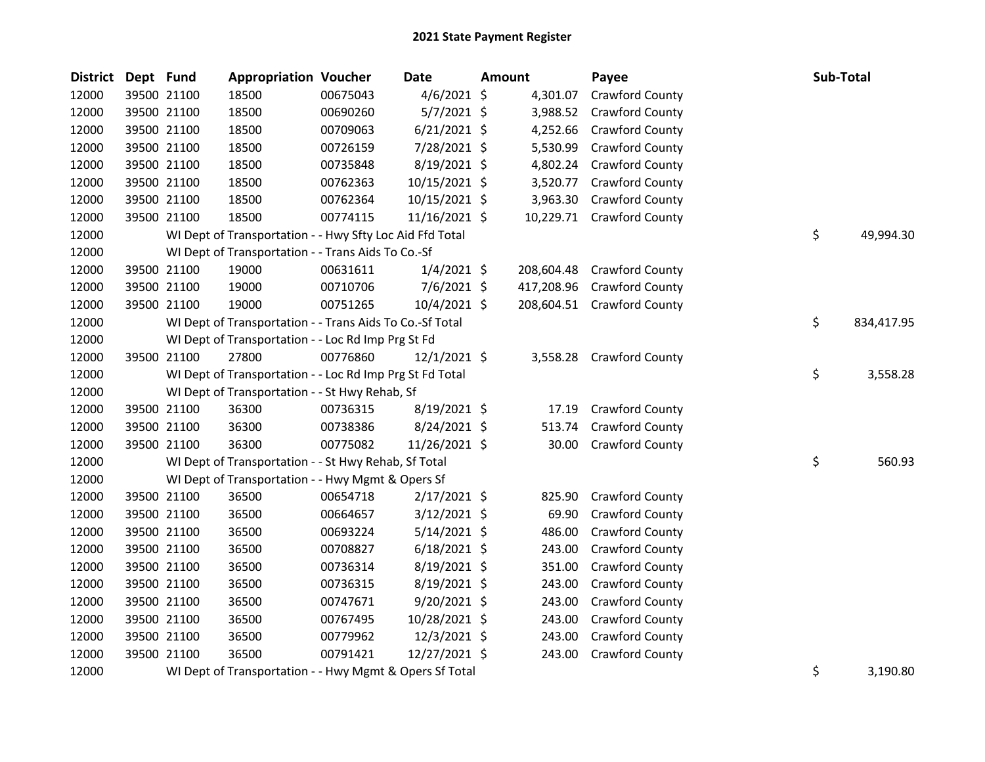| <b>District</b> | Dept Fund |             | <b>Appropriation Voucher</b>                             |          | <b>Date</b>    | <b>Amount</b> | Payee                     | Sub-Total |            |
|-----------------|-----------|-------------|----------------------------------------------------------|----------|----------------|---------------|---------------------------|-----------|------------|
| 12000           |           | 39500 21100 | 18500                                                    | 00675043 | $4/6/2021$ \$  | 4,301.07      | Crawford County           |           |            |
| 12000           |           | 39500 21100 | 18500                                                    | 00690260 | 5/7/2021 \$    | 3,988.52      | Crawford County           |           |            |
| 12000           |           | 39500 21100 | 18500                                                    | 00709063 | $6/21/2021$ \$ | 4,252.66      | <b>Crawford County</b>    |           |            |
| 12000           |           | 39500 21100 | 18500                                                    | 00726159 | 7/28/2021 \$   | 5,530.99      | <b>Crawford County</b>    |           |            |
| 12000           |           | 39500 21100 | 18500                                                    | 00735848 | 8/19/2021 \$   | 4,802.24      | <b>Crawford County</b>    |           |            |
| 12000           |           | 39500 21100 | 18500                                                    | 00762363 | 10/15/2021 \$  | 3,520.77      | <b>Crawford County</b>    |           |            |
| 12000           |           | 39500 21100 | 18500                                                    | 00762364 | 10/15/2021 \$  | 3,963.30      | <b>Crawford County</b>    |           |            |
| 12000           |           | 39500 21100 | 18500                                                    | 00774115 | 11/16/2021 \$  |               | 10,229.71 Crawford County |           |            |
| 12000           |           |             | WI Dept of Transportation - - Hwy Sfty Loc Aid Ffd Total |          |                |               |                           | \$        | 49,994.30  |
| 12000           |           |             | WI Dept of Transportation - - Trans Aids To Co.-Sf       |          |                |               |                           |           |            |
| 12000           |           | 39500 21100 | 19000                                                    | 00631611 | $1/4/2021$ \$  | 208,604.48    | <b>Crawford County</b>    |           |            |
| 12000           |           | 39500 21100 | 19000                                                    | 00710706 | $7/6/2021$ \$  | 417,208.96    | <b>Crawford County</b>    |           |            |
| 12000           |           | 39500 21100 | 19000                                                    | 00751265 | 10/4/2021 \$   | 208,604.51    | <b>Crawford County</b>    |           |            |
| 12000           |           |             | WI Dept of Transportation - - Trans Aids To Co.-Sf Total |          |                |               |                           | \$        | 834,417.95 |
| 12000           |           |             | WI Dept of Transportation - - Loc Rd Imp Prg St Fd       |          |                |               |                           |           |            |
| 12000           |           | 39500 21100 | 27800                                                    | 00776860 | $12/1/2021$ \$ | 3,558.28      | <b>Crawford County</b>    |           |            |
| 12000           |           |             | WI Dept of Transportation - - Loc Rd Imp Prg St Fd Total |          |                |               |                           | \$        | 3,558.28   |
| 12000           |           |             | WI Dept of Transportation - - St Hwy Rehab, Sf           |          |                |               |                           |           |            |
| 12000           |           | 39500 21100 | 36300                                                    | 00736315 | 8/19/2021 \$   | 17.19         | <b>Crawford County</b>    |           |            |
| 12000           |           | 39500 21100 | 36300                                                    | 00738386 | 8/24/2021 \$   | 513.74        | Crawford County           |           |            |
| 12000           |           | 39500 21100 | 36300                                                    | 00775082 | 11/26/2021 \$  | 30.00         | Crawford County           |           |            |
| 12000           |           |             | WI Dept of Transportation - - St Hwy Rehab, Sf Total     |          |                |               |                           | \$        | 560.93     |
| 12000           |           |             | WI Dept of Transportation - - Hwy Mgmt & Opers Sf        |          |                |               |                           |           |            |
| 12000           |           | 39500 21100 | 36500                                                    | 00654718 | $2/17/2021$ \$ | 825.90        | Crawford County           |           |            |
| 12000           |           | 39500 21100 | 36500                                                    | 00664657 | $3/12/2021$ \$ | 69.90         | Crawford County           |           |            |
| 12000           |           | 39500 21100 | 36500                                                    | 00693224 | $5/14/2021$ \$ | 486.00        | Crawford County           |           |            |
| 12000           |           | 39500 21100 | 36500                                                    | 00708827 | $6/18/2021$ \$ | 243.00        | Crawford County           |           |            |
| 12000           |           | 39500 21100 | 36500                                                    | 00736314 | 8/19/2021 \$   | 351.00        | Crawford County           |           |            |
| 12000           |           | 39500 21100 | 36500                                                    | 00736315 | $8/19/2021$ \$ | 243.00        | <b>Crawford County</b>    |           |            |
| 12000           |           | 39500 21100 | 36500                                                    | 00747671 | 9/20/2021 \$   | 243.00        | <b>Crawford County</b>    |           |            |
| 12000           |           | 39500 21100 | 36500                                                    | 00767495 | 10/28/2021 \$  | 243.00        | <b>Crawford County</b>    |           |            |
| 12000           |           | 39500 21100 | 36500                                                    | 00779962 | 12/3/2021 \$   | 243.00        | Crawford County           |           |            |
| 12000           |           | 39500 21100 | 36500                                                    | 00791421 | 12/27/2021 \$  | 243.00        | Crawford County           |           |            |
| 12000           |           |             | WI Dept of Transportation - - Hwy Mgmt & Opers Sf Total  |          |                |               |                           | \$        | 3,190.80   |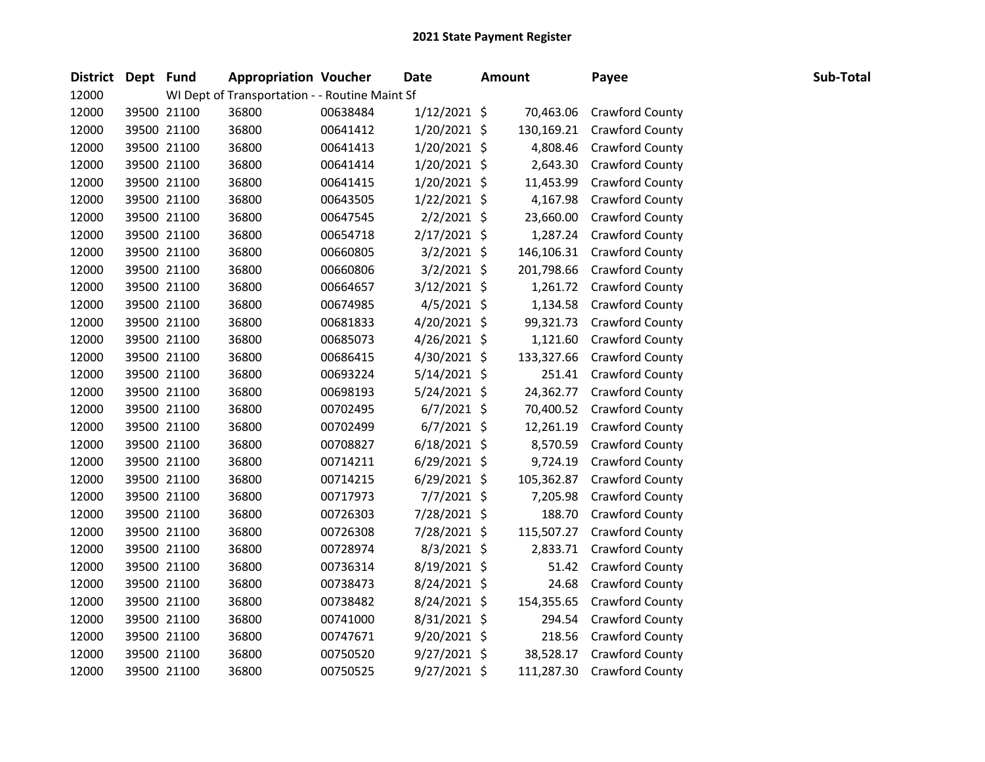| District Dept Fund |             | <b>Appropriation Voucher</b>                   |          | Date           | <b>Amount</b> | Payee                  | Sub-Total |
|--------------------|-------------|------------------------------------------------|----------|----------------|---------------|------------------------|-----------|
| 12000              |             | WI Dept of Transportation - - Routine Maint Sf |          |                |               |                        |           |
| 12000              | 39500 21100 | 36800                                          | 00638484 | $1/12/2021$ \$ | 70,463.06     | <b>Crawford County</b> |           |
| 12000              | 39500 21100 | 36800                                          | 00641412 | 1/20/2021 \$   | 130,169.21    | <b>Crawford County</b> |           |
| 12000              | 39500 21100 | 36800                                          | 00641413 | $1/20/2021$ \$ | 4,808.46      | Crawford County        |           |
| 12000              | 39500 21100 | 36800                                          | 00641414 | $1/20/2021$ \$ | 2,643.30      | <b>Crawford County</b> |           |
| 12000              | 39500 21100 | 36800                                          | 00641415 | $1/20/2021$ \$ | 11,453.99     | Crawford County        |           |
| 12000              | 39500 21100 | 36800                                          | 00643505 | $1/22/2021$ \$ | 4,167.98      | Crawford County        |           |
| 12000              | 39500 21100 | 36800                                          | 00647545 | $2/2/2021$ \$  | 23,660.00     | Crawford County        |           |
| 12000              | 39500 21100 | 36800                                          | 00654718 | $2/17/2021$ \$ | 1,287.24      | Crawford County        |           |
| 12000              | 39500 21100 | 36800                                          | 00660805 | $3/2/2021$ \$  | 146,106.31    | Crawford County        |           |
| 12000              | 39500 21100 | 36800                                          | 00660806 | $3/2/2021$ \$  | 201,798.66    | Crawford County        |           |
| 12000              | 39500 21100 | 36800                                          | 00664657 | 3/12/2021 \$   | 1,261.72      | Crawford County        |           |
| 12000              | 39500 21100 | 36800                                          | 00674985 | $4/5/2021$ \$  | 1,134.58      | Crawford County        |           |
| 12000              | 39500 21100 | 36800                                          | 00681833 | $4/20/2021$ \$ | 99,321.73     | <b>Crawford County</b> |           |
| 12000              | 39500 21100 | 36800                                          | 00685073 | $4/26/2021$ \$ | 1,121.60      | Crawford County        |           |
| 12000              | 39500 21100 | 36800                                          | 00686415 | 4/30/2021 \$   | 133,327.66    | <b>Crawford County</b> |           |
| 12000              | 39500 21100 | 36800                                          | 00693224 | $5/14/2021$ \$ | 251.41        | Crawford County        |           |
| 12000              | 39500 21100 | 36800                                          | 00698193 | $5/24/2021$ \$ | 24,362.77     | <b>Crawford County</b> |           |
| 12000              | 39500 21100 | 36800                                          | 00702495 | $6/7/2021$ \$  | 70,400.52     | <b>Crawford County</b> |           |
| 12000              | 39500 21100 | 36800                                          | 00702499 | $6/7/2021$ \$  | 12,261.19     | Crawford County        |           |
| 12000              | 39500 21100 | 36800                                          | 00708827 | $6/18/2021$ \$ | 8,570.59      | <b>Crawford County</b> |           |
| 12000              | 39500 21100 | 36800                                          | 00714211 | 6/29/2021 \$   | 9,724.19      | Crawford County        |           |
| 12000              | 39500 21100 | 36800                                          | 00714215 | $6/29/2021$ \$ | 105,362.87    | Crawford County        |           |
| 12000              | 39500 21100 | 36800                                          | 00717973 | $7/7/2021$ \$  | 7,205.98      | Crawford County        |           |
| 12000              | 39500 21100 | 36800                                          | 00726303 | 7/28/2021 \$   | 188.70        | <b>Crawford County</b> |           |
| 12000              | 39500 21100 | 36800                                          | 00726308 | 7/28/2021 \$   | 115,507.27    | Crawford County        |           |
| 12000              | 39500 21100 | 36800                                          | 00728974 | $8/3/2021$ \$  | 2,833.71      | Crawford County        |           |
| 12000              | 39500 21100 | 36800                                          | 00736314 | 8/19/2021 \$   | 51.42         | Crawford County        |           |
| 12000              | 39500 21100 | 36800                                          | 00738473 | 8/24/2021 \$   | 24.68         | Crawford County        |           |
| 12000              | 39500 21100 | 36800                                          | 00738482 | 8/24/2021 \$   | 154,355.65    | Crawford County        |           |
| 12000              | 39500 21100 | 36800                                          | 00741000 | $8/31/2021$ \$ | 294.54        | Crawford County        |           |
| 12000              | 39500 21100 | 36800                                          | 00747671 | 9/20/2021 \$   | 218.56        | Crawford County        |           |
| 12000              | 39500 21100 | 36800                                          | 00750520 | $9/27/2021$ \$ | 38,528.17     | Crawford County        |           |
| 12000              | 39500 21100 | 36800                                          | 00750525 | 9/27/2021 \$   | 111,287.30    | Crawford County        |           |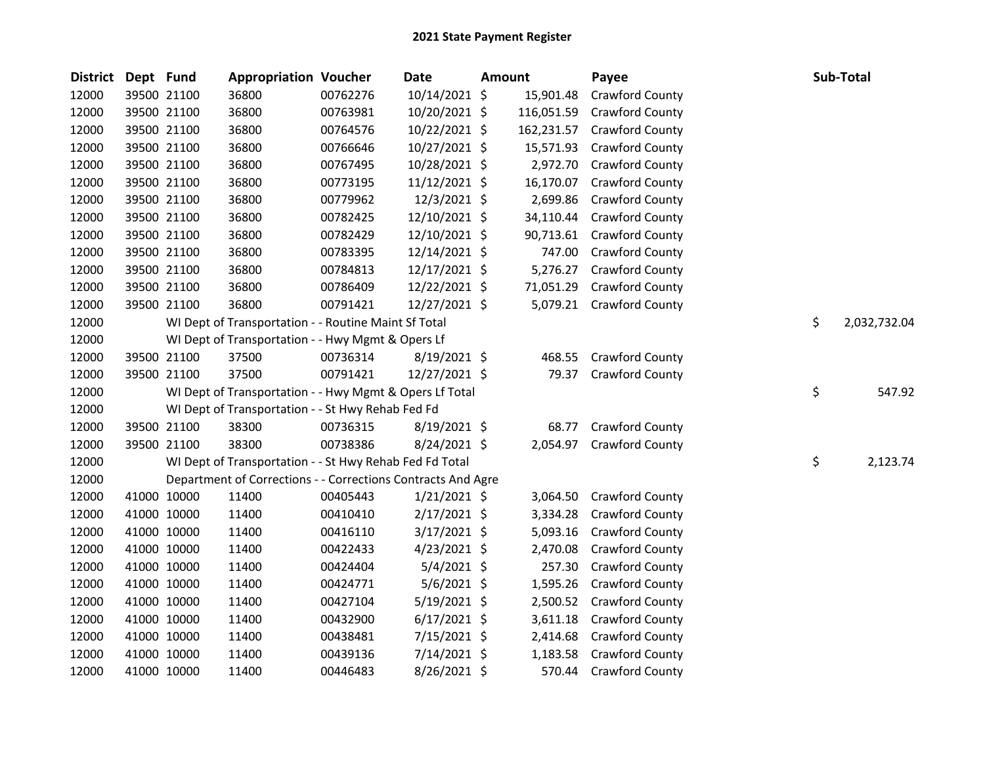| <b>District</b> | Dept Fund |             | <b>Appropriation Voucher</b>                                 |          | Date           | Amount |            | Payee                  | Sub-Total          |
|-----------------|-----------|-------------|--------------------------------------------------------------|----------|----------------|--------|------------|------------------------|--------------------|
| 12000           |           | 39500 21100 | 36800                                                        | 00762276 | 10/14/2021 \$  |        | 15,901.48  | Crawford County        |                    |
| 12000           |           | 39500 21100 | 36800                                                        | 00763981 | 10/20/2021 \$  |        | 116,051.59 | Crawford County        |                    |
| 12000           |           | 39500 21100 | 36800                                                        | 00764576 | 10/22/2021 \$  |        | 162,231.57 | Crawford County        |                    |
| 12000           |           | 39500 21100 | 36800                                                        | 00766646 | 10/27/2021 \$  |        | 15,571.93  | <b>Crawford County</b> |                    |
| 12000           |           | 39500 21100 | 36800                                                        | 00767495 | 10/28/2021 \$  |        | 2,972.70   | <b>Crawford County</b> |                    |
| 12000           |           | 39500 21100 | 36800                                                        | 00773195 | 11/12/2021 \$  |        | 16,170.07  | Crawford County        |                    |
| 12000           |           | 39500 21100 | 36800                                                        | 00779962 | 12/3/2021 \$   |        | 2,699.86   | Crawford County        |                    |
| 12000           |           | 39500 21100 | 36800                                                        | 00782425 | 12/10/2021 \$  |        | 34,110.44  | Crawford County        |                    |
| 12000           |           | 39500 21100 | 36800                                                        | 00782429 | 12/10/2021 \$  |        | 90,713.61  | Crawford County        |                    |
| 12000           |           | 39500 21100 | 36800                                                        | 00783395 | 12/14/2021 \$  |        | 747.00     | Crawford County        |                    |
| 12000           |           | 39500 21100 | 36800                                                        | 00784813 | 12/17/2021 \$  |        | 5,276.27   | Crawford County        |                    |
| 12000           |           | 39500 21100 | 36800                                                        | 00786409 | 12/22/2021 \$  |        | 71,051.29  | Crawford County        |                    |
| 12000           |           | 39500 21100 | 36800                                                        | 00791421 | 12/27/2021 \$  |        | 5,079.21   | Crawford County        |                    |
| 12000           |           |             | WI Dept of Transportation - - Routine Maint Sf Total         |          |                |        |            |                        | \$<br>2,032,732.04 |
| 12000           |           |             | WI Dept of Transportation - - Hwy Mgmt & Opers Lf            |          |                |        |            |                        |                    |
| 12000           |           | 39500 21100 | 37500                                                        | 00736314 | $8/19/2021$ \$ |        | 468.55     | Crawford County        |                    |
| 12000           |           | 39500 21100 | 37500                                                        | 00791421 | 12/27/2021 \$  |        | 79.37      | Crawford County        |                    |
| 12000           |           |             | WI Dept of Transportation - - Hwy Mgmt & Opers Lf Total      |          |                |        |            |                        | \$<br>547.92       |
| 12000           |           |             | WI Dept of Transportation - - St Hwy Rehab Fed Fd            |          |                |        |            |                        |                    |
| 12000           |           | 39500 21100 | 38300                                                        | 00736315 | 8/19/2021 \$   |        | 68.77      | Crawford County        |                    |
| 12000           |           | 39500 21100 | 38300                                                        | 00738386 | 8/24/2021 \$   |        | 2,054.97   | Crawford County        |                    |
| 12000           |           |             | WI Dept of Transportation - - St Hwy Rehab Fed Fd Total      |          |                |        |            |                        | \$<br>2,123.74     |
| 12000           |           |             | Department of Corrections - - Corrections Contracts And Agre |          |                |        |            |                        |                    |
| 12000           |           | 41000 10000 | 11400                                                        | 00405443 | $1/21/2021$ \$ |        | 3,064.50   | Crawford County        |                    |
| 12000           |           | 41000 10000 | 11400                                                        | 00410410 | $2/17/2021$ \$ |        | 3,334.28   | Crawford County        |                    |
| 12000           |           | 41000 10000 | 11400                                                        | 00416110 | $3/17/2021$ \$ |        | 5,093.16   | Crawford County        |                    |
| 12000           |           | 41000 10000 | 11400                                                        | 00422433 | $4/23/2021$ \$ |        | 2,470.08   | Crawford County        |                    |
| 12000           |           | 41000 10000 | 11400                                                        | 00424404 | $5/4/2021$ \$  |        | 257.30     | Crawford County        |                    |
| 12000           |           | 41000 10000 | 11400                                                        | 00424771 | 5/6/2021 \$    |        | 1,595.26   | Crawford County        |                    |
| 12000           |           | 41000 10000 | 11400                                                        | 00427104 | $5/19/2021$ \$ |        | 2,500.52   | Crawford County        |                    |
| 12000           |           | 41000 10000 | 11400                                                        | 00432900 | $6/17/2021$ \$ |        | 3,611.18   | Crawford County        |                    |
| 12000           |           | 41000 10000 | 11400                                                        | 00438481 | 7/15/2021 \$   |        | 2,414.68   | Crawford County        |                    |
| 12000           |           | 41000 10000 | 11400                                                        | 00439136 | $7/14/2021$ \$ |        | 1,183.58   | Crawford County        |                    |
| 12000           |           | 41000 10000 | 11400                                                        | 00446483 | 8/26/2021 \$   |        | 570.44     | Crawford County        |                    |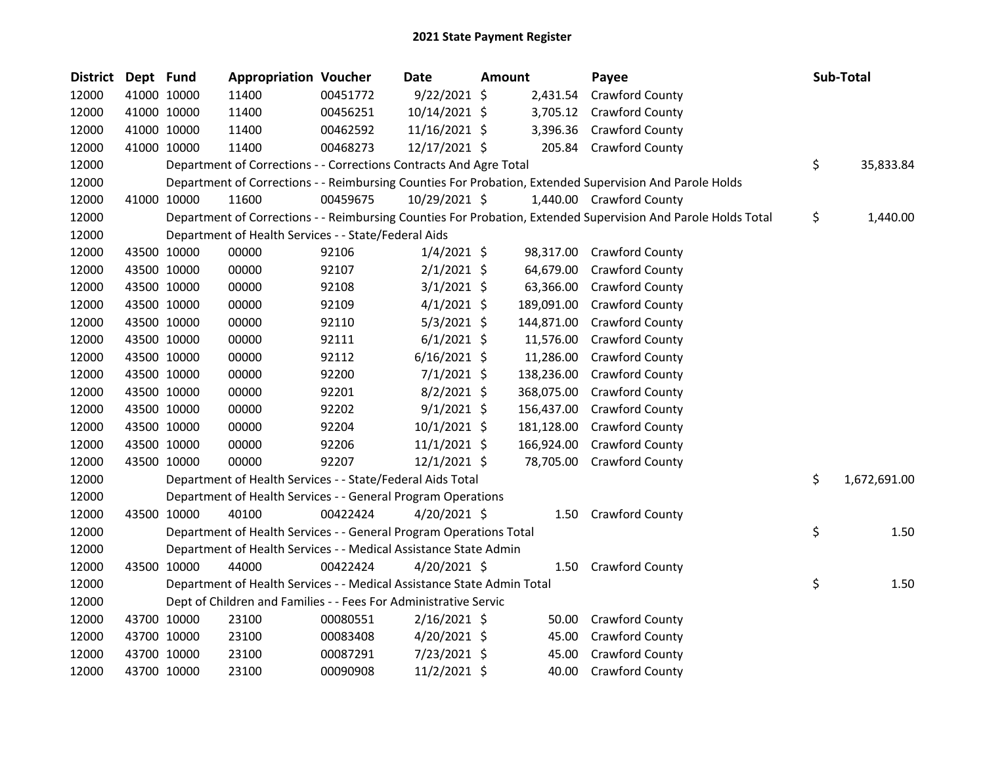| <b>District</b> | Dept Fund |             | <b>Appropriation Voucher</b>                                           |          | <b>Date</b>    | Amount |            | Payee                                                                                                         | Sub-Total          |
|-----------------|-----------|-------------|------------------------------------------------------------------------|----------|----------------|--------|------------|---------------------------------------------------------------------------------------------------------------|--------------------|
| 12000           |           | 41000 10000 | 11400                                                                  | 00451772 | $9/22/2021$ \$ |        | 2,431.54   | Crawford County                                                                                               |                    |
| 12000           |           | 41000 10000 | 11400                                                                  | 00456251 | 10/14/2021 \$  |        |            | 3,705.12 Crawford County                                                                                      |                    |
| 12000           |           | 41000 10000 | 11400                                                                  | 00462592 | 11/16/2021 \$  |        | 3,396.36   | <b>Crawford County</b>                                                                                        |                    |
| 12000           |           | 41000 10000 | 11400                                                                  | 00468273 | 12/17/2021 \$  |        |            | 205.84 Crawford County                                                                                        |                    |
| 12000           |           |             | Department of Corrections - - Corrections Contracts And Agre Total     |          |                |        |            |                                                                                                               | \$<br>35,833.84    |
| 12000           |           |             |                                                                        |          |                |        |            | Department of Corrections - - Reimbursing Counties For Probation, Extended Supervision And Parole Holds       |                    |
| 12000           |           | 41000 10000 | 11600                                                                  | 00459675 | 10/29/2021 \$  |        |            | 1,440.00 Crawford County                                                                                      |                    |
| 12000           |           |             |                                                                        |          |                |        |            | Department of Corrections - - Reimbursing Counties For Probation, Extended Supervision And Parole Holds Total | \$<br>1,440.00     |
| 12000           |           |             | Department of Health Services - - State/Federal Aids                   |          |                |        |            |                                                                                                               |                    |
| 12000           |           | 43500 10000 | 00000                                                                  | 92106    | $1/4/2021$ \$  |        | 98,317.00  | <b>Crawford County</b>                                                                                        |                    |
| 12000           |           | 43500 10000 | 00000                                                                  | 92107    | $2/1/2021$ \$  |        | 64,679.00  | <b>Crawford County</b>                                                                                        |                    |
| 12000           |           | 43500 10000 | 00000                                                                  | 92108    | $3/1/2021$ \$  |        | 63,366.00  | <b>Crawford County</b>                                                                                        |                    |
| 12000           |           | 43500 10000 | 00000                                                                  | 92109    | $4/1/2021$ \$  |        | 189,091.00 | <b>Crawford County</b>                                                                                        |                    |
| 12000           |           | 43500 10000 | 00000                                                                  | 92110    | $5/3/2021$ \$  |        | 144,871.00 | <b>Crawford County</b>                                                                                        |                    |
| 12000           |           | 43500 10000 | 00000                                                                  | 92111    | $6/1/2021$ \$  |        | 11,576.00  | Crawford County                                                                                               |                    |
| 12000           |           | 43500 10000 | 00000                                                                  | 92112    | $6/16/2021$ \$ |        | 11,286.00  | Crawford County                                                                                               |                    |
| 12000           |           | 43500 10000 | 00000                                                                  | 92200    | $7/1/2021$ \$  |        | 138,236.00 | <b>Crawford County</b>                                                                                        |                    |
| 12000           |           | 43500 10000 | 00000                                                                  | 92201    | $8/2/2021$ \$  |        | 368,075.00 | <b>Crawford County</b>                                                                                        |                    |
| 12000           |           | 43500 10000 | 00000                                                                  | 92202    | $9/1/2021$ \$  |        | 156,437.00 | <b>Crawford County</b>                                                                                        |                    |
| 12000           |           | 43500 10000 | 00000                                                                  | 92204    | 10/1/2021 \$   |        | 181,128.00 | <b>Crawford County</b>                                                                                        |                    |
| 12000           |           | 43500 10000 | 00000                                                                  | 92206    | 11/1/2021 \$   |        | 166,924.00 | Crawford County                                                                                               |                    |
| 12000           |           | 43500 10000 | 00000                                                                  | 92207    | 12/1/2021 \$   |        | 78,705.00  | <b>Crawford County</b>                                                                                        |                    |
| 12000           |           |             | Department of Health Services - - State/Federal Aids Total             |          |                |        |            |                                                                                                               | \$<br>1,672,691.00 |
| 12000           |           |             | Department of Health Services - - General Program Operations           |          |                |        |            |                                                                                                               |                    |
| 12000           |           | 43500 10000 | 40100                                                                  | 00422424 | 4/20/2021 \$   |        | 1.50       | <b>Crawford County</b>                                                                                        |                    |
| 12000           |           |             | Department of Health Services - - General Program Operations Total     |          |                |        |            |                                                                                                               | \$<br>1.50         |
| 12000           |           |             | Department of Health Services - - Medical Assistance State Admin       |          |                |        |            |                                                                                                               |                    |
| 12000           |           | 43500 10000 | 44000                                                                  | 00422424 | 4/20/2021 \$   |        | 1.50       | Crawford County                                                                                               |                    |
| 12000           |           |             | Department of Health Services - - Medical Assistance State Admin Total |          |                |        |            |                                                                                                               | \$<br>1.50         |
| 12000           |           |             | Dept of Children and Families - - Fees For Administrative Servic       |          |                |        |            |                                                                                                               |                    |
| 12000           |           | 43700 10000 | 23100                                                                  | 00080551 | $2/16/2021$ \$ |        | 50.00      | <b>Crawford County</b>                                                                                        |                    |
| 12000           |           | 43700 10000 | 23100                                                                  | 00083408 | 4/20/2021 \$   |        | 45.00      | <b>Crawford County</b>                                                                                        |                    |
| 12000           |           | 43700 10000 | 23100                                                                  | 00087291 | 7/23/2021 \$   |        | 45.00      | Crawford County                                                                                               |                    |
| 12000           |           | 43700 10000 | 23100                                                                  | 00090908 | 11/2/2021 \$   |        | 40.00      | <b>Crawford County</b>                                                                                        |                    |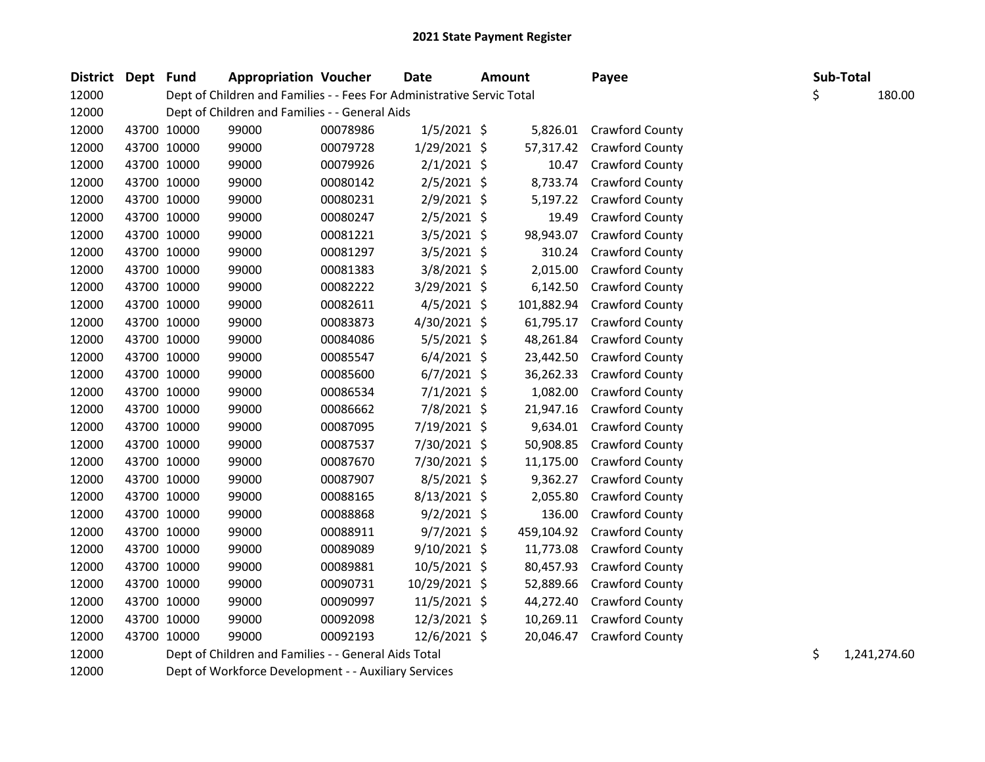| District Dept Fund |             |             | <b>Appropriation Voucher</b>                                           |          | Date           | Amount     | Payee                  |    | Sub-Total |              |
|--------------------|-------------|-------------|------------------------------------------------------------------------|----------|----------------|------------|------------------------|----|-----------|--------------|
| 12000              |             |             | Dept of Children and Families - - Fees For Administrative Servic Total |          |                |            |                        | \$ |           | 180.00       |
| 12000              |             |             | Dept of Children and Families - - General Aids                         |          |                |            |                        |    |           |              |
| 12000              |             | 43700 10000 | 99000                                                                  | 00078986 | $1/5/2021$ \$  | 5,826.01   | <b>Crawford County</b> |    |           |              |
| 12000              |             | 43700 10000 | 99000                                                                  | 00079728 | 1/29/2021 \$   | 57,317.42  | Crawford County        |    |           |              |
| 12000              |             | 43700 10000 | 99000                                                                  | 00079926 | $2/1/2021$ \$  | 10.47      | Crawford County        |    |           |              |
| 12000              |             | 43700 10000 | 99000                                                                  | 00080142 | $2/5/2021$ \$  | 8,733.74   | Crawford County        |    |           |              |
| 12000              |             | 43700 10000 | 99000                                                                  | 00080231 | 2/9/2021 \$    | 5,197.22   | Crawford County        |    |           |              |
| 12000              |             | 43700 10000 | 99000                                                                  | 00080247 | 2/5/2021 \$    | 19.49      | Crawford County        |    |           |              |
| 12000              |             | 43700 10000 | 99000                                                                  | 00081221 | $3/5/2021$ \$  | 98,943.07  | Crawford County        |    |           |              |
| 12000              |             | 43700 10000 | 99000                                                                  | 00081297 | 3/5/2021 \$    | 310.24     | Crawford County        |    |           |              |
| 12000              |             | 43700 10000 | 99000                                                                  | 00081383 | 3/8/2021 \$    | 2,015.00   | Crawford County        |    |           |              |
| 12000              |             | 43700 10000 | 99000                                                                  | 00082222 | 3/29/2021 \$   | 6,142.50   | <b>Crawford County</b> |    |           |              |
| 12000              |             | 43700 10000 | 99000                                                                  | 00082611 | 4/5/2021 \$    | 101,882.94 | Crawford County        |    |           |              |
| 12000              |             | 43700 10000 | 99000                                                                  | 00083873 | 4/30/2021 \$   | 61,795.17  | Crawford County        |    |           |              |
| 12000              |             | 43700 10000 | 99000                                                                  | 00084086 | $5/5/2021$ \$  | 48,261.84  | Crawford County        |    |           |              |
| 12000              |             | 43700 10000 | 99000                                                                  | 00085547 | $6/4/2021$ \$  | 23,442.50  | Crawford County        |    |           |              |
| 12000              |             | 43700 10000 | 99000                                                                  | 00085600 | $6/7/2021$ \$  | 36,262.33  | <b>Crawford County</b> |    |           |              |
| 12000              |             | 43700 10000 | 99000                                                                  | 00086534 | $7/1/2021$ \$  | 1,082.00   | Crawford County        |    |           |              |
| 12000              |             | 43700 10000 | 99000                                                                  | 00086662 | 7/8/2021 \$    | 21,947.16  | Crawford County        |    |           |              |
| 12000              |             | 43700 10000 | 99000                                                                  | 00087095 | 7/19/2021 \$   | 9,634.01   | Crawford County        |    |           |              |
| 12000              | 43700 10000 |             | 99000                                                                  | 00087537 | 7/30/2021 \$   | 50,908.85  | Crawford County        |    |           |              |
| 12000              |             | 43700 10000 | 99000                                                                  | 00087670 | 7/30/2021 \$   | 11,175.00  | Crawford County        |    |           |              |
| 12000              |             | 43700 10000 | 99000                                                                  | 00087907 | 8/5/2021 \$    | 9,362.27   | Crawford County        |    |           |              |
| 12000              |             | 43700 10000 | 99000                                                                  | 00088165 | $8/13/2021$ \$ | 2,055.80   | Crawford County        |    |           |              |
| 12000              |             | 43700 10000 | 99000                                                                  | 00088868 | $9/2/2021$ \$  | 136.00     | Crawford County        |    |           |              |
| 12000              |             | 43700 10000 | 99000                                                                  | 00088911 | $9/7/2021$ \$  | 459,104.92 | Crawford County        |    |           |              |
| 12000              |             | 43700 10000 | 99000                                                                  | 00089089 | $9/10/2021$ \$ | 11,773.08  | Crawford County        |    |           |              |
| 12000              |             | 43700 10000 | 99000                                                                  | 00089881 | 10/5/2021 \$   | 80,457.93  | Crawford County        |    |           |              |
| 12000              |             | 43700 10000 | 99000                                                                  | 00090731 | 10/29/2021 \$  | 52,889.66  | Crawford County        |    |           |              |
| 12000              |             | 43700 10000 | 99000                                                                  | 00090997 | $11/5/2021$ \$ | 44,272.40  | Crawford County        |    |           |              |
| 12000              |             | 43700 10000 | 99000                                                                  | 00092098 | 12/3/2021 \$   | 10,269.11  | Crawford County        |    |           |              |
| 12000              |             | 43700 10000 | 99000                                                                  | 00092193 | 12/6/2021 \$   | 20,046.47  | Crawford County        |    |           |              |
| 12000              |             |             | Dept of Children and Families - - General Aids Total                   |          |                |            |                        | \$ |           | 1,241,274.60 |

Dept of Workforce Development - - Auxiliary Services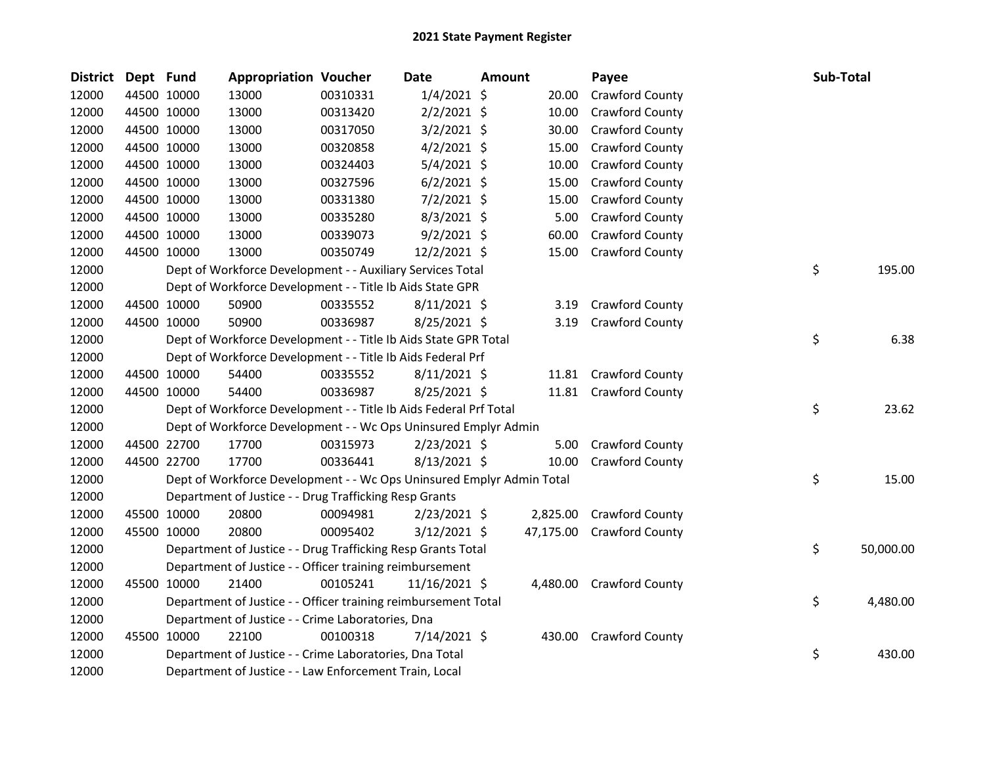| <b>District</b> | Dept Fund |             | <b>Appropriation Voucher</b>                                          |          | Date           | Amount |           | Payee                    | Sub-Total       |
|-----------------|-----------|-------------|-----------------------------------------------------------------------|----------|----------------|--------|-----------|--------------------------|-----------------|
| 12000           |           | 44500 10000 | 13000                                                                 | 00310331 | $1/4/2021$ \$  |        | 20.00     | Crawford County          |                 |
| 12000           |           | 44500 10000 | 13000                                                                 | 00313420 | $2/2/2021$ \$  |        | 10.00     | Crawford County          |                 |
| 12000           |           | 44500 10000 | 13000                                                                 | 00317050 | $3/2/2021$ \$  |        | 30.00     | Crawford County          |                 |
| 12000           |           | 44500 10000 | 13000                                                                 | 00320858 | $4/2/2021$ \$  |        | 15.00     | Crawford County          |                 |
| 12000           |           | 44500 10000 | 13000                                                                 | 00324403 | $5/4/2021$ \$  |        | 10.00     | Crawford County          |                 |
| 12000           |           | 44500 10000 | 13000                                                                 | 00327596 | $6/2/2021$ \$  |        | 15.00     | Crawford County          |                 |
| 12000           |           | 44500 10000 | 13000                                                                 | 00331380 | $7/2/2021$ \$  |        | 15.00     | Crawford County          |                 |
| 12000           |           | 44500 10000 | 13000                                                                 | 00335280 | $8/3/2021$ \$  |        | 5.00      | Crawford County          |                 |
| 12000           |           | 44500 10000 | 13000                                                                 | 00339073 | $9/2/2021$ \$  |        | 60.00     | Crawford County          |                 |
| 12000           |           | 44500 10000 | 13000                                                                 | 00350749 | 12/2/2021 \$   |        | 15.00     | Crawford County          |                 |
| 12000           |           |             | Dept of Workforce Development - - Auxiliary Services Total            |          |                |        |           |                          | \$<br>195.00    |
| 12000           |           |             | Dept of Workforce Development - - Title Ib Aids State GPR             |          |                |        |           |                          |                 |
| 12000           |           | 44500 10000 | 50900                                                                 | 00335552 | $8/11/2021$ \$ |        | 3.19      | Crawford County          |                 |
| 12000           |           | 44500 10000 | 50900                                                                 | 00336987 | 8/25/2021 \$   |        | 3.19      | Crawford County          |                 |
| 12000           |           |             | Dept of Workforce Development - - Title Ib Aids State GPR Total       |          |                |        |           |                          | \$<br>6.38      |
| 12000           |           |             | Dept of Workforce Development - - Title Ib Aids Federal Prf           |          |                |        |           |                          |                 |
| 12000           |           | 44500 10000 | 54400                                                                 | 00335552 | $8/11/2021$ \$ |        |           | 11.81 Crawford County    |                 |
| 12000           |           | 44500 10000 | 54400                                                                 | 00336987 | 8/25/2021 \$   |        |           | 11.81 Crawford County    |                 |
| 12000           |           |             | Dept of Workforce Development - - Title Ib Aids Federal Prf Total     |          |                |        |           |                          | \$<br>23.62     |
| 12000           |           |             | Dept of Workforce Development - - Wc Ops Uninsured Emplyr Admin       |          |                |        |           |                          |                 |
| 12000           |           | 44500 22700 | 17700                                                                 | 00315973 | $2/23/2021$ \$ |        | 5.00      | Crawford County          |                 |
| 12000           |           | 44500 22700 | 17700                                                                 | 00336441 | $8/13/2021$ \$ |        | 10.00     | Crawford County          |                 |
| 12000           |           |             | Dept of Workforce Development - - Wc Ops Uninsured Emplyr Admin Total |          |                |        |           |                          | \$<br>15.00     |
| 12000           |           |             | Department of Justice - - Drug Trafficking Resp Grants                |          |                |        |           |                          |                 |
| 12000           |           | 45500 10000 | 20800                                                                 | 00094981 | 2/23/2021 \$   |        | 2,825.00  | <b>Crawford County</b>   |                 |
| 12000           |           | 45500 10000 | 20800                                                                 | 00095402 | $3/12/2021$ \$ |        | 47,175.00 | <b>Crawford County</b>   |                 |
| 12000           |           |             | Department of Justice - - Drug Trafficking Resp Grants Total          |          |                |        |           |                          | \$<br>50,000.00 |
| 12000           |           |             | Department of Justice - - Officer training reimbursement              |          |                |        |           |                          |                 |
| 12000           |           | 45500 10000 | 21400                                                                 | 00105241 | 11/16/2021 \$  |        |           | 4,480.00 Crawford County |                 |
| 12000           |           |             | Department of Justice - - Officer training reimbursement Total        |          |                |        |           |                          | \$<br>4,480.00  |
| 12000           |           |             | Department of Justice - - Crime Laboratories, Dna                     |          |                |        |           |                          |                 |
| 12000           |           | 45500 10000 | 22100                                                                 | 00100318 | 7/14/2021 \$   |        | 430.00    | <b>Crawford County</b>   |                 |
| 12000           |           |             | Department of Justice - - Crime Laboratories, Dna Total               |          |                |        |           |                          | \$<br>430.00    |
| 12000           |           |             | Department of Justice - - Law Enforcement Train, Local                |          |                |        |           |                          |                 |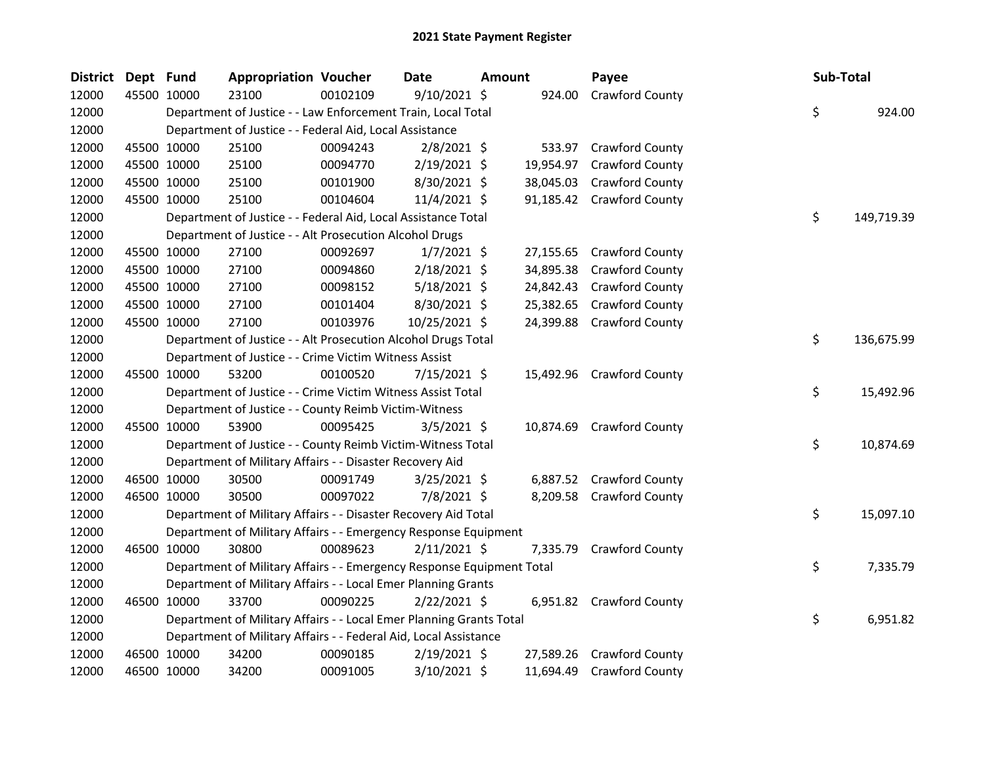| District | Dept Fund |             | <b>Appropriation Voucher</b>                                          |          | Date           | Amount |           | Payee                     | Sub-Total |            |
|----------|-----------|-------------|-----------------------------------------------------------------------|----------|----------------|--------|-----------|---------------------------|-----------|------------|
| 12000    |           | 45500 10000 | 23100                                                                 | 00102109 | $9/10/2021$ \$ |        | 924.00    | Crawford County           |           |            |
| 12000    |           |             | Department of Justice - - Law Enforcement Train, Local Total          |          |                |        |           |                           | \$        | 924.00     |
| 12000    |           |             | Department of Justice - - Federal Aid, Local Assistance               |          |                |        |           |                           |           |            |
| 12000    |           | 45500 10000 | 25100                                                                 | 00094243 | $2/8/2021$ \$  |        |           | 533.97 Crawford County    |           |            |
| 12000    |           | 45500 10000 | 25100                                                                 | 00094770 | $2/19/2021$ \$ |        | 19,954.97 | <b>Crawford County</b>    |           |            |
| 12000    |           | 45500 10000 | 25100                                                                 | 00101900 | 8/30/2021 \$   |        | 38,045.03 | Crawford County           |           |            |
| 12000    |           | 45500 10000 | 25100                                                                 | 00104604 | 11/4/2021 \$   |        | 91,185.42 | <b>Crawford County</b>    |           |            |
| 12000    |           |             | Department of Justice - - Federal Aid, Local Assistance Total         |          |                |        |           |                           | \$        | 149,719.39 |
| 12000    |           |             | Department of Justice - - Alt Prosecution Alcohol Drugs               |          |                |        |           |                           |           |            |
| 12000    |           | 45500 10000 | 27100                                                                 | 00092697 | $1/7/2021$ \$  |        | 27,155.65 | <b>Crawford County</b>    |           |            |
| 12000    |           | 45500 10000 | 27100                                                                 | 00094860 | 2/18/2021 \$   |        | 34,895.38 | <b>Crawford County</b>    |           |            |
| 12000    |           | 45500 10000 | 27100                                                                 | 00098152 | $5/18/2021$ \$ |        | 24,842.43 | <b>Crawford County</b>    |           |            |
| 12000    |           | 45500 10000 | 27100                                                                 | 00101404 | 8/30/2021 \$   |        | 25,382.65 | <b>Crawford County</b>    |           |            |
| 12000    |           | 45500 10000 | 27100                                                                 | 00103976 | 10/25/2021 \$  |        | 24,399.88 | <b>Crawford County</b>    |           |            |
| 12000    |           |             | Department of Justice - - Alt Prosecution Alcohol Drugs Total         |          |                |        |           |                           | \$        | 136,675.99 |
| 12000    |           |             | Department of Justice - - Crime Victim Witness Assist                 |          |                |        |           |                           |           |            |
| 12000    |           | 45500 10000 | 53200                                                                 | 00100520 | 7/15/2021 \$   |        |           | 15,492.96 Crawford County |           |            |
| 12000    |           |             | Department of Justice - - Crime Victim Witness Assist Total           |          |                |        |           |                           | \$        | 15,492.96  |
| 12000    |           |             | Department of Justice - - County Reimb Victim-Witness                 |          |                |        |           |                           |           |            |
| 12000    |           | 45500 10000 | 53900                                                                 | 00095425 | $3/5/2021$ \$  |        |           | 10,874.69 Crawford County |           |            |
| 12000    |           |             | Department of Justice - - County Reimb Victim-Witness Total           |          |                |        |           |                           | \$.       | 10,874.69  |
| 12000    |           |             | Department of Military Affairs - - Disaster Recovery Aid              |          |                |        |           |                           |           |            |
| 12000    |           | 46500 10000 | 30500                                                                 | 00091749 | $3/25/2021$ \$ |        |           | 6,887.52 Crawford County  |           |            |
| 12000    |           | 46500 10000 | 30500                                                                 | 00097022 | 7/8/2021 \$    |        | 8,209.58  | <b>Crawford County</b>    |           |            |
| 12000    |           |             | Department of Military Affairs - - Disaster Recovery Aid Total        |          |                |        |           |                           | \$        | 15,097.10  |
| 12000    |           |             | Department of Military Affairs - - Emergency Response Equipment       |          |                |        |           |                           |           |            |
| 12000    |           | 46500 10000 | 30800                                                                 | 00089623 | $2/11/2021$ \$ |        | 7,335.79  | Crawford County           |           |            |
| 12000    |           |             | Department of Military Affairs - - Emergency Response Equipment Total |          |                |        |           |                           | \$        | 7,335.79   |
| 12000    |           |             | Department of Military Affairs - - Local Emer Planning Grants         |          |                |        |           |                           |           |            |
| 12000    |           | 46500 10000 | 33700                                                                 | 00090225 | 2/22/2021 \$   |        |           | 6,951.82 Crawford County  |           |            |
| 12000    |           |             | Department of Military Affairs - - Local Emer Planning Grants Total   |          |                |        |           |                           | \$        | 6,951.82   |
| 12000    |           |             | Department of Military Affairs - - Federal Aid, Local Assistance      |          |                |        |           |                           |           |            |
| 12000    |           | 46500 10000 | 34200                                                                 | 00090185 | 2/19/2021 \$   |        | 27,589.26 | <b>Crawford County</b>    |           |            |
| 12000    |           | 46500 10000 | 34200                                                                 | 00091005 | 3/10/2021 \$   |        | 11,694.49 | <b>Crawford County</b>    |           |            |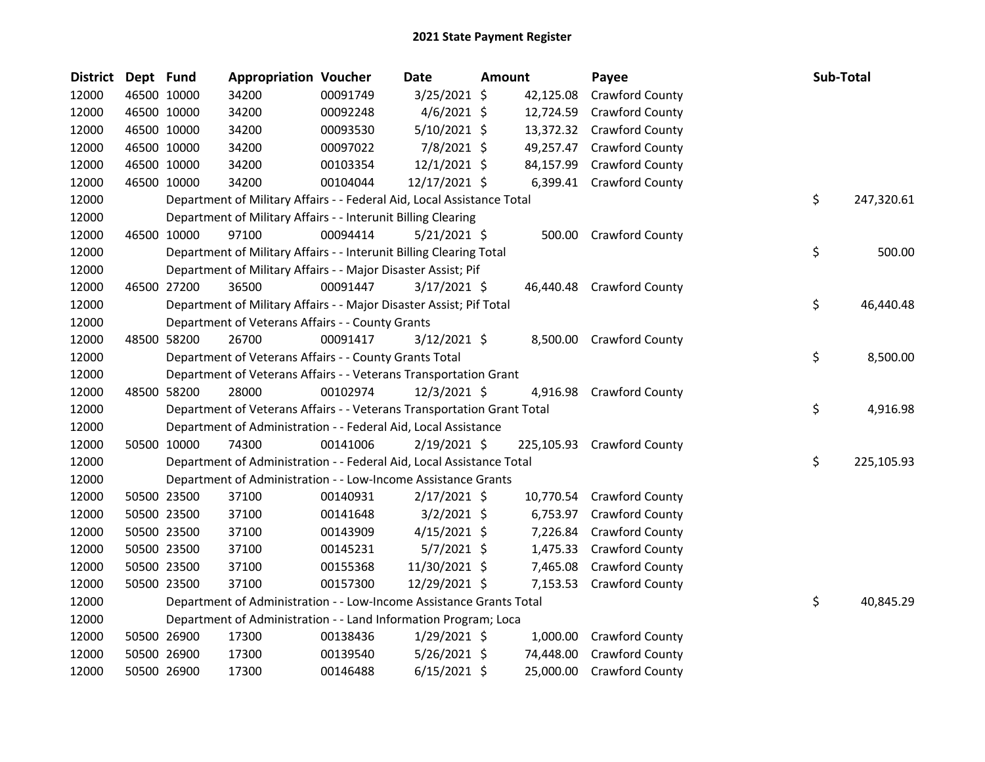| District Dept Fund |             |             | <b>Appropriation Voucher</b>                                           |          | Date           | Amount |           | Payee                      | <b>Sub-Total</b> |            |
|--------------------|-------------|-------------|------------------------------------------------------------------------|----------|----------------|--------|-----------|----------------------------|------------------|------------|
| 12000              |             | 46500 10000 | 34200                                                                  | 00091749 | 3/25/2021 \$   |        | 42,125.08 | Crawford County            |                  |            |
| 12000              |             | 46500 10000 | 34200                                                                  | 00092248 | $4/6/2021$ \$  |        | 12,724.59 | <b>Crawford County</b>     |                  |            |
| 12000              |             | 46500 10000 | 34200                                                                  | 00093530 | 5/10/2021 \$   |        |           | 13,372.32 Crawford County  |                  |            |
| 12000              |             | 46500 10000 | 34200                                                                  | 00097022 | 7/8/2021 \$    |        | 49,257.47 | <b>Crawford County</b>     |                  |            |
| 12000              |             | 46500 10000 | 34200                                                                  | 00103354 | $12/1/2021$ \$ |        | 84,157.99 | <b>Crawford County</b>     |                  |            |
| 12000              | 46500 10000 |             | 34200                                                                  | 00104044 | 12/17/2021 \$  |        |           | 6,399.41 Crawford County   |                  |            |
| 12000              |             |             | Department of Military Affairs - - Federal Aid, Local Assistance Total |          |                |        |           |                            | \$               | 247,320.61 |
| 12000              |             |             | Department of Military Affairs - - Interunit Billing Clearing          |          |                |        |           |                            |                  |            |
| 12000              |             | 46500 10000 | 97100                                                                  | 00094414 | $5/21/2021$ \$ |        | 500.00    | <b>Crawford County</b>     |                  |            |
| 12000              |             |             | Department of Military Affairs - - Interunit Billing Clearing Total    |          |                |        |           |                            | \$               | 500.00     |
| 12000              |             |             | Department of Military Affairs - - Major Disaster Assist; Pif          |          |                |        |           |                            |                  |            |
| 12000              |             | 46500 27200 | 36500                                                                  | 00091447 | $3/17/2021$ \$ |        | 46,440.48 | <b>Crawford County</b>     |                  |            |
| 12000              |             |             | Department of Military Affairs - - Major Disaster Assist; Pif Total    |          |                |        |           |                            | \$               | 46,440.48  |
| 12000              |             |             | Department of Veterans Affairs - - County Grants                       |          |                |        |           |                            |                  |            |
| 12000              |             | 48500 58200 | 26700                                                                  | 00091417 | $3/12/2021$ \$ |        |           | 8,500.00 Crawford County   |                  |            |
| 12000              |             |             | Department of Veterans Affairs - - County Grants Total                 |          |                |        |           |                            | \$               | 8,500.00   |
| 12000              |             |             | Department of Veterans Affairs - - Veterans Transportation Grant       |          |                |        |           |                            |                  |            |
| 12000              |             | 48500 58200 | 28000                                                                  | 00102974 | 12/3/2021 \$   |        | 4,916.98  | <b>Crawford County</b>     |                  |            |
| 12000              |             |             | Department of Veterans Affairs - - Veterans Transportation Grant Total |          |                |        |           |                            | \$               | 4,916.98   |
| 12000              |             |             | Department of Administration - - Federal Aid, Local Assistance         |          |                |        |           |                            |                  |            |
| 12000              |             | 50500 10000 | 74300                                                                  | 00141006 | 2/19/2021 \$   |        |           | 225,105.93 Crawford County |                  |            |
| 12000              |             |             | Department of Administration - - Federal Aid, Local Assistance Total   |          |                |        |           |                            | \$               | 225,105.93 |
| 12000              |             |             | Department of Administration - - Low-Income Assistance Grants          |          |                |        |           |                            |                  |            |
| 12000              |             | 50500 23500 | 37100                                                                  | 00140931 | $2/17/2021$ \$ |        |           | 10,770.54 Crawford County  |                  |            |
| 12000              |             | 50500 23500 | 37100                                                                  | 00141648 | $3/2/2021$ \$  |        | 6,753.97  | <b>Crawford County</b>     |                  |            |
| 12000              |             | 50500 23500 | 37100                                                                  | 00143909 | $4/15/2021$ \$ |        | 7,226.84  | <b>Crawford County</b>     |                  |            |
| 12000              |             | 50500 23500 | 37100                                                                  | 00145231 | $5/7/2021$ \$  |        | 1,475.33  | <b>Crawford County</b>     |                  |            |
| 12000              |             | 50500 23500 | 37100                                                                  | 00155368 | 11/30/2021 \$  |        | 7,465.08  | <b>Crawford County</b>     |                  |            |
| 12000              |             | 50500 23500 | 37100                                                                  | 00157300 | 12/29/2021 \$  |        | 7,153.53  | <b>Crawford County</b>     |                  |            |
| 12000              |             |             | Department of Administration - - Low-Income Assistance Grants Total    |          |                |        |           |                            | \$               | 40,845.29  |
| 12000              |             |             | Department of Administration - - Land Information Program; Loca        |          |                |        |           |                            |                  |            |
| 12000              |             | 50500 26900 | 17300                                                                  | 00138436 | $1/29/2021$ \$ |        | 1,000.00  | <b>Crawford County</b>     |                  |            |
| 12000              |             | 50500 26900 | 17300                                                                  | 00139540 | $5/26/2021$ \$ |        | 74,448.00 | <b>Crawford County</b>     |                  |            |
| 12000              | 50500 26900 |             | 17300                                                                  | 00146488 | $6/15/2021$ \$ |        | 25,000.00 | <b>Crawford County</b>     |                  |            |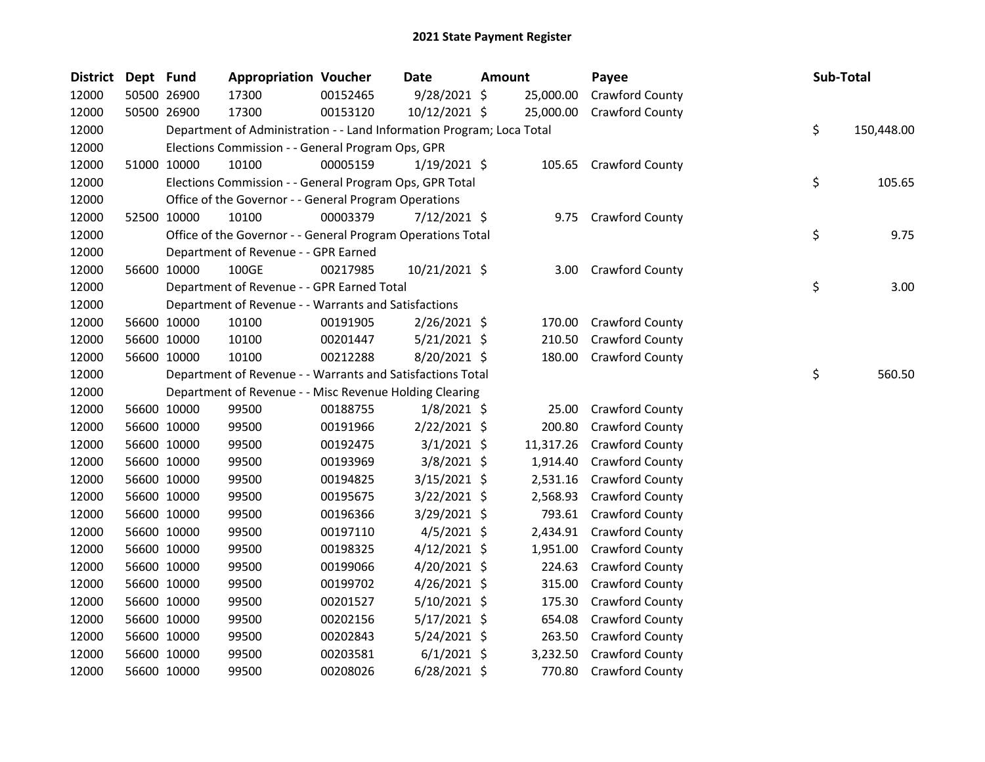| <b>District</b> | Dept Fund |             | <b>Appropriation Voucher</b>                                          |          | Date           | <b>Amount</b> |           | Payee                  | <b>Sub-Total</b> |
|-----------------|-----------|-------------|-----------------------------------------------------------------------|----------|----------------|---------------|-----------|------------------------|------------------|
| 12000           |           | 50500 26900 | 17300                                                                 | 00152465 | 9/28/2021 \$   |               | 25,000.00 | Crawford County        |                  |
| 12000           |           | 50500 26900 | 17300                                                                 | 00153120 | 10/12/2021 \$  |               | 25,000.00 | Crawford County        |                  |
| 12000           |           |             | Department of Administration - - Land Information Program; Loca Total |          |                |               |           |                        | \$<br>150,448.00 |
| 12000           |           |             | Elections Commission - - General Program Ops, GPR                     |          |                |               |           |                        |                  |
| 12000           |           | 51000 10000 | 10100                                                                 | 00005159 | $1/19/2021$ \$ |               |           | 105.65 Crawford County |                  |
| 12000           |           |             | Elections Commission - - General Program Ops, GPR Total               |          |                |               |           |                        | \$<br>105.65     |
| 12000           |           |             | Office of the Governor - - General Program Operations                 |          |                |               |           |                        |                  |
| 12000           |           | 52500 10000 | 10100                                                                 | 00003379 | 7/12/2021 \$   |               | 9.75      | <b>Crawford County</b> |                  |
| 12000           |           |             | Office of the Governor - - General Program Operations Total           |          |                |               |           |                        | \$<br>9.75       |
| 12000           |           |             | Department of Revenue - - GPR Earned                                  |          |                |               |           |                        |                  |
| 12000           |           | 56600 10000 | 100GE                                                                 | 00217985 | 10/21/2021 \$  |               | 3.00      | Crawford County        |                  |
| 12000           |           |             | Department of Revenue - - GPR Earned Total                            |          |                |               |           |                        | \$<br>3.00       |
| 12000           |           |             | Department of Revenue - - Warrants and Satisfactions                  |          |                |               |           |                        |                  |
| 12000           |           | 56600 10000 | 10100                                                                 | 00191905 | 2/26/2021 \$   |               | 170.00    | Crawford County        |                  |
| 12000           |           | 56600 10000 | 10100                                                                 | 00201447 | $5/21/2021$ \$ |               | 210.50    | Crawford County        |                  |
| 12000           |           | 56600 10000 | 10100                                                                 | 00212288 | 8/20/2021 \$   |               | 180.00    | Crawford County        |                  |
| 12000           |           |             | Department of Revenue - - Warrants and Satisfactions Total            |          |                |               |           |                        | \$<br>560.50     |
| 12000           |           |             | Department of Revenue - - Misc Revenue Holding Clearing               |          |                |               |           |                        |                  |
| 12000           |           | 56600 10000 | 99500                                                                 | 00188755 | $1/8/2021$ \$  |               | 25.00     | Crawford County        |                  |
| 12000           |           | 56600 10000 | 99500                                                                 | 00191966 | $2/22/2021$ \$ |               | 200.80    | Crawford County        |                  |
| 12000           |           | 56600 10000 | 99500                                                                 | 00192475 | $3/1/2021$ \$  |               | 11,317.26 | Crawford County        |                  |
| 12000           |           | 56600 10000 | 99500                                                                 | 00193969 | 3/8/2021 \$    |               | 1,914.40  | <b>Crawford County</b> |                  |
| 12000           |           | 56600 10000 | 99500                                                                 | 00194825 | 3/15/2021 \$   |               | 2,531.16  | Crawford County        |                  |
| 12000           |           | 56600 10000 | 99500                                                                 | 00195675 | $3/22/2021$ \$ |               | 2,568.93  | Crawford County        |                  |
| 12000           |           | 56600 10000 | 99500                                                                 | 00196366 | 3/29/2021 \$   |               | 793.61    | Crawford County        |                  |
| 12000           |           | 56600 10000 | 99500                                                                 | 00197110 | $4/5/2021$ \$  |               | 2,434.91  | <b>Crawford County</b> |                  |
| 12000           |           | 56600 10000 | 99500                                                                 | 00198325 | $4/12/2021$ \$ |               | 1,951.00  | <b>Crawford County</b> |                  |
| 12000           |           | 56600 10000 | 99500                                                                 | 00199066 | 4/20/2021 \$   |               | 224.63    | Crawford County        |                  |
| 12000           |           | 56600 10000 | 99500                                                                 | 00199702 | 4/26/2021 \$   |               | 315.00    | Crawford County        |                  |
| 12000           |           | 56600 10000 | 99500                                                                 | 00201527 | 5/10/2021 \$   |               | 175.30    | Crawford County        |                  |
| 12000           |           | 56600 10000 | 99500                                                                 | 00202156 | $5/17/2021$ \$ |               | 654.08    | Crawford County        |                  |
| 12000           |           | 56600 10000 | 99500                                                                 | 00202843 | $5/24/2021$ \$ |               | 263.50    | Crawford County        |                  |
| 12000           |           | 56600 10000 | 99500                                                                 | 00203581 | $6/1/2021$ \$  |               | 3,232.50  | Crawford County        |                  |
| 12000           |           | 56600 10000 | 99500                                                                 | 00208026 | $6/28/2021$ \$ |               | 770.80    | <b>Crawford County</b> |                  |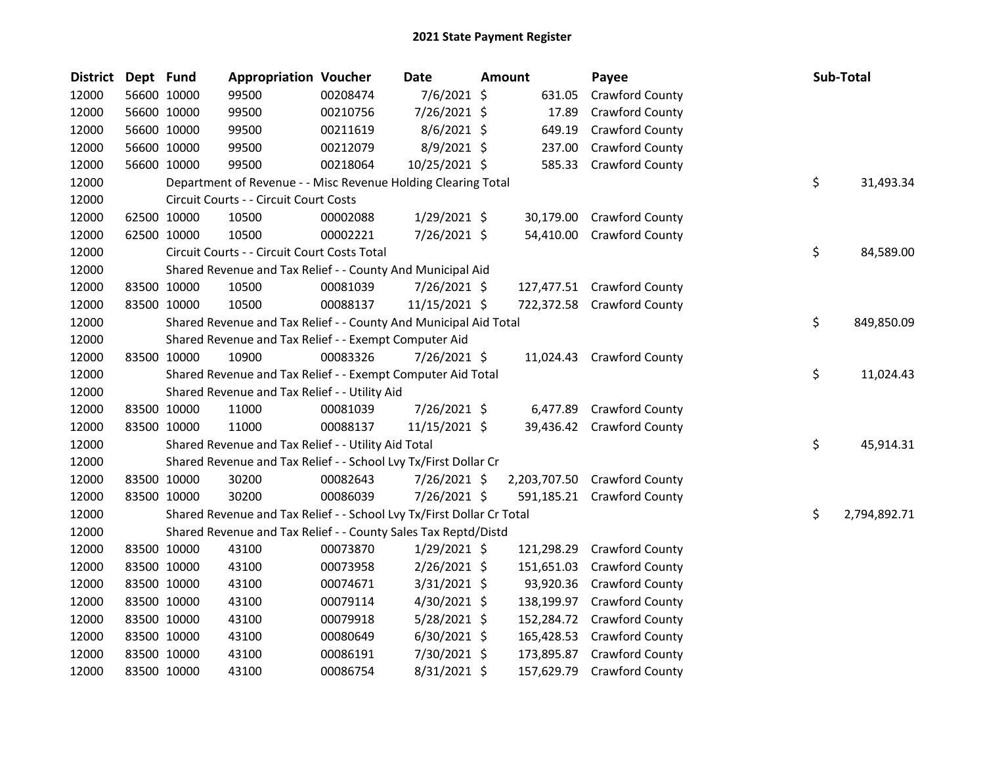| <b>District</b> | Dept Fund |             | <b>Appropriation Voucher</b>                                          |          | <b>Date</b>    | <b>Amount</b> | Payee                        |    | Sub-Total    |
|-----------------|-----------|-------------|-----------------------------------------------------------------------|----------|----------------|---------------|------------------------------|----|--------------|
| 12000           |           | 56600 10000 | 99500                                                                 | 00208474 | 7/6/2021 \$    | 631.05        | Crawford County              |    |              |
| 12000           |           | 56600 10000 | 99500                                                                 | 00210756 | 7/26/2021 \$   | 17.89         | Crawford County              |    |              |
| 12000           |           | 56600 10000 | 99500                                                                 | 00211619 | 8/6/2021 \$    | 649.19        | Crawford County              |    |              |
| 12000           |           | 56600 10000 | 99500                                                                 | 00212079 | 8/9/2021 \$    | 237.00        | Crawford County              |    |              |
| 12000           |           | 56600 10000 | 99500                                                                 | 00218064 | 10/25/2021 \$  | 585.33        | <b>Crawford County</b>       |    |              |
| 12000           |           |             | Department of Revenue - - Misc Revenue Holding Clearing Total         |          |                |               |                              | \$ | 31,493.34    |
| 12000           |           |             | Circuit Courts - - Circuit Court Costs                                |          |                |               |                              |    |              |
| 12000           |           | 62500 10000 | 10500                                                                 | 00002088 | 1/29/2021 \$   | 30,179.00     | Crawford County              |    |              |
| 12000           |           | 62500 10000 | 10500                                                                 | 00002221 | 7/26/2021 \$   | 54,410.00     | <b>Crawford County</b>       |    |              |
| 12000           |           |             | Circuit Courts - - Circuit Court Costs Total                          |          |                |               |                              | \$ | 84,589.00    |
| 12000           |           |             | Shared Revenue and Tax Relief - - County And Municipal Aid            |          |                |               |                              |    |              |
| 12000           |           | 83500 10000 | 10500                                                                 | 00081039 | 7/26/2021 \$   |               | 127,477.51 Crawford County   |    |              |
| 12000           |           | 83500 10000 | 10500                                                                 | 00088137 | 11/15/2021 \$  |               | 722,372.58 Crawford County   |    |              |
| 12000           |           |             | Shared Revenue and Tax Relief - - County And Municipal Aid Total      |          |                |               |                              | \$ | 849,850.09   |
| 12000           |           |             | Shared Revenue and Tax Relief - - Exempt Computer Aid                 |          |                |               |                              |    |              |
| 12000           |           | 83500 10000 | 10900                                                                 | 00083326 | $7/26/2021$ \$ |               | 11,024.43 Crawford County    |    |              |
| 12000           |           |             | Shared Revenue and Tax Relief - - Exempt Computer Aid Total           |          |                |               |                              | \$ | 11,024.43    |
| 12000           |           |             | Shared Revenue and Tax Relief - - Utility Aid                         |          |                |               |                              |    |              |
| 12000           |           | 83500 10000 | 11000                                                                 | 00081039 | 7/26/2021 \$   |               | 6,477.89 Crawford County     |    |              |
| 12000           |           | 83500 10000 | 11000                                                                 | 00088137 | 11/15/2021 \$  |               | 39,436.42 Crawford County    |    |              |
| 12000           |           |             | Shared Revenue and Tax Relief - - Utility Aid Total                   |          |                |               |                              | \$ | 45,914.31    |
| 12000           |           |             | Shared Revenue and Tax Relief - - School Lvy Tx/First Dollar Cr       |          |                |               |                              |    |              |
| 12000           |           | 83500 10000 | 30200                                                                 | 00082643 | 7/26/2021 \$   |               | 2,203,707.50 Crawford County |    |              |
| 12000           |           | 83500 10000 | 30200                                                                 | 00086039 | 7/26/2021 \$   | 591,185.21    | <b>Crawford County</b>       |    |              |
| 12000           |           |             | Shared Revenue and Tax Relief - - School Lvy Tx/First Dollar Cr Total |          |                |               |                              | \$ | 2,794,892.71 |
| 12000           |           |             | Shared Revenue and Tax Relief - - County Sales Tax Reptd/Distd        |          |                |               |                              |    |              |
| 12000           |           | 83500 10000 | 43100                                                                 | 00073870 | $1/29/2021$ \$ | 121,298.29    | Crawford County              |    |              |
| 12000           |           | 83500 10000 | 43100                                                                 | 00073958 | 2/26/2021 \$   | 151,651.03    | Crawford County              |    |              |
| 12000           |           | 83500 10000 | 43100                                                                 | 00074671 | 3/31/2021 \$   | 93,920.36     | Crawford County              |    |              |
| 12000           |           | 83500 10000 | 43100                                                                 | 00079114 | 4/30/2021 \$   | 138,199.97    | Crawford County              |    |              |
| 12000           |           | 83500 10000 | 43100                                                                 | 00079918 | 5/28/2021 \$   | 152,284.72    | Crawford County              |    |              |
| 12000           |           | 83500 10000 | 43100                                                                 | 00080649 | $6/30/2021$ \$ | 165,428.53    | <b>Crawford County</b>       |    |              |
| 12000           |           | 83500 10000 | 43100                                                                 | 00086191 | 7/30/2021 \$   | 173,895.87    | <b>Crawford County</b>       |    |              |
| 12000           |           | 83500 10000 | 43100                                                                 | 00086754 | 8/31/2021 \$   | 157,629.79    | Crawford County              |    |              |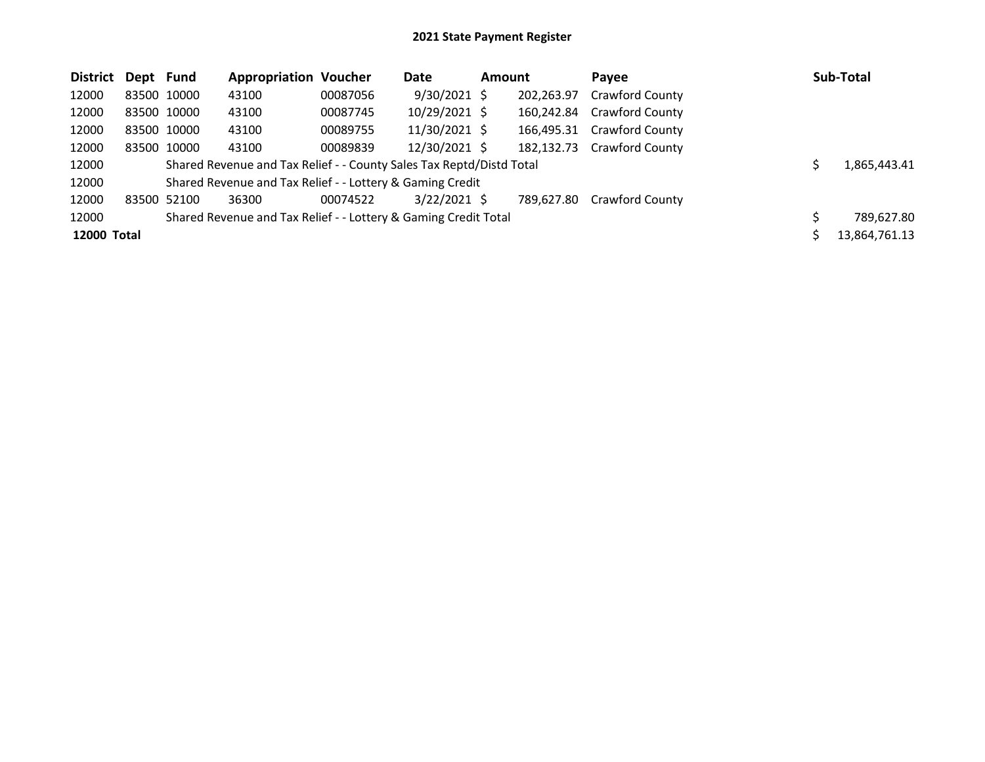| District Dept Fund |             | <b>Appropriation Voucher</b>                                         |          | Date           | <b>Amount</b> |            | Pavee                  | Sub-Total     |
|--------------------|-------------|----------------------------------------------------------------------|----------|----------------|---------------|------------|------------------------|---------------|
| 12000              | 83500 10000 | 43100                                                                | 00087056 | $9/30/2021$ \$ |               | 202,263.97 | Crawford County        |               |
| 12000              | 83500 10000 | 43100                                                                | 00087745 | 10/29/2021 \$  |               | 160,242.84 | Crawford County        |               |
| 12000              | 83500 10000 | 43100                                                                | 00089755 | 11/30/2021 \$  |               | 166,495.31 | <b>Crawford County</b> |               |
| 12000              | 83500 10000 | 43100                                                                | 00089839 | 12/30/2021 \$  |               | 182.132.73 | <b>Crawford County</b> |               |
| 12000              |             | Shared Revenue and Tax Relief - - County Sales Tax Reptd/Distd Total |          |                |               |            |                        | 1,865,443.41  |
| 12000              |             | Shared Revenue and Tax Relief - - Lottery & Gaming Credit            |          |                |               |            |                        |               |
| 12000              | 83500 52100 | 36300                                                                | 00074522 | $3/22/2021$ \$ |               | 789,627.80 | <b>Crawford County</b> |               |
| 12000              |             | Shared Revenue and Tax Relief - - Lottery & Gaming Credit Total      |          |                |               |            |                        | 789,627.80    |
| 12000 Total        |             |                                                                      |          |                |               |            |                        | 13,864,761.13 |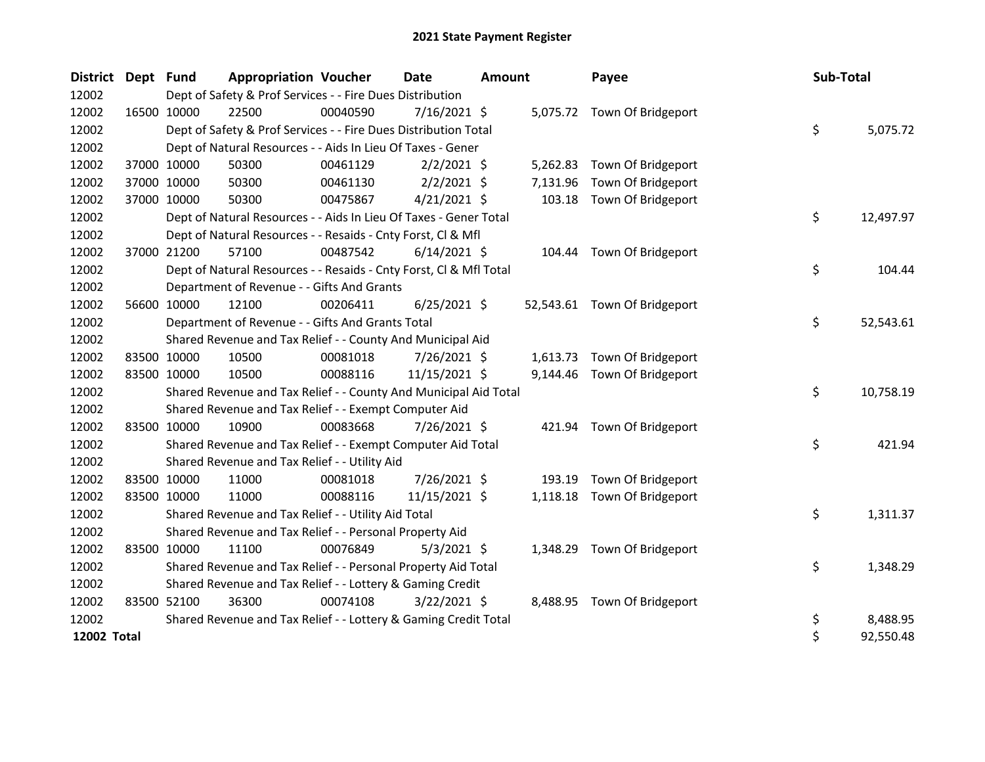| <b>District</b> | Dept Fund   |             | <b>Appropriation Voucher</b>                                       |          | <b>Date</b>    | Amount |          | Payee                        | Sub-Total |           |
|-----------------|-------------|-------------|--------------------------------------------------------------------|----------|----------------|--------|----------|------------------------------|-----------|-----------|
| 12002           |             |             | Dept of Safety & Prof Services - - Fire Dues Distribution          |          |                |        |          |                              |           |           |
| 12002           | 16500 10000 |             | 22500                                                              | 00040590 | $7/16/2021$ \$ |        |          | 5,075.72 Town Of Bridgeport  |           |           |
| 12002           |             |             | Dept of Safety & Prof Services - - Fire Dues Distribution Total    |          |                |        |          |                              | \$        | 5,075.72  |
| 12002           |             |             | Dept of Natural Resources - - Aids In Lieu Of Taxes - Gener        |          |                |        |          |                              |           |           |
| 12002           |             | 37000 10000 | 50300                                                              | 00461129 | $2/2/2021$ \$  |        | 5,262.83 | Town Of Bridgeport           |           |           |
| 12002           |             | 37000 10000 | 50300                                                              | 00461130 | $2/2/2021$ \$  |        | 7,131.96 | Town Of Bridgeport           |           |           |
| 12002           | 37000 10000 |             | 50300                                                              | 00475867 | $4/21/2021$ \$ |        | 103.18   | Town Of Bridgeport           |           |           |
| 12002           |             |             | Dept of Natural Resources - - Aids In Lieu Of Taxes - Gener Total  |          |                |        |          |                              | \$        | 12,497.97 |
| 12002           |             |             | Dept of Natural Resources - - Resaids - Cnty Forst, Cl & Mfl       |          |                |        |          |                              |           |           |
| 12002           |             | 37000 21200 | 57100                                                              | 00487542 | $6/14/2021$ \$ |        |          | 104.44 Town Of Bridgeport    |           |           |
| 12002           |             |             | Dept of Natural Resources - - Resaids - Cnty Forst, Cl & Mfl Total |          |                |        |          |                              | \$        | 104.44    |
| 12002           |             |             | Department of Revenue - - Gifts And Grants                         |          |                |        |          |                              |           |           |
| 12002           |             | 56600 10000 | 12100                                                              | 00206411 | $6/25/2021$ \$ |        |          | 52,543.61 Town Of Bridgeport |           |           |
| 12002           |             |             | Department of Revenue - - Gifts And Grants Total                   |          |                |        |          |                              | \$        | 52,543.61 |
| 12002           |             |             | Shared Revenue and Tax Relief - - County And Municipal Aid         |          |                |        |          |                              |           |           |
| 12002           | 83500 10000 |             | 10500                                                              | 00081018 | $7/26/2021$ \$ |        |          | 1,613.73 Town Of Bridgeport  |           |           |
| 12002           | 83500 10000 |             | 10500                                                              | 00088116 | 11/15/2021 \$  |        |          | 9,144.46 Town Of Bridgeport  |           |           |
| 12002           |             |             | Shared Revenue and Tax Relief - - County And Municipal Aid Total   |          |                |        |          |                              | \$        | 10,758.19 |
| 12002           |             |             | Shared Revenue and Tax Relief - - Exempt Computer Aid              |          |                |        |          |                              |           |           |
| 12002           | 83500 10000 |             | 10900                                                              | 00083668 | 7/26/2021 \$   |        |          | 421.94 Town Of Bridgeport    |           |           |
| 12002           |             |             | Shared Revenue and Tax Relief - - Exempt Computer Aid Total        |          |                |        |          |                              | \$        | 421.94    |
| 12002           |             |             | Shared Revenue and Tax Relief - - Utility Aid                      |          |                |        |          |                              |           |           |
| 12002           | 83500 10000 |             | 11000                                                              | 00081018 | 7/26/2021 \$   |        | 193.19   | Town Of Bridgeport           |           |           |
| 12002           | 83500 10000 |             | 11000                                                              | 00088116 | 11/15/2021 \$  |        |          | 1,118.18 Town Of Bridgeport  |           |           |
| 12002           |             |             | Shared Revenue and Tax Relief - - Utility Aid Total                |          |                |        |          |                              | \$        | 1,311.37  |
| 12002           |             |             | Shared Revenue and Tax Relief - - Personal Property Aid            |          |                |        |          |                              |           |           |
| 12002           | 83500 10000 |             | 11100                                                              | 00076849 | $5/3/2021$ \$  |        |          | 1,348.29 Town Of Bridgeport  |           |           |
| 12002           |             |             | Shared Revenue and Tax Relief - - Personal Property Aid Total      |          |                |        |          |                              | \$        | 1,348.29  |
| 12002           |             |             | Shared Revenue and Tax Relief - - Lottery & Gaming Credit          |          |                |        |          |                              |           |           |
| 12002           | 83500 52100 |             | 36300                                                              | 00074108 | $3/22/2021$ \$ |        |          | 8,488.95 Town Of Bridgeport  |           |           |
| 12002           |             |             | Shared Revenue and Tax Relief - - Lottery & Gaming Credit Total    |          |                |        |          |                              | \$        | 8,488.95  |
| 12002 Total     |             |             |                                                                    |          |                |        |          |                              | \$        | 92,550.48 |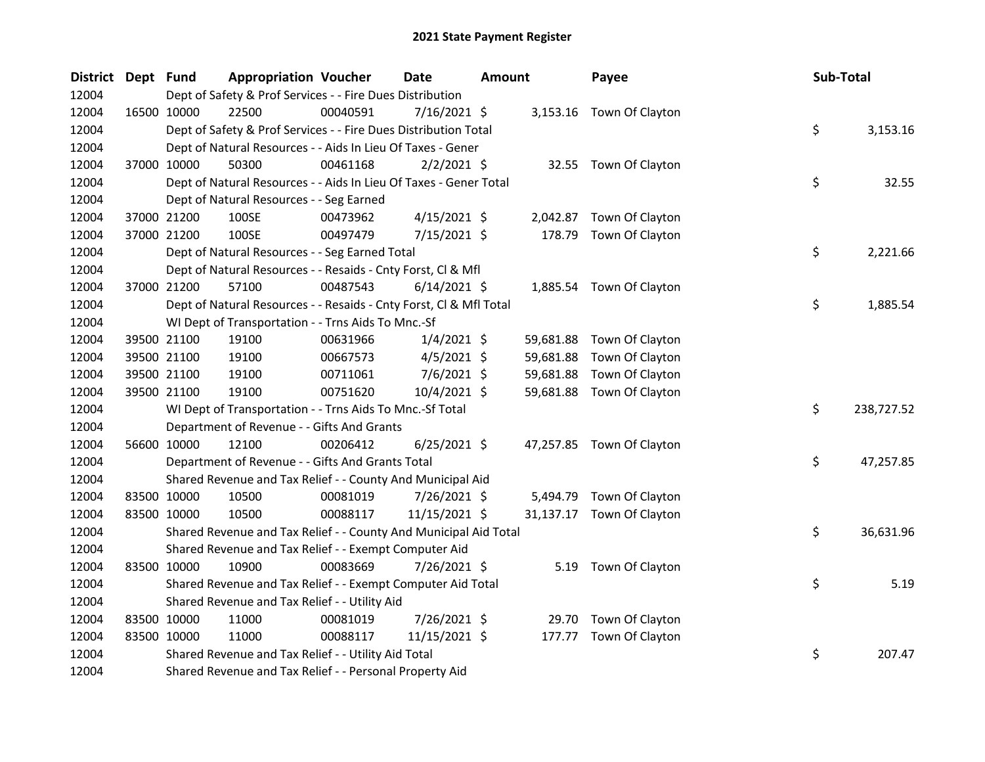| <b>District</b> | Dept Fund |             | <b>Appropriation Voucher</b>                                       |          | <b>Date</b>    | Amount |           | Payee                     | Sub-Total |            |
|-----------------|-----------|-------------|--------------------------------------------------------------------|----------|----------------|--------|-----------|---------------------------|-----------|------------|
| 12004           |           |             | Dept of Safety & Prof Services - - Fire Dues Distribution          |          |                |        |           |                           |           |            |
| 12004           |           | 16500 10000 | 22500                                                              | 00040591 | 7/16/2021 \$   |        |           | 3,153.16 Town Of Clayton  |           |            |
| 12004           |           |             | Dept of Safety & Prof Services - - Fire Dues Distribution Total    |          |                |        |           |                           | \$        | 3,153.16   |
| 12004           |           |             | Dept of Natural Resources - - Aids In Lieu Of Taxes - Gener        |          |                |        |           |                           |           |            |
| 12004           |           | 37000 10000 | 50300                                                              | 00461168 | $2/2/2021$ \$  |        |           | 32.55 Town Of Clayton     |           |            |
| 12004           |           |             | Dept of Natural Resources - - Aids In Lieu Of Taxes - Gener Total  |          |                |        |           |                           | \$        | 32.55      |
| 12004           |           |             | Dept of Natural Resources - - Seg Earned                           |          |                |        |           |                           |           |            |
| 12004           |           | 37000 21200 | 100SE                                                              | 00473962 | $4/15/2021$ \$ |        |           | 2,042.87 Town Of Clayton  |           |            |
| 12004           |           | 37000 21200 | 100SE                                                              | 00497479 | 7/15/2021 \$   |        | 178.79    | Town Of Clayton           |           |            |
| 12004           |           |             | Dept of Natural Resources - - Seg Earned Total                     |          |                |        |           |                           | \$        | 2,221.66   |
| 12004           |           |             | Dept of Natural Resources - - Resaids - Cnty Forst, Cl & Mfl       |          |                |        |           |                           |           |            |
| 12004           |           | 37000 21200 | 57100                                                              | 00487543 | $6/14/2021$ \$ |        |           | 1,885.54 Town Of Clayton  |           |            |
| 12004           |           |             | Dept of Natural Resources - - Resaids - Cnty Forst, Cl & Mfl Total |          |                |        |           |                           | \$        | 1,885.54   |
| 12004           |           |             | WI Dept of Transportation - - Trns Aids To Mnc.-Sf                 |          |                |        |           |                           |           |            |
| 12004           |           | 39500 21100 | 19100                                                              | 00631966 | $1/4/2021$ \$  |        | 59,681.88 | Town Of Clayton           |           |            |
| 12004           |           | 39500 21100 | 19100                                                              | 00667573 | $4/5/2021$ \$  |        | 59,681.88 | Town Of Clayton           |           |            |
| 12004           |           | 39500 21100 | 19100                                                              | 00711061 | $7/6/2021$ \$  |        | 59,681.88 | Town Of Clayton           |           |            |
| 12004           |           | 39500 21100 | 19100                                                              | 00751620 | 10/4/2021 \$   |        | 59,681.88 | Town Of Clayton           |           |            |
| 12004           |           |             | WI Dept of Transportation - - Trns Aids To Mnc.-Sf Total           |          |                |        |           |                           | \$        | 238,727.52 |
| 12004           |           |             | Department of Revenue - - Gifts And Grants                         |          |                |        |           |                           |           |            |
| 12004           |           | 56600 10000 | 12100                                                              | 00206412 | $6/25/2021$ \$ |        |           | 47,257.85 Town Of Clayton |           |            |
| 12004           |           |             | Department of Revenue - - Gifts And Grants Total                   |          |                |        |           |                           | \$        | 47,257.85  |
| 12004           |           |             | Shared Revenue and Tax Relief - - County And Municipal Aid         |          |                |        |           |                           |           |            |
| 12004           |           | 83500 10000 | 10500                                                              | 00081019 | 7/26/2021 \$   |        | 5,494.79  | Town Of Clayton           |           |            |
| 12004           |           | 83500 10000 | 10500                                                              | 00088117 | 11/15/2021 \$  |        |           | 31,137.17 Town Of Clayton |           |            |
| 12004           |           |             | Shared Revenue and Tax Relief - - County And Municipal Aid Total   |          |                |        |           |                           | \$        | 36,631.96  |
| 12004           |           |             | Shared Revenue and Tax Relief - - Exempt Computer Aid              |          |                |        |           |                           |           |            |
| 12004           |           | 83500 10000 | 10900                                                              | 00083669 | 7/26/2021 \$   |        |           | 5.19 Town Of Clayton      |           |            |
| 12004           |           |             | Shared Revenue and Tax Relief - - Exempt Computer Aid Total        |          |                |        |           |                           | \$        | 5.19       |
| 12004           |           |             | Shared Revenue and Tax Relief - - Utility Aid                      |          |                |        |           |                           |           |            |
| 12004           |           | 83500 10000 | 11000                                                              | 00081019 | 7/26/2021 \$   |        | 29.70     | Town Of Clayton           |           |            |
| 12004           |           | 83500 10000 | 11000                                                              | 00088117 | 11/15/2021 \$  |        | 177.77    | Town Of Clayton           |           |            |
| 12004           |           |             | Shared Revenue and Tax Relief - - Utility Aid Total                |          |                |        |           |                           | \$        | 207.47     |
| 12004           |           |             | Shared Revenue and Tax Relief - - Personal Property Aid            |          |                |        |           |                           |           |            |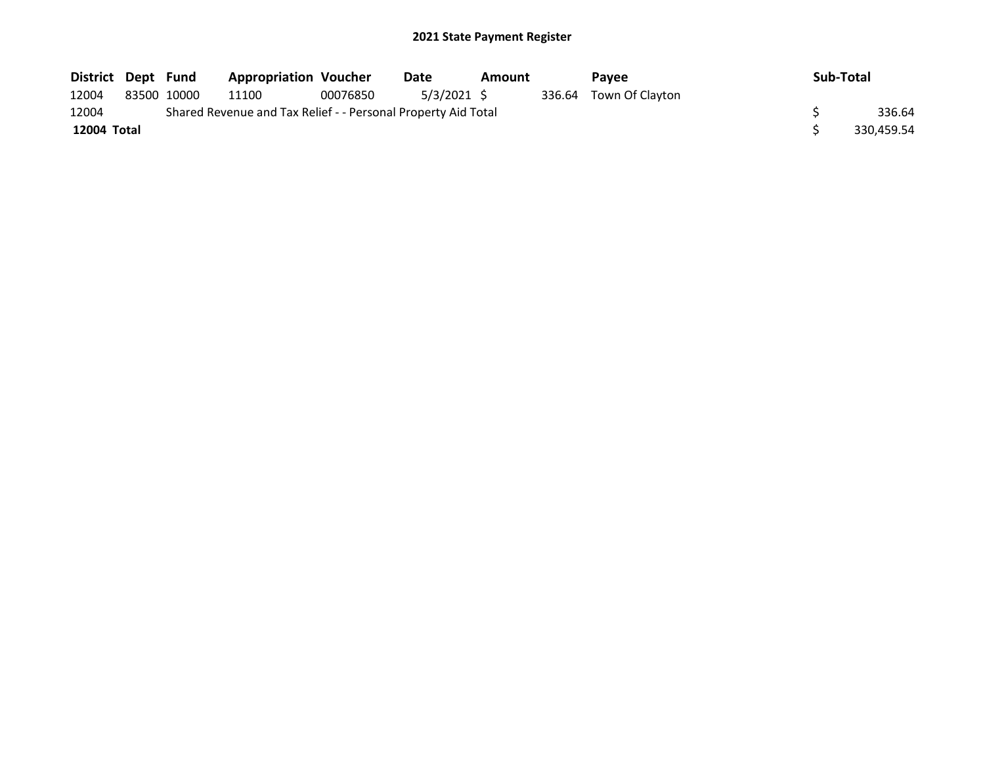| District Dept Fund |             | <b>Appropriation Voucher</b>                                  |          | Date        | Amount | Pavee                  | Sub-Total  |
|--------------------|-------------|---------------------------------------------------------------|----------|-------------|--------|------------------------|------------|
| 12004              | 83500 10000 | 11100                                                         | 00076850 | 5/3/2021 \$ |        | 336.64 Town Of Clayton |            |
| 12004              |             | Shared Revenue and Tax Relief - - Personal Property Aid Total |          |             |        |                        | 336.64     |
| 12004 Total        |             |                                                               |          |             |        |                        | 330,459.54 |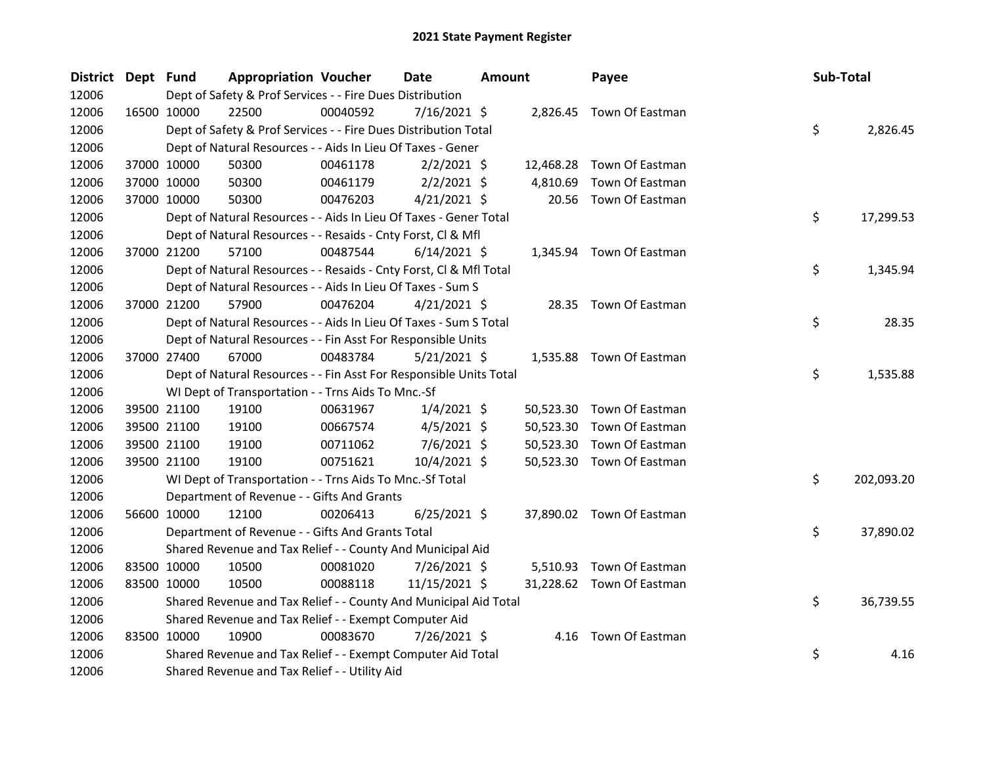| District Dept Fund |             | <b>Appropriation Voucher</b>                                       |          | <b>Date</b>    | <b>Amount</b> |           | Payee                     | Sub-Total |            |
|--------------------|-------------|--------------------------------------------------------------------|----------|----------------|---------------|-----------|---------------------------|-----------|------------|
| 12006              |             | Dept of Safety & Prof Services - - Fire Dues Distribution          |          |                |               |           |                           |           |            |
| 12006              | 16500 10000 | 22500                                                              | 00040592 | $7/16/2021$ \$ |               |           | 2,826.45 Town Of Eastman  |           |            |
| 12006              |             | Dept of Safety & Prof Services - - Fire Dues Distribution Total    |          |                |               |           |                           | \$        | 2,826.45   |
| 12006              |             | Dept of Natural Resources - - Aids In Lieu Of Taxes - Gener        |          |                |               |           |                           |           |            |
| 12006              | 37000 10000 | 50300                                                              | 00461178 | $2/2/2021$ \$  |               |           | 12,468.28 Town Of Eastman |           |            |
| 12006              | 37000 10000 | 50300                                                              | 00461179 | $2/2/2021$ \$  |               | 4,810.69  | Town Of Eastman           |           |            |
| 12006              | 37000 10000 | 50300                                                              | 00476203 | $4/21/2021$ \$ |               | 20.56     | Town Of Eastman           |           |            |
| 12006              |             | Dept of Natural Resources - - Aids In Lieu Of Taxes - Gener Total  |          |                |               |           |                           | \$        | 17,299.53  |
| 12006              |             | Dept of Natural Resources - - Resaids - Cnty Forst, Cl & Mfl       |          |                |               |           |                           |           |            |
| 12006              | 37000 21200 | 57100                                                              | 00487544 | $6/14/2021$ \$ |               |           | 1,345.94 Town Of Eastman  |           |            |
| 12006              |             | Dept of Natural Resources - - Resaids - Cnty Forst, Cl & Mfl Total |          |                |               |           |                           | \$        | 1,345.94   |
| 12006              |             | Dept of Natural Resources - - Aids In Lieu Of Taxes - Sum S        |          |                |               |           |                           |           |            |
| 12006              | 37000 21200 | 57900                                                              | 00476204 | $4/21/2021$ \$ |               |           | 28.35 Town Of Eastman     |           |            |
| 12006              |             | Dept of Natural Resources - - Aids In Lieu Of Taxes - Sum S Total  |          |                |               |           |                           | \$        | 28.35      |
| 12006              |             | Dept of Natural Resources - - Fin Asst For Responsible Units       |          |                |               |           |                           |           |            |
| 12006              | 37000 27400 | 67000                                                              | 00483784 | $5/21/2021$ \$ |               |           | 1,535.88 Town Of Eastman  |           |            |
| 12006              |             | Dept of Natural Resources - - Fin Asst For Responsible Units Total |          |                |               |           |                           | \$        | 1,535.88   |
| 12006              |             | WI Dept of Transportation - - Trns Aids To Mnc.-Sf                 |          |                |               |           |                           |           |            |
| 12006              | 39500 21100 | 19100                                                              | 00631967 | $1/4/2021$ \$  |               |           | 50,523.30 Town Of Eastman |           |            |
| 12006              | 39500 21100 | 19100                                                              | 00667574 | $4/5/2021$ \$  |               | 50,523.30 | Town Of Eastman           |           |            |
| 12006              | 39500 21100 | 19100                                                              | 00711062 | 7/6/2021 \$    |               | 50,523.30 | Town Of Eastman           |           |            |
| 12006              | 39500 21100 | 19100                                                              | 00751621 | 10/4/2021 \$   |               | 50,523.30 | Town Of Eastman           |           |            |
| 12006              |             | WI Dept of Transportation - - Trns Aids To Mnc.-Sf Total           |          |                |               |           |                           | \$        | 202,093.20 |
| 12006              |             | Department of Revenue - - Gifts And Grants                         |          |                |               |           |                           |           |            |
| 12006              | 56600 10000 | 12100                                                              | 00206413 | $6/25/2021$ \$ |               |           | 37,890.02 Town Of Eastman |           |            |
| 12006              |             | Department of Revenue - - Gifts And Grants Total                   |          |                |               |           |                           | \$        | 37,890.02  |
| 12006              |             | Shared Revenue and Tax Relief - - County And Municipal Aid         |          |                |               |           |                           |           |            |
| 12006              | 83500 10000 | 10500                                                              | 00081020 | 7/26/2021 \$   |               |           | 5,510.93 Town Of Eastman  |           |            |
| 12006              | 83500 10000 | 10500                                                              | 00088118 | 11/15/2021 \$  |               |           | 31,228.62 Town Of Eastman |           |            |
| 12006              |             | Shared Revenue and Tax Relief - - County And Municipal Aid Total   |          |                |               |           |                           | \$        | 36,739.55  |
| 12006              |             | Shared Revenue and Tax Relief - - Exempt Computer Aid              |          |                |               |           |                           |           |            |
| 12006              | 83500 10000 | 10900                                                              | 00083670 | 7/26/2021 \$   |               |           | 4.16 Town Of Eastman      |           |            |
| 12006              |             | Shared Revenue and Tax Relief - - Exempt Computer Aid Total        |          |                |               |           |                           | \$        | 4.16       |
| 12006              |             | Shared Revenue and Tax Relief - - Utility Aid                      |          |                |               |           |                           |           |            |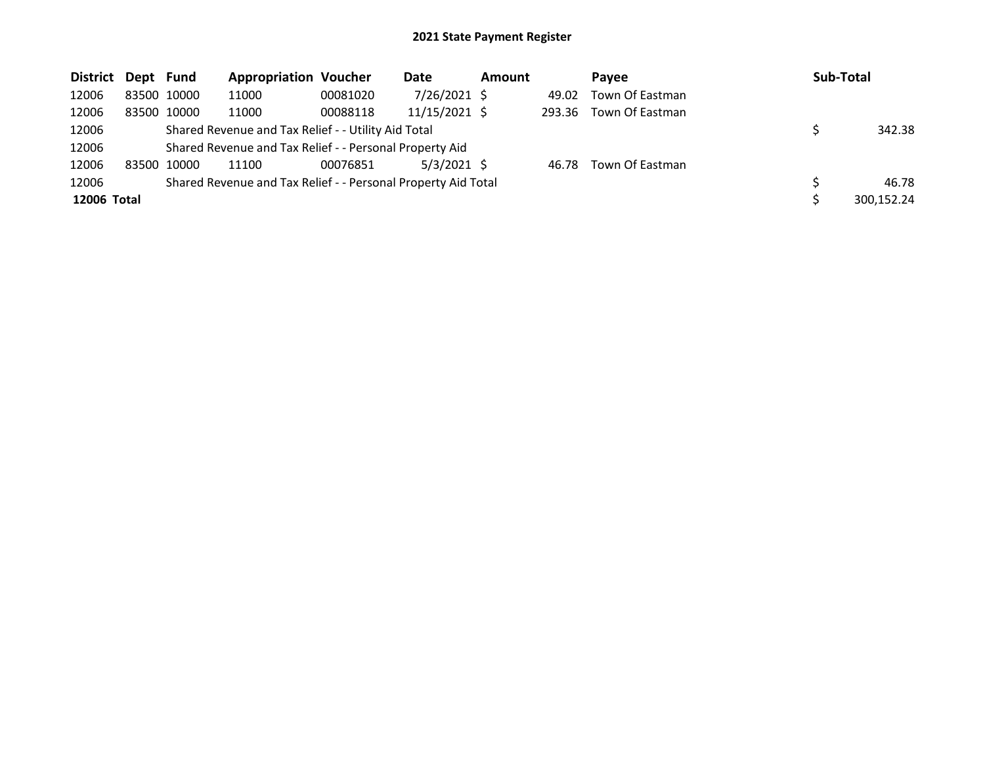| District Dept Fund |             |             | <b>Appropriation Voucher</b>                                  |          | Date          | <b>Amount</b> |        | Pavee           | Sub-Total  |
|--------------------|-------------|-------------|---------------------------------------------------------------|----------|---------------|---------------|--------|-----------------|------------|
| 12006              |             | 83500 10000 | 11000                                                         | 00081020 | 7/26/2021 \$  |               | 49.02  | Town Of Eastman |            |
| 12006              |             | 83500 10000 | 11000                                                         | 00088118 | 11/15/2021 \$ |               | 293.36 | Town Of Eastman |            |
| 12006              |             |             | Shared Revenue and Tax Relief - - Utility Aid Total           |          |               |               |        |                 | 342.38     |
| 12006              |             |             | Shared Revenue and Tax Relief - - Personal Property Aid       |          |               |               |        |                 |            |
| 12006              | 83500 10000 |             | 11100                                                         | 00076851 | $5/3/2021$ \$ |               | 46.78  | Town Of Eastman |            |
| 12006              |             |             | Shared Revenue and Tax Relief - - Personal Property Aid Total |          |               |               |        |                 | 46.78      |
| 12006 Total        |             |             |                                                               |          |               |               |        |                 | 300,152.24 |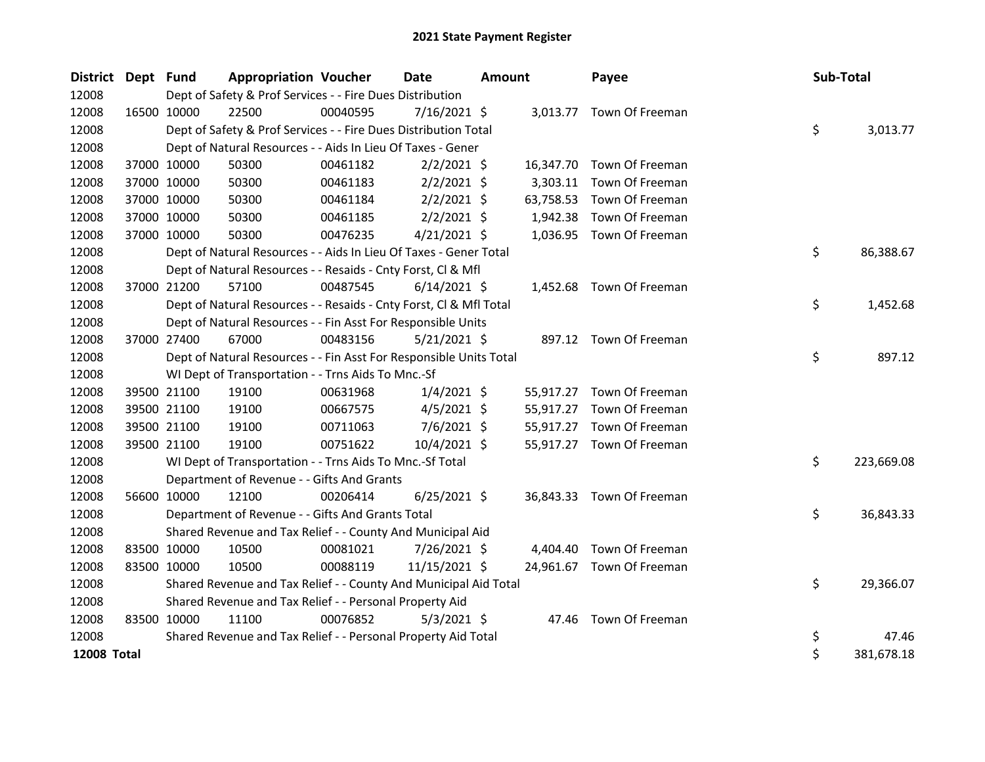| District Dept Fund |             |             | <b>Appropriation Voucher</b>                                       |          | <b>Date</b>    | Amount |           | Payee                     | Sub-Total |            |
|--------------------|-------------|-------------|--------------------------------------------------------------------|----------|----------------|--------|-----------|---------------------------|-----------|------------|
| 12008              |             |             | Dept of Safety & Prof Services - - Fire Dues Distribution          |          |                |        |           |                           |           |            |
| 12008              | 16500 10000 |             | 22500                                                              | 00040595 | $7/16/2021$ \$ |        |           | 3,013.77 Town Of Freeman  |           |            |
| 12008              |             |             | Dept of Safety & Prof Services - - Fire Dues Distribution Total    |          |                |        |           |                           | \$        | 3,013.77   |
| 12008              |             |             | Dept of Natural Resources - - Aids In Lieu Of Taxes - Gener        |          |                |        |           |                           |           |            |
| 12008              |             | 37000 10000 | 50300                                                              | 00461182 | $2/2/2021$ \$  |        | 16,347.70 | Town Of Freeman           |           |            |
| 12008              |             | 37000 10000 | 50300                                                              | 00461183 | $2/2/2021$ \$  |        | 3,303.11  | Town Of Freeman           |           |            |
| 12008              |             | 37000 10000 | 50300                                                              | 00461184 | $2/2/2021$ \$  |        | 63,758.53 | Town Of Freeman           |           |            |
| 12008              |             | 37000 10000 | 50300                                                              | 00461185 | $2/2/2021$ \$  |        | 1,942.38  | Town Of Freeman           |           |            |
| 12008              | 37000 10000 |             | 50300                                                              | 00476235 | $4/21/2021$ \$ |        |           | 1,036.95 Town Of Freeman  |           |            |
| 12008              |             |             | Dept of Natural Resources - - Aids In Lieu Of Taxes - Gener Total  |          |                |        |           |                           | \$        | 86,388.67  |
| 12008              |             |             | Dept of Natural Resources - - Resaids - Cnty Forst, Cl & Mfl       |          |                |        |           |                           |           |            |
| 12008              |             | 37000 21200 | 57100                                                              | 00487545 | $6/14/2021$ \$ |        |           | 1,452.68 Town Of Freeman  |           |            |
| 12008              |             |             | Dept of Natural Resources - - Resaids - Cnty Forst, Cl & Mfl Total |          |                |        |           |                           | \$        | 1,452.68   |
| 12008              |             |             | Dept of Natural Resources - - Fin Asst For Responsible Units       |          |                |        |           |                           |           |            |
| 12008              |             | 37000 27400 | 67000                                                              | 00483156 | $5/21/2021$ \$ |        |           | 897.12 Town Of Freeman    |           |            |
| 12008              |             |             | Dept of Natural Resources - - Fin Asst For Responsible Units Total |          |                |        |           |                           | \$        | 897.12     |
| 12008              |             |             | WI Dept of Transportation - - Trns Aids To Mnc.-Sf                 |          |                |        |           |                           |           |            |
| 12008              |             | 39500 21100 | 19100                                                              | 00631968 | $1/4/2021$ \$  |        |           | 55,917.27 Town Of Freeman |           |            |
| 12008              |             | 39500 21100 | 19100                                                              | 00667575 | 4/5/2021 \$    |        | 55,917.27 | Town Of Freeman           |           |            |
| 12008              |             | 39500 21100 | 19100                                                              | 00711063 | $7/6/2021$ \$  |        | 55,917.27 | Town Of Freeman           |           |            |
| 12008              |             | 39500 21100 | 19100                                                              | 00751622 | 10/4/2021 \$   |        |           | 55,917.27 Town Of Freeman |           |            |
| 12008              |             |             | WI Dept of Transportation - - Trns Aids To Mnc.-Sf Total           |          |                |        |           |                           | \$        | 223,669.08 |
| 12008              |             |             | Department of Revenue - - Gifts And Grants                         |          |                |        |           |                           |           |            |
| 12008              |             | 56600 10000 | 12100                                                              | 00206414 | $6/25/2021$ \$ |        |           | 36,843.33 Town Of Freeman |           |            |
| 12008              |             |             | Department of Revenue - - Gifts And Grants Total                   |          |                |        |           |                           | \$        | 36,843.33  |
| 12008              |             |             | Shared Revenue and Tax Relief - - County And Municipal Aid         |          |                |        |           |                           |           |            |
| 12008              |             | 83500 10000 | 10500                                                              | 00081021 | 7/26/2021 \$   |        | 4,404.40  | Town Of Freeman           |           |            |
| 12008              |             | 83500 10000 | 10500                                                              | 00088119 | 11/15/2021 \$  |        |           | 24,961.67 Town Of Freeman |           |            |
| 12008              |             |             | Shared Revenue and Tax Relief - - County And Municipal Aid Total   |          |                |        |           |                           | \$        | 29,366.07  |
| 12008              |             |             | Shared Revenue and Tax Relief - - Personal Property Aid            |          |                |        |           |                           |           |            |
| 12008              | 83500 10000 |             | 11100                                                              | 00076852 | $5/3/2021$ \$  |        |           | 47.46 Town Of Freeman     |           |            |
| 12008              |             |             | Shared Revenue and Tax Relief - - Personal Property Aid Total      |          |                |        |           |                           | \$        | 47.46      |
| <b>12008 Total</b> |             |             |                                                                    |          |                |        |           |                           | \$        | 381,678.18 |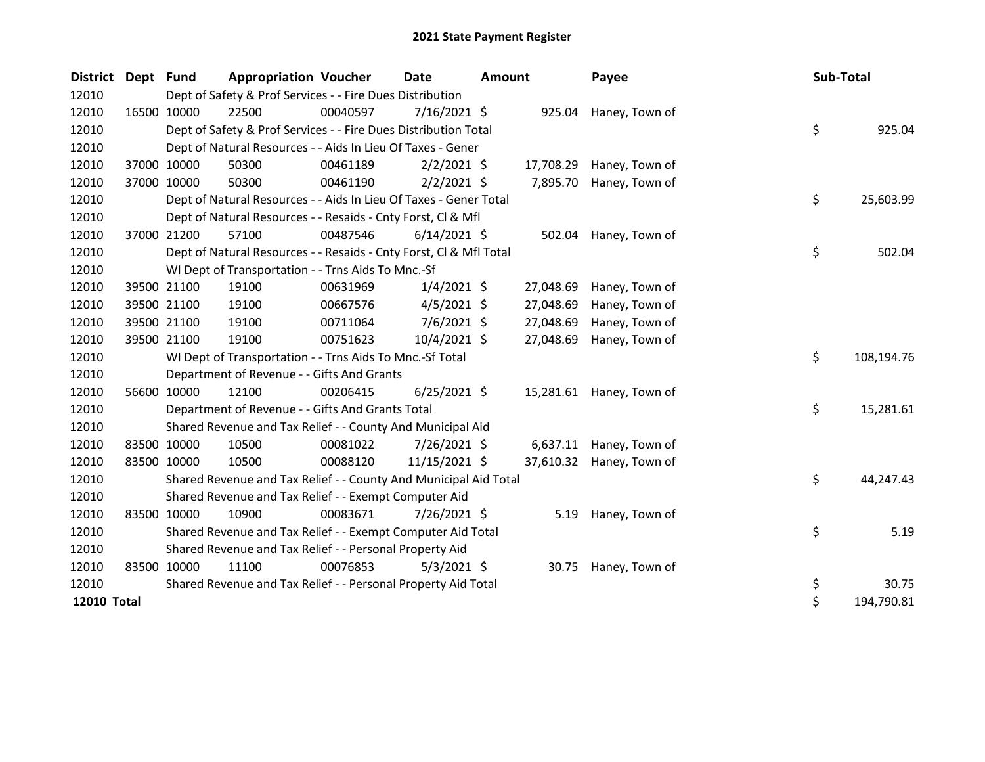| <b>District</b> | Dept Fund |             | <b>Appropriation Voucher</b>                                       |          | <b>Date</b>    | <b>Amount</b> |           | Payee                    | Sub-Total |            |
|-----------------|-----------|-------------|--------------------------------------------------------------------|----------|----------------|---------------|-----------|--------------------------|-----------|------------|
| 12010           |           |             | Dept of Safety & Prof Services - - Fire Dues Distribution          |          |                |               |           |                          |           |            |
| 12010           |           | 16500 10000 | 22500                                                              | 00040597 | 7/16/2021 \$   |               | 925.04    | Haney, Town of           |           |            |
| 12010           |           |             | Dept of Safety & Prof Services - - Fire Dues Distribution Total    |          |                |               |           |                          | \$        | 925.04     |
| 12010           |           |             | Dept of Natural Resources - - Aids In Lieu Of Taxes - Gener        |          |                |               |           |                          |           |            |
| 12010           |           | 37000 10000 | 50300                                                              | 00461189 | $2/2/2021$ \$  |               | 17,708.29 | Haney, Town of           |           |            |
| 12010           |           | 37000 10000 | 50300                                                              | 00461190 | $2/2/2021$ \$  |               | 7,895.70  | Haney, Town of           |           |            |
| 12010           |           |             | Dept of Natural Resources - - Aids In Lieu Of Taxes - Gener Total  |          |                |               |           |                          | \$        | 25,603.99  |
| 12010           |           |             | Dept of Natural Resources - - Resaids - Cnty Forst, Cl & Mfl       |          |                |               |           |                          |           |            |
| 12010           |           | 37000 21200 | 57100                                                              | 00487546 | $6/14/2021$ \$ |               | 502.04    | Haney, Town of           |           |            |
| 12010           |           |             | Dept of Natural Resources - - Resaids - Cnty Forst, Cl & Mfl Total |          |                |               |           |                          | \$        | 502.04     |
| 12010           |           |             | WI Dept of Transportation - - Trns Aids To Mnc.-Sf                 |          |                |               |           |                          |           |            |
| 12010           |           | 39500 21100 | 19100                                                              | 00631969 | $1/4/2021$ \$  |               | 27,048.69 | Haney, Town of           |           |            |
| 12010           |           | 39500 21100 | 19100                                                              | 00667576 | $4/5/2021$ \$  |               | 27,048.69 | Haney, Town of           |           |            |
| 12010           |           | 39500 21100 | 19100                                                              | 00711064 | $7/6/2021$ \$  |               | 27,048.69 | Haney, Town of           |           |            |
| 12010           |           | 39500 21100 | 19100                                                              | 00751623 | 10/4/2021 \$   |               | 27,048.69 | Haney, Town of           |           |            |
| 12010           |           |             | WI Dept of Transportation - - Trns Aids To Mnc.-Sf Total           |          |                |               |           |                          | \$        | 108,194.76 |
| 12010           |           |             | Department of Revenue - - Gifts And Grants                         |          |                |               |           |                          |           |            |
| 12010           |           | 56600 10000 | 12100                                                              | 00206415 | $6/25/2021$ \$ |               |           | 15,281.61 Haney, Town of |           |            |
| 12010           |           |             | Department of Revenue - - Gifts And Grants Total                   |          |                |               |           |                          | \$        | 15,281.61  |
| 12010           |           |             | Shared Revenue and Tax Relief - - County And Municipal Aid         |          |                |               |           |                          |           |            |
| 12010           |           | 83500 10000 | 10500                                                              | 00081022 | 7/26/2021 \$   |               |           | 6,637.11 Haney, Town of  |           |            |
| 12010           |           | 83500 10000 | 10500                                                              | 00088120 | 11/15/2021 \$  |               |           | 37,610.32 Haney, Town of |           |            |
| 12010           |           |             | Shared Revenue and Tax Relief - - County And Municipal Aid Total   |          |                |               |           |                          | \$        | 44,247.43  |
| 12010           |           |             | Shared Revenue and Tax Relief - - Exempt Computer Aid              |          |                |               |           |                          |           |            |
| 12010           |           | 83500 10000 | 10900                                                              | 00083671 | 7/26/2021 \$   |               |           | 5.19 Haney, Town of      |           |            |
| 12010           |           |             | Shared Revenue and Tax Relief - - Exempt Computer Aid Total        |          |                |               |           |                          | \$        | 5.19       |
| 12010           |           |             | Shared Revenue and Tax Relief - - Personal Property Aid            |          |                |               |           |                          |           |            |
| 12010           |           | 83500 10000 | 11100                                                              | 00076853 | $5/3/2021$ \$  |               |           | 30.75 Haney, Town of     |           |            |
| 12010           |           |             | Shared Revenue and Tax Relief - - Personal Property Aid Total      |          |                |               |           |                          | \$        | 30.75      |
| 12010 Total     |           |             |                                                                    |          |                |               |           |                          | \$        | 194,790.81 |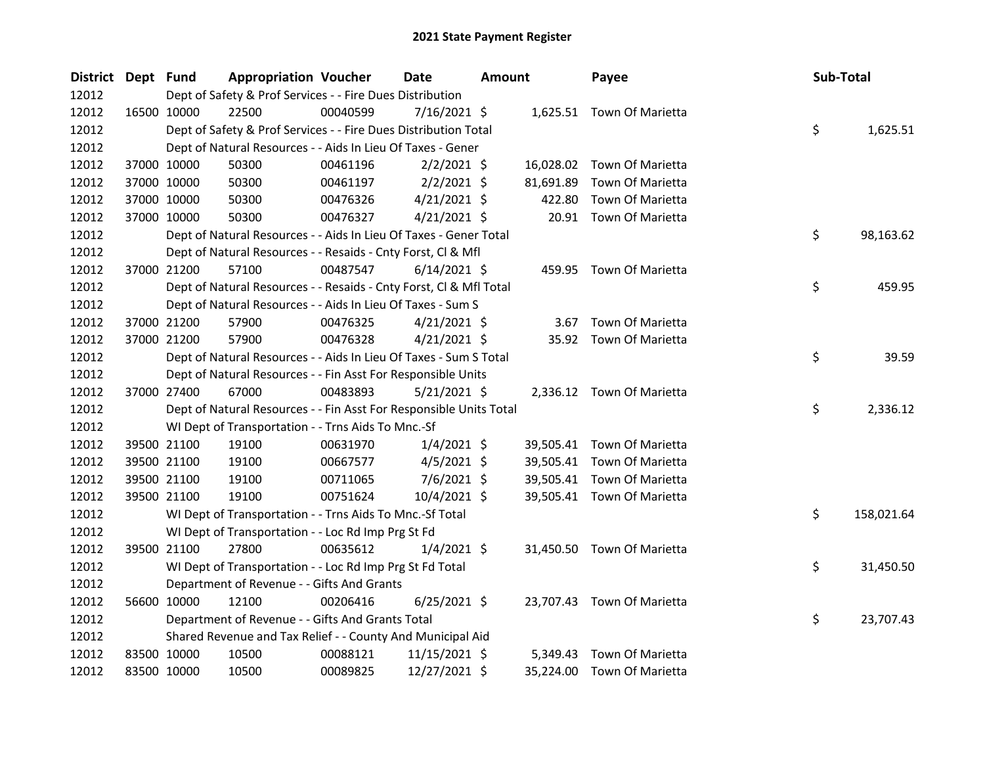| District Dept Fund |             | <b>Appropriation Voucher</b>                                       |          | Date           | Amount |           | Payee                      | Sub-Total |            |
|--------------------|-------------|--------------------------------------------------------------------|----------|----------------|--------|-----------|----------------------------|-----------|------------|
| 12012              |             | Dept of Safety & Prof Services - - Fire Dues Distribution          |          |                |        |           |                            |           |            |
| 12012              | 16500 10000 | 22500                                                              | 00040599 | 7/16/2021 \$   |        |           | 1,625.51 Town Of Marietta  |           |            |
| 12012              |             | Dept of Safety & Prof Services - - Fire Dues Distribution Total    |          |                |        |           |                            | \$        | 1,625.51   |
| 12012              |             | Dept of Natural Resources - - Aids In Lieu Of Taxes - Gener        |          |                |        |           |                            |           |            |
| 12012              | 37000 10000 | 50300                                                              | 00461196 | $2/2/2021$ \$  |        |           | 16,028.02 Town Of Marietta |           |            |
| 12012              | 37000 10000 | 50300                                                              | 00461197 | $2/2/2021$ \$  |        | 81,691.89 | Town Of Marietta           |           |            |
| 12012              | 37000 10000 | 50300                                                              | 00476326 | $4/21/2021$ \$ |        | 422.80    | Town Of Marietta           |           |            |
| 12012              | 37000 10000 | 50300                                                              | 00476327 | $4/21/2021$ \$ |        |           | 20.91 Town Of Marietta     |           |            |
| 12012              |             | Dept of Natural Resources - - Aids In Lieu Of Taxes - Gener Total  |          |                |        |           |                            | \$        | 98,163.62  |
| 12012              |             | Dept of Natural Resources - - Resaids - Cnty Forst, Cl & Mfl       |          |                |        |           |                            |           |            |
| 12012              | 37000 21200 | 57100                                                              | 00487547 | $6/14/2021$ \$ |        |           | 459.95 Town Of Marietta    |           |            |
| 12012              |             | Dept of Natural Resources - - Resaids - Cnty Forst, CI & Mfl Total |          |                |        |           |                            | \$        | 459.95     |
| 12012              |             | Dept of Natural Resources - - Aids In Lieu Of Taxes - Sum S        |          |                |        |           |                            |           |            |
| 12012              | 37000 21200 | 57900                                                              | 00476325 | $4/21/2021$ \$ |        |           | 3.67 Town Of Marietta      |           |            |
| 12012              | 37000 21200 | 57900                                                              | 00476328 | $4/21/2021$ \$ |        |           | 35.92 Town Of Marietta     |           |            |
| 12012              |             | Dept of Natural Resources - - Aids In Lieu Of Taxes - Sum S Total  |          |                |        |           |                            | \$        | 39.59      |
| 12012              |             | Dept of Natural Resources - - Fin Asst For Responsible Units       |          |                |        |           |                            |           |            |
| 12012              | 37000 27400 | 67000                                                              | 00483893 | $5/21/2021$ \$ |        |           | 2,336.12 Town Of Marietta  |           |            |
| 12012              |             | Dept of Natural Resources - - Fin Asst For Responsible Units Total |          |                |        |           |                            | \$        | 2,336.12   |
| 12012              |             | WI Dept of Transportation - - Trns Aids To Mnc.-Sf                 |          |                |        |           |                            |           |            |
| 12012              | 39500 21100 | 19100                                                              | 00631970 | $1/4/2021$ \$  |        |           | 39,505.41 Town Of Marietta |           |            |
| 12012              | 39500 21100 | 19100                                                              | 00667577 | $4/5/2021$ \$  |        |           | 39,505.41 Town Of Marietta |           |            |
| 12012              | 39500 21100 | 19100                                                              | 00711065 | $7/6/2021$ \$  |        |           | 39,505.41 Town Of Marietta |           |            |
| 12012              | 39500 21100 | 19100                                                              | 00751624 | 10/4/2021 \$   |        |           | 39,505.41 Town Of Marietta |           |            |
| 12012              |             | WI Dept of Transportation - - Trns Aids To Mnc.-Sf Total           |          |                |        |           |                            | \$        | 158,021.64 |
| 12012              |             | WI Dept of Transportation - - Loc Rd Imp Prg St Fd                 |          |                |        |           |                            |           |            |
| 12012              | 39500 21100 | 27800                                                              | 00635612 | $1/4/2021$ \$  |        |           | 31,450.50 Town Of Marietta |           |            |
| 12012              |             | WI Dept of Transportation - - Loc Rd Imp Prg St Fd Total           |          |                |        |           |                            | \$        | 31,450.50  |
| 12012              |             | Department of Revenue - - Gifts And Grants                         |          |                |        |           |                            |           |            |
| 12012              | 56600 10000 | 12100                                                              | 00206416 | $6/25/2021$ \$ |        |           | 23,707.43 Town Of Marietta |           |            |
| 12012              |             | Department of Revenue - - Gifts And Grants Total                   |          |                |        |           |                            | \$        | 23,707.43  |
| 12012              |             | Shared Revenue and Tax Relief - - County And Municipal Aid         |          |                |        |           |                            |           |            |
| 12012              | 83500 10000 | 10500                                                              | 00088121 | 11/15/2021 \$  |        | 5,349.43  | Town Of Marietta           |           |            |
| 12012              | 83500 10000 | 10500                                                              | 00089825 | 12/27/2021 \$  |        |           | 35,224.00 Town Of Marietta |           |            |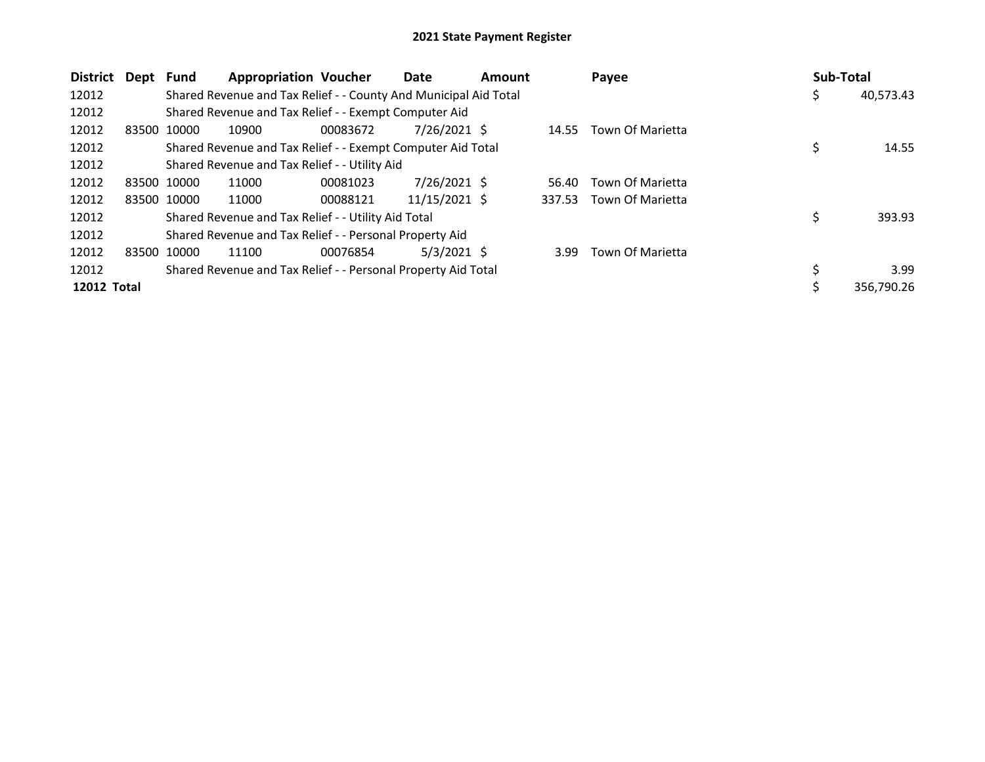| District           | Dept        | Fund        | <b>Appropriation Voucher</b>                                     |          | Date           | <b>Amount</b> |        | Payee            | <b>Sub-Total</b> |            |
|--------------------|-------------|-------------|------------------------------------------------------------------|----------|----------------|---------------|--------|------------------|------------------|------------|
| 12012              |             |             | Shared Revenue and Tax Relief - - County And Municipal Aid Total |          |                |               |        |                  | \$.              | 40,573.43  |
| 12012              |             |             | Shared Revenue and Tax Relief - - Exempt Computer Aid            |          |                |               |        |                  |                  |            |
| 12012              | 83500 10000 |             | 10900                                                            | 00083672 | 7/26/2021 \$   |               | 14.55  | Town Of Marietta |                  |            |
| 12012              |             |             | Shared Revenue and Tax Relief - - Exempt Computer Aid Total      |          |                |               |        |                  | \$               | 14.55      |
| 12012              |             |             | Shared Revenue and Tax Relief - - Utility Aid                    |          |                |               |        |                  |                  |            |
| 12012              |             | 83500 10000 | 11000                                                            | 00081023 | $7/26/2021$ \$ |               | 56.40  | Town Of Marietta |                  |            |
| 12012              |             | 83500 10000 | 11000                                                            | 00088121 | 11/15/2021 \$  |               | 337.53 | Town Of Marietta |                  |            |
| 12012              |             |             | Shared Revenue and Tax Relief - - Utility Aid Total              |          |                |               |        |                  | \$               | 393.93     |
| 12012              |             |             | Shared Revenue and Tax Relief - - Personal Property Aid          |          |                |               |        |                  |                  |            |
| 12012              | 83500 10000 |             | 11100                                                            | 00076854 | $5/3/2021$ \$  |               | 3.99   | Town Of Marietta |                  |            |
| 12012              |             |             | Shared Revenue and Tax Relief - - Personal Property Aid Total    |          |                |               |        |                  |                  | 3.99       |
| <b>12012 Total</b> |             |             |                                                                  |          |                |               |        |                  |                  | 356,790.26 |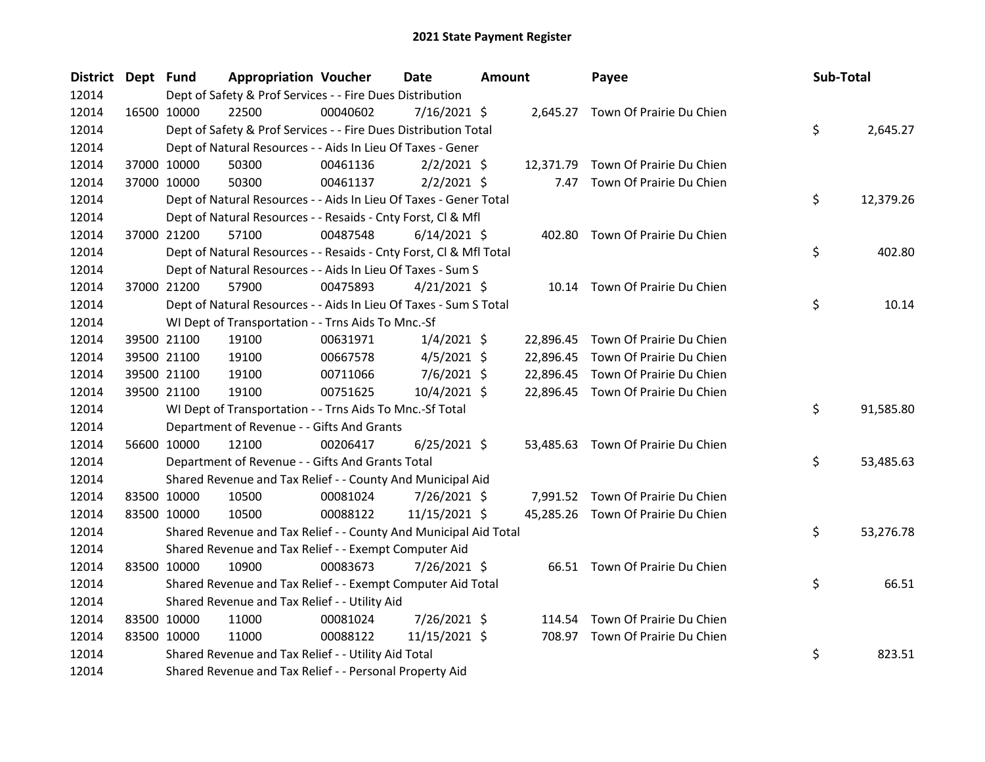| District Dept Fund |             | <b>Appropriation Voucher</b>                                       |          | <b>Date</b>    | Amount | Payee                              | Sub-Total |           |
|--------------------|-------------|--------------------------------------------------------------------|----------|----------------|--------|------------------------------------|-----------|-----------|
| 12014              |             | Dept of Safety & Prof Services - - Fire Dues Distribution          |          |                |        |                                    |           |           |
| 12014              | 16500 10000 | 22500                                                              | 00040602 | $7/16/2021$ \$ |        | 2,645.27 Town Of Prairie Du Chien  |           |           |
| 12014              |             | Dept of Safety & Prof Services - - Fire Dues Distribution Total    |          |                |        |                                    | \$        | 2,645.27  |
| 12014              |             | Dept of Natural Resources - - Aids In Lieu Of Taxes - Gener        |          |                |        |                                    |           |           |
| 12014              | 37000 10000 | 50300                                                              | 00461136 | $2/2/2021$ \$  |        | 12,371.79 Town Of Prairie Du Chien |           |           |
| 12014              | 37000 10000 | 50300                                                              | 00461137 | $2/2/2021$ \$  |        | 7.47 Town Of Prairie Du Chien      |           |           |
| 12014              |             | Dept of Natural Resources - - Aids In Lieu Of Taxes - Gener Total  |          |                |        |                                    | \$        | 12,379.26 |
| 12014              |             | Dept of Natural Resources - - Resaids - Cnty Forst, Cl & Mfl       |          |                |        |                                    |           |           |
| 12014              | 37000 21200 | 57100                                                              | 00487548 | $6/14/2021$ \$ |        | 402.80 Town Of Prairie Du Chien    |           |           |
| 12014              |             | Dept of Natural Resources - - Resaids - Cnty Forst, Cl & Mfl Total |          |                |        |                                    | \$        | 402.80    |
| 12014              |             | Dept of Natural Resources - - Aids In Lieu Of Taxes - Sum S        |          |                |        |                                    |           |           |
| 12014              | 37000 21200 | 57900                                                              | 00475893 | $4/21/2021$ \$ |        | 10.14 Town Of Prairie Du Chien     |           |           |
| 12014              |             | Dept of Natural Resources - - Aids In Lieu Of Taxes - Sum S Total  |          |                |        |                                    | \$        | 10.14     |
| 12014              |             | WI Dept of Transportation - - Trns Aids To Mnc.-Sf                 |          |                |        |                                    |           |           |
| 12014              | 39500 21100 | 19100                                                              | 00631971 | $1/4/2021$ \$  |        | 22,896.45 Town Of Prairie Du Chien |           |           |
| 12014              | 39500 21100 | 19100                                                              | 00667578 | $4/5/2021$ \$  |        | 22,896.45 Town Of Prairie Du Chien |           |           |
| 12014              | 39500 21100 | 19100                                                              | 00711066 | 7/6/2021 \$    |        | 22,896.45 Town Of Prairie Du Chien |           |           |
| 12014              | 39500 21100 | 19100                                                              | 00751625 | 10/4/2021 \$   |        | 22,896.45 Town Of Prairie Du Chien |           |           |
| 12014              |             | WI Dept of Transportation - - Trns Aids To Mnc.-Sf Total           |          |                |        |                                    | \$        | 91,585.80 |
| 12014              |             | Department of Revenue - - Gifts And Grants                         |          |                |        |                                    |           |           |
| 12014              | 56600 10000 | 12100                                                              | 00206417 | $6/25/2021$ \$ |        | 53,485.63 Town Of Prairie Du Chien |           |           |
| 12014              |             | Department of Revenue - - Gifts And Grants Total                   |          |                |        |                                    | \$        | 53,485.63 |
| 12014              |             | Shared Revenue and Tax Relief - - County And Municipal Aid         |          |                |        |                                    |           |           |
| 12014              | 83500 10000 | 10500                                                              | 00081024 | 7/26/2021 \$   |        | 7,991.52 Town Of Prairie Du Chien  |           |           |
| 12014              | 83500 10000 | 10500                                                              | 00088122 | 11/15/2021 \$  |        | 45,285.26 Town Of Prairie Du Chien |           |           |
| 12014              |             | Shared Revenue and Tax Relief - - County And Municipal Aid Total   |          |                |        |                                    | \$        | 53,276.78 |
| 12014              |             | Shared Revenue and Tax Relief - - Exempt Computer Aid              |          |                |        |                                    |           |           |
| 12014              | 83500 10000 | 10900                                                              | 00083673 | 7/26/2021 \$   |        | 66.51 Town Of Prairie Du Chien     |           |           |
| 12014              |             | Shared Revenue and Tax Relief - - Exempt Computer Aid Total        |          |                |        |                                    | \$        | 66.51     |
| 12014              |             | Shared Revenue and Tax Relief - - Utility Aid                      |          |                |        |                                    |           |           |
| 12014              | 83500 10000 | 11000                                                              | 00081024 | 7/26/2021 \$   |        | 114.54 Town Of Prairie Du Chien    |           |           |
| 12014              | 83500 10000 | 11000                                                              | 00088122 | 11/15/2021 \$  |        | 708.97 Town Of Prairie Du Chien    |           |           |
| 12014              |             | Shared Revenue and Tax Relief - - Utility Aid Total                |          |                |        |                                    | \$        | 823.51    |
| 12014              |             | Shared Revenue and Tax Relief - - Personal Property Aid            |          |                |        |                                    |           |           |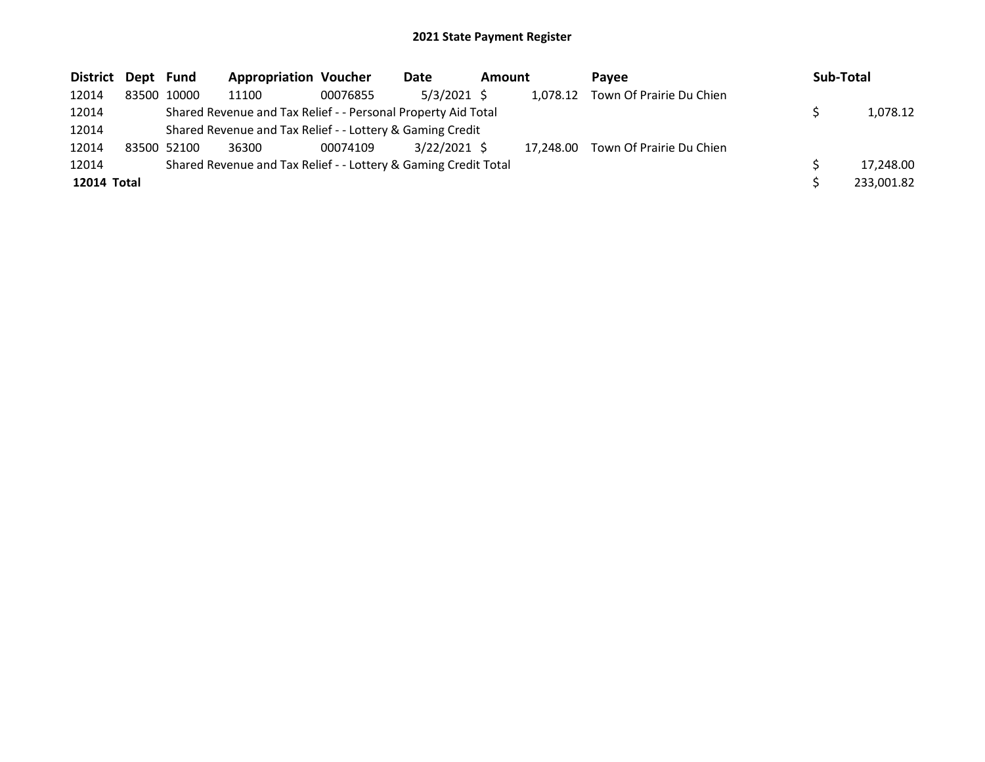| <b>District</b> | Dept Fund |             | <b>Appropriation Voucher</b>                                    |          | Date           | <b>Amount</b> |           | <b>Pavee</b>             | <b>Sub-Total</b> |
|-----------------|-----------|-------------|-----------------------------------------------------------------|----------|----------------|---------------|-----------|--------------------------|------------------|
| 12014           |           | 83500 10000 | 11100                                                           | 00076855 | $5/3/2021$ \$  |               | 1,078.12  | Town Of Prairie Du Chien |                  |
| 12014           |           |             | Shared Revenue and Tax Relief - - Personal Property Aid Total   |          |                |               |           |                          | 1,078.12         |
| 12014           |           |             | Shared Revenue and Tax Relief - - Lottery & Gaming Credit       |          |                |               |           |                          |                  |
| 12014           |           | 83500 52100 | 36300                                                           | 00074109 | $3/22/2021$ \$ |               | 17.248.00 | Town Of Prairie Du Chien |                  |
| 12014           |           |             | Shared Revenue and Tax Relief - - Lottery & Gaming Credit Total |          |                |               |           |                          | 17,248.00        |
| 12014 Total     |           |             |                                                                 |          |                |               |           |                          | 233,001.82       |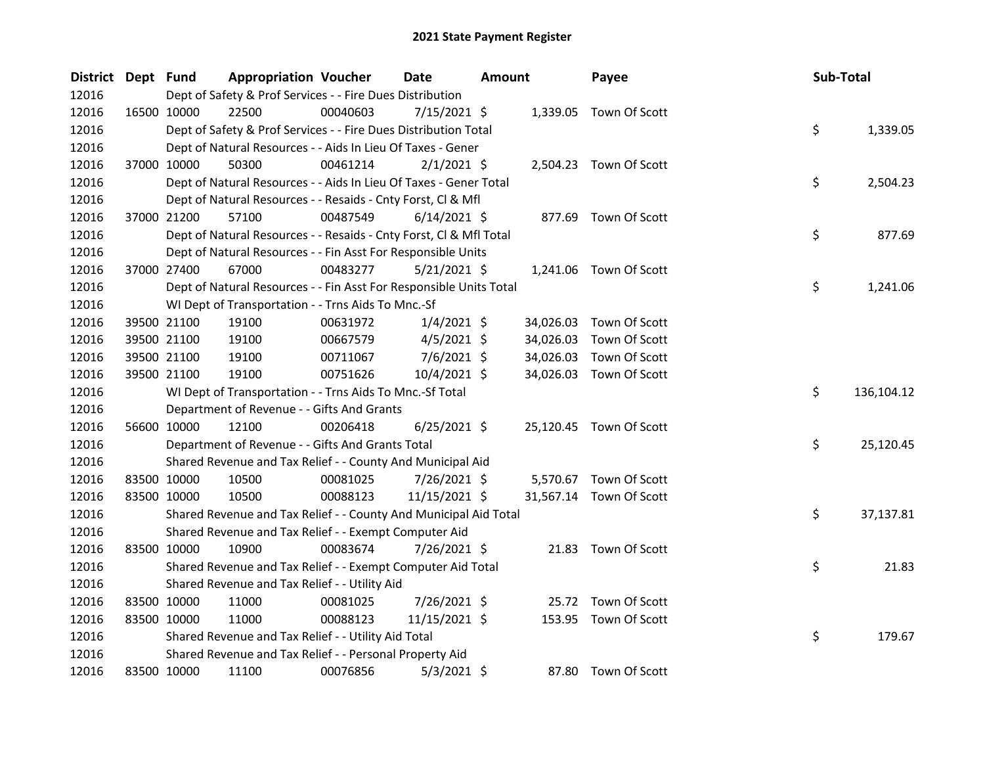| District Dept Fund |                                                                                     | <b>Appropriation Voucher</b>                                       |          | <b>Date</b>    | <b>Amount</b> |           | Payee                   |  | Sub-Total |            |
|--------------------|-------------------------------------------------------------------------------------|--------------------------------------------------------------------|----------|----------------|---------------|-----------|-------------------------|--|-----------|------------|
| 12016              | Dept of Safety & Prof Services - - Fire Dues Distribution<br>1,339.05 Town Of Scott |                                                                    |          |                |               |           |                         |  |           |            |
| 12016              | 16500 10000                                                                         | 22500                                                              | 00040603 | $7/15/2021$ \$ |               |           |                         |  |           |            |
| 12016              |                                                                                     | Dept of Safety & Prof Services - - Fire Dues Distribution Total    |          |                |               |           |                         |  | \$        | 1,339.05   |
| 12016              |                                                                                     | Dept of Natural Resources - - Aids In Lieu Of Taxes - Gener        |          |                |               |           |                         |  |           |            |
| 12016              | 37000 10000                                                                         | 50300                                                              | 00461214 | $2/1/2021$ \$  |               |           | 2,504.23 Town Of Scott  |  |           |            |
| 12016              |                                                                                     | Dept of Natural Resources - - Aids In Lieu Of Taxes - Gener Total  |          |                |               |           |                         |  | \$        | 2,504.23   |
| 12016              |                                                                                     | Dept of Natural Resources - - Resaids - Cnty Forst, Cl & Mfl       |          |                |               |           |                         |  |           |            |
| 12016              | 37000 21200                                                                         | 57100                                                              | 00487549 | $6/14/2021$ \$ |               |           | 877.69 Town Of Scott    |  |           |            |
| 12016              |                                                                                     | Dept of Natural Resources - - Resaids - Cnty Forst, CI & Mfl Total |          |                |               |           |                         |  | \$        | 877.69     |
| 12016              |                                                                                     | Dept of Natural Resources - - Fin Asst For Responsible Units       |          |                |               |           |                         |  |           |            |
| 12016              | 37000 27400                                                                         | 67000                                                              | 00483277 | $5/21/2021$ \$ |               |           | 1,241.06 Town Of Scott  |  |           |            |
| 12016              |                                                                                     | Dept of Natural Resources - - Fin Asst For Responsible Units Total |          |                |               |           |                         |  | \$        | 1,241.06   |
| 12016              |                                                                                     | WI Dept of Transportation - - Trns Aids To Mnc.-Sf                 |          |                |               |           |                         |  |           |            |
| 12016              | 39500 21100                                                                         | 19100                                                              | 00631972 | $1/4/2021$ \$  |               | 34,026.03 | Town Of Scott           |  |           |            |
| 12016              | 39500 21100                                                                         | 19100                                                              | 00667579 | $4/5/2021$ \$  |               | 34,026.03 | Town Of Scott           |  |           |            |
| 12016              | 39500 21100                                                                         | 19100                                                              | 00711067 | $7/6/2021$ \$  |               | 34,026.03 | Town Of Scott           |  |           |            |
| 12016              | 39500 21100                                                                         | 19100                                                              | 00751626 | 10/4/2021 \$   |               | 34,026.03 | Town Of Scott           |  |           |            |
| 12016              |                                                                                     | WI Dept of Transportation - - Trns Aids To Mnc.-Sf Total           |          |                |               |           |                         |  | \$        | 136,104.12 |
| 12016              |                                                                                     | Department of Revenue - - Gifts And Grants                         |          |                |               |           |                         |  |           |            |
| 12016              | 56600 10000                                                                         | 12100                                                              | 00206418 | $6/25/2021$ \$ |               |           | 25,120.45 Town Of Scott |  |           |            |
| 12016              |                                                                                     | Department of Revenue - - Gifts And Grants Total                   |          |                |               |           |                         |  | \$        | 25,120.45  |
| 12016              |                                                                                     | Shared Revenue and Tax Relief - - County And Municipal Aid         |          |                |               |           |                         |  |           |            |
| 12016              | 83500 10000                                                                         | 10500                                                              | 00081025 | 7/26/2021 \$   |               |           | 5,570.67 Town Of Scott  |  |           |            |
| 12016              | 83500 10000                                                                         | 10500                                                              | 00088123 | 11/15/2021 \$  |               |           | 31,567.14 Town Of Scott |  |           |            |
| 12016              |                                                                                     | Shared Revenue and Tax Relief - - County And Municipal Aid Total   |          |                |               |           |                         |  | \$        | 37,137.81  |
| 12016              |                                                                                     | Shared Revenue and Tax Relief - - Exempt Computer Aid              |          |                |               |           |                         |  |           |            |
| 12016              | 83500 10000                                                                         | 10900                                                              | 00083674 | 7/26/2021 \$   |               |           | 21.83 Town Of Scott     |  |           |            |
| 12016              |                                                                                     | Shared Revenue and Tax Relief - - Exempt Computer Aid Total        |          |                |               |           |                         |  | \$        | 21.83      |
| 12016              |                                                                                     | Shared Revenue and Tax Relief - - Utility Aid                      |          |                |               |           |                         |  |           |            |
| 12016              | 83500 10000                                                                         | 11000                                                              | 00081025 | 7/26/2021 \$   |               |           | 25.72 Town Of Scott     |  |           |            |
| 12016              | 83500 10000                                                                         | 11000                                                              | 00088123 | 11/15/2021 \$  |               |           | 153.95 Town Of Scott    |  |           |            |
| 12016              |                                                                                     | Shared Revenue and Tax Relief - - Utility Aid Total                |          |                |               |           |                         |  | \$        | 179.67     |
| 12016              |                                                                                     | Shared Revenue and Tax Relief - - Personal Property Aid            |          |                |               |           |                         |  |           |            |
| 12016              | 83500 10000                                                                         | 11100                                                              | 00076856 | $5/3/2021$ \$  |               |           | 87.80 Town Of Scott     |  |           |            |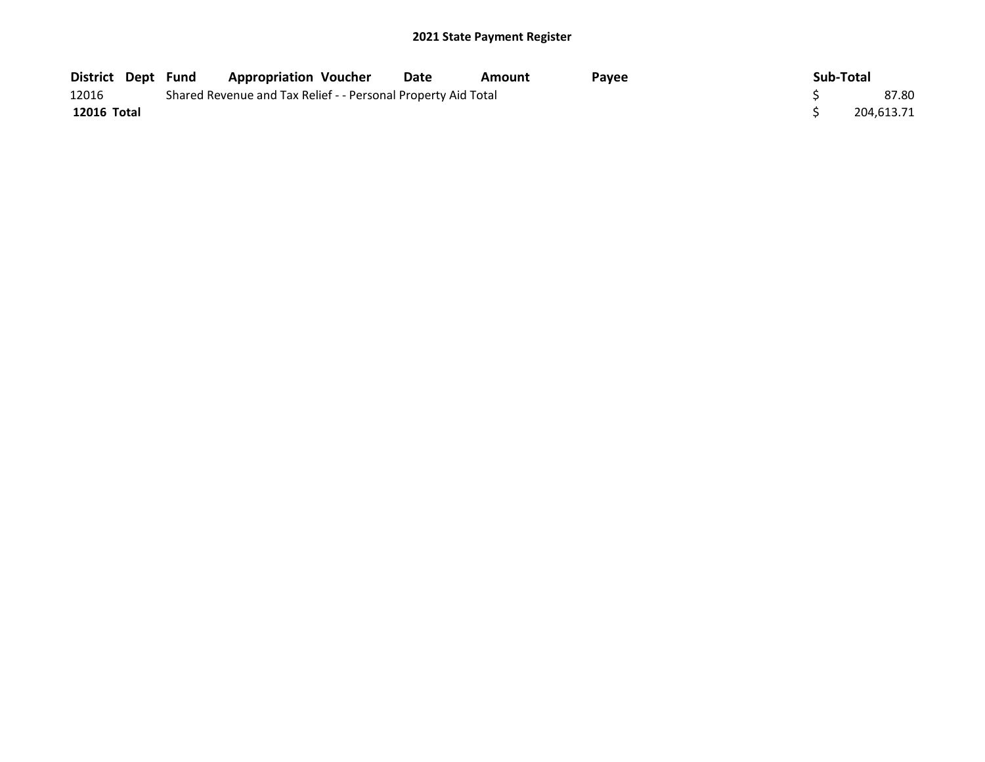|             | District Dept Fund | <b>Appropriation Voucher</b>                                  |  | Date | Amount | <b>Pavee</b> |  | Sub-Total |            |
|-------------|--------------------|---------------------------------------------------------------|--|------|--------|--------------|--|-----------|------------|
| 12016       |                    | Shared Revenue and Tax Relief - - Personal Property Aid Total |  |      |        |              |  |           |            |
| 12016 Total |                    |                                                               |  |      |        |              |  |           | 204.613.71 |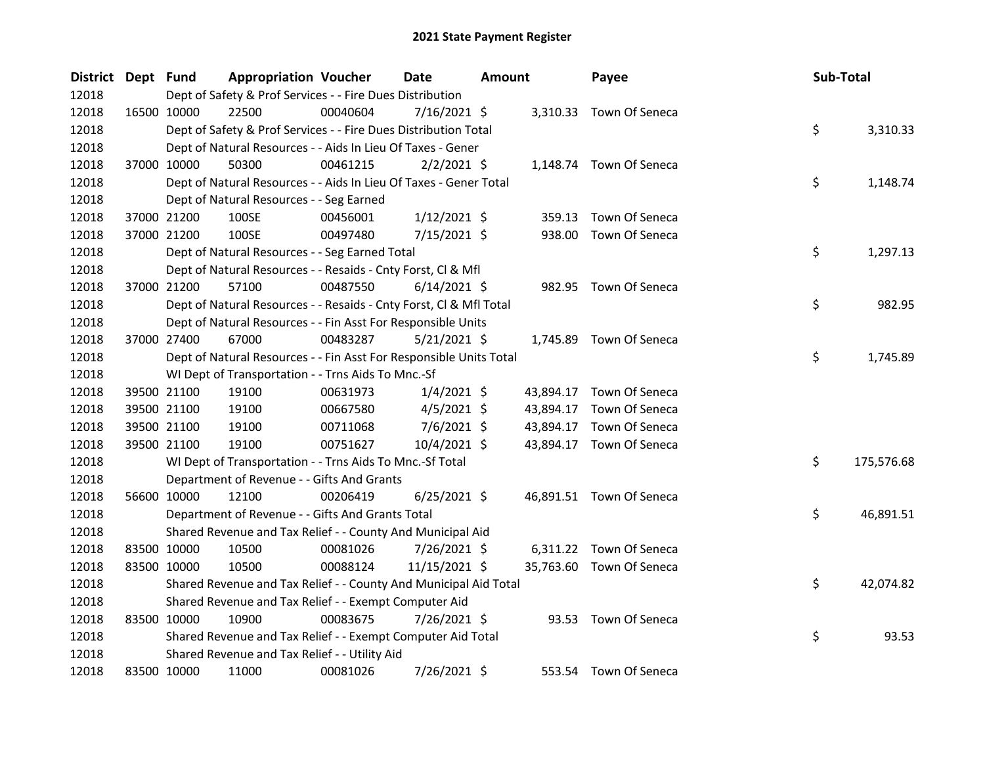| District Dept Fund |             | <b>Appropriation Voucher</b>                                       |          | Date           | <b>Amount</b> |           | Payee                    |  | Sub-Total |            |  |
|--------------------|-------------|--------------------------------------------------------------------|----------|----------------|---------------|-----------|--------------------------|--|-----------|------------|--|
| 12018              |             | Dept of Safety & Prof Services - - Fire Dues Distribution          |          |                |               |           |                          |  |           |            |  |
| 12018              | 16500 10000 | 22500                                                              | 00040604 | $7/16/2021$ \$ |               |           | 3,310.33 Town Of Seneca  |  |           |            |  |
| 12018              |             | Dept of Safety & Prof Services - - Fire Dues Distribution Total    |          |                |               |           |                          |  | \$        | 3,310.33   |  |
| 12018              |             | Dept of Natural Resources - - Aids In Lieu Of Taxes - Gener        |          |                |               |           |                          |  |           |            |  |
| 12018              | 37000 10000 | 50300                                                              | 00461215 | $2/2/2021$ \$  |               |           | 1,148.74 Town Of Seneca  |  |           |            |  |
| 12018              |             | Dept of Natural Resources - - Aids In Lieu Of Taxes - Gener Total  |          |                |               |           |                          |  | \$        | 1,148.74   |  |
| 12018              |             | Dept of Natural Resources - - Seg Earned                           |          |                |               |           |                          |  |           |            |  |
| 12018              | 37000 21200 | 100SE                                                              | 00456001 | $1/12/2021$ \$ |               | 359.13    | Town Of Seneca           |  |           |            |  |
| 12018              | 37000 21200 | 100SE                                                              | 00497480 | $7/15/2021$ \$ |               |           | 938.00 Town Of Seneca    |  |           |            |  |
| 12018              |             | Dept of Natural Resources - - Seg Earned Total                     |          |                |               |           |                          |  | \$        | 1,297.13   |  |
| 12018              |             | Dept of Natural Resources - - Resaids - Cnty Forst, Cl & Mfl       |          |                |               |           |                          |  |           |            |  |
| 12018              | 37000 21200 | 57100                                                              | 00487550 | $6/14/2021$ \$ |               |           | 982.95 Town Of Seneca    |  |           |            |  |
| 12018              |             | Dept of Natural Resources - - Resaids - Cnty Forst, Cl & Mfl Total |          |                |               |           |                          |  | \$        | 982.95     |  |
| 12018              |             | Dept of Natural Resources - - Fin Asst For Responsible Units       |          |                |               |           |                          |  |           |            |  |
| 12018              | 37000 27400 | 67000                                                              | 00483287 | $5/21/2021$ \$ |               |           | 1,745.89 Town Of Seneca  |  |           |            |  |
| 12018              |             | Dept of Natural Resources - - Fin Asst For Responsible Units Total |          |                |               |           |                          |  | \$        | 1,745.89   |  |
| 12018              |             | WI Dept of Transportation - - Trns Aids To Mnc.-Sf                 |          |                |               |           |                          |  |           |            |  |
| 12018              | 39500 21100 | 19100                                                              | 00631973 | $1/4/2021$ \$  |               |           | 43,894.17 Town Of Seneca |  |           |            |  |
| 12018              | 39500 21100 | 19100                                                              | 00667580 | $4/5/2021$ \$  |               |           | 43,894.17 Town Of Seneca |  |           |            |  |
| 12018              | 39500 21100 | 19100                                                              | 00711068 | $7/6/2021$ \$  |               | 43,894.17 | Town Of Seneca           |  |           |            |  |
| 12018              | 39500 21100 | 19100                                                              | 00751627 | $10/4/2021$ \$ |               |           | 43,894.17 Town Of Seneca |  |           |            |  |
| 12018              |             | WI Dept of Transportation - - Trns Aids To Mnc.-Sf Total           |          |                |               |           |                          |  | \$        | 175,576.68 |  |
| 12018              |             | Department of Revenue - - Gifts And Grants                         |          |                |               |           |                          |  |           |            |  |
| 12018              | 56600 10000 | 12100                                                              | 00206419 | $6/25/2021$ \$ |               |           | 46,891.51 Town Of Seneca |  |           |            |  |
| 12018              |             | Department of Revenue - - Gifts And Grants Total                   |          |                |               |           |                          |  | \$        | 46,891.51  |  |
| 12018              |             | Shared Revenue and Tax Relief - - County And Municipal Aid         |          |                |               |           |                          |  |           |            |  |
| 12018              | 83500 10000 | 10500                                                              | 00081026 | 7/26/2021 \$   |               |           | 6,311.22 Town Of Seneca  |  |           |            |  |
| 12018              | 83500 10000 | 10500                                                              | 00088124 | 11/15/2021 \$  |               |           | 35,763.60 Town Of Seneca |  |           |            |  |
| 12018              |             | Shared Revenue and Tax Relief - - County And Municipal Aid Total   |          |                |               |           |                          |  | \$        | 42,074.82  |  |
| 12018              |             | Shared Revenue and Tax Relief - - Exempt Computer Aid              |          |                |               |           |                          |  |           |            |  |
| 12018              | 83500 10000 | 10900                                                              | 00083675 | 7/26/2021 \$   |               |           | 93.53 Town Of Seneca     |  |           |            |  |
| 12018              |             | Shared Revenue and Tax Relief - - Exempt Computer Aid Total        |          |                |               |           |                          |  | \$        | 93.53      |  |
| 12018              |             | Shared Revenue and Tax Relief - - Utility Aid                      |          |                |               |           |                          |  |           |            |  |
| 12018              | 83500 10000 | 11000                                                              | 00081026 | 7/26/2021 \$   |               |           | 553.54 Town Of Seneca    |  |           |            |  |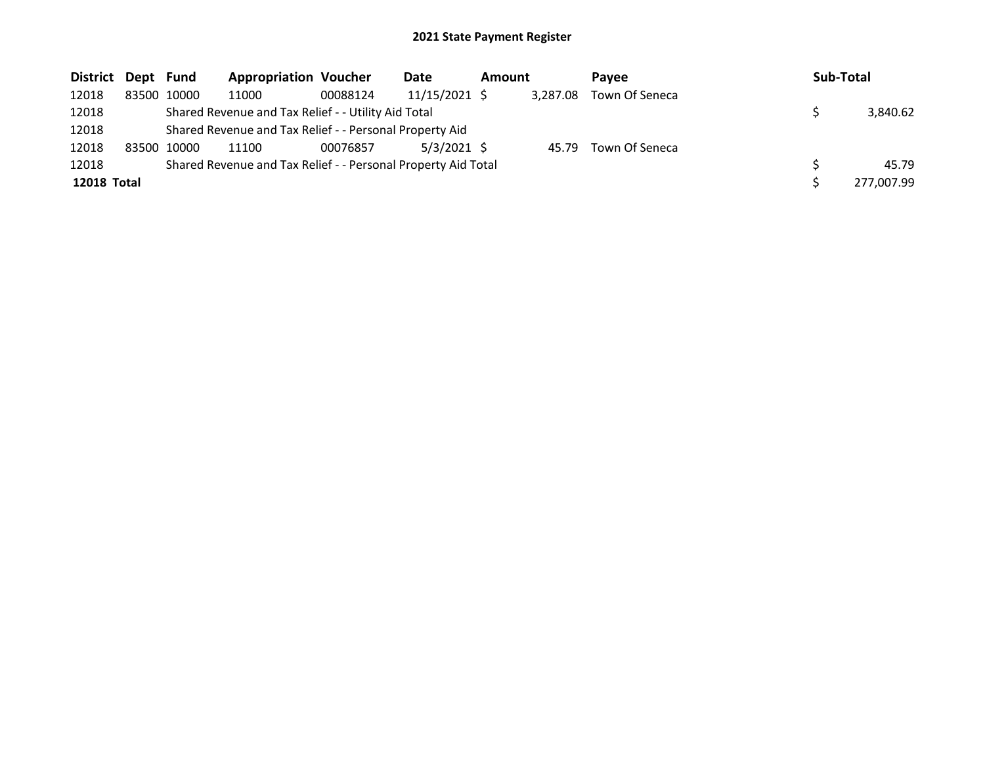| District Dept Fund |             | <b>Appropriation Voucher</b>                                  |          | Date            | <b>Amount</b> |          | <b>Pavee</b>         | Sub-Total  |
|--------------------|-------------|---------------------------------------------------------------|----------|-----------------|---------------|----------|----------------------|------------|
| 12018              | 83500 10000 | 11000                                                         | 00088124 | $11/15/2021$ \$ |               | 3,287.08 | Town Of Seneca       |            |
| 12018              |             | Shared Revenue and Tax Relief - - Utility Aid Total           |          |                 |               |          |                      | 3,840.62   |
| 12018              |             | Shared Revenue and Tax Relief - - Personal Property Aid       |          |                 |               |          |                      |            |
| 12018              | 83500 10000 | 11100                                                         | 00076857 | $5/3/2021$ \$   |               |          | 45.79 Town Of Seneca |            |
| 12018              |             | Shared Revenue and Tax Relief - - Personal Property Aid Total |          |                 |               |          |                      | 45.79      |
| <b>12018 Total</b> |             |                                                               |          |                 |               |          |                      | 277,007.99 |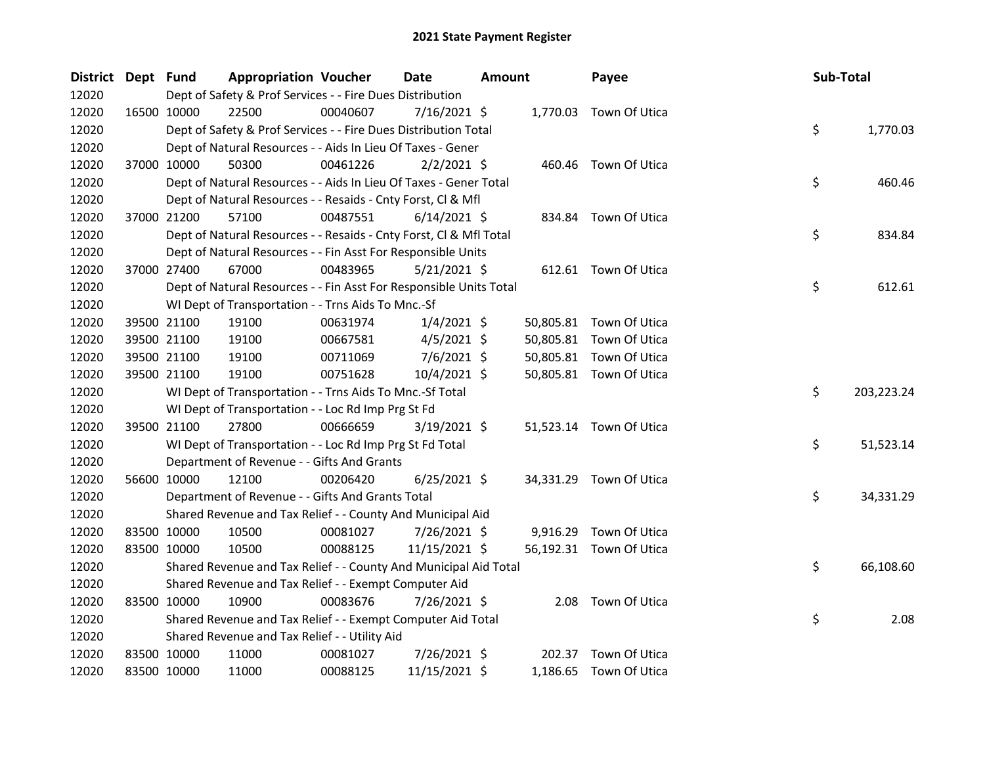| District Dept Fund |             |             | <b>Appropriation Voucher</b>                                                        |          | <b>Date</b>    | <b>Amount</b> |        | Payee                   |  | Sub-Total |            |
|--------------------|-------------|-------------|-------------------------------------------------------------------------------------|----------|----------------|---------------|--------|-------------------------|--|-----------|------------|
| 12020              |             |             | Dept of Safety & Prof Services - - Fire Dues Distribution<br>1,770.03 Town Of Utica |          |                |               |        |                         |  |           |            |
| 12020              |             | 16500 10000 | 22500                                                                               | 00040607 | $7/16/2021$ \$ |               |        |                         |  |           |            |
| 12020              |             |             | Dept of Safety & Prof Services - - Fire Dues Distribution Total                     |          |                |               |        |                         |  | \$        | 1,770.03   |
| 12020              |             |             | Dept of Natural Resources - - Aids In Lieu Of Taxes - Gener                         |          |                |               |        |                         |  |           |            |
| 12020              |             | 37000 10000 | 50300                                                                               | 00461226 | $2/2/2021$ \$  |               |        | 460.46 Town Of Utica    |  |           |            |
| 12020              |             |             | Dept of Natural Resources - - Aids In Lieu Of Taxes - Gener Total                   |          |                |               |        |                         |  | \$        | 460.46     |
| 12020              |             |             | Dept of Natural Resources - - Resaids - Cnty Forst, Cl & Mfl                        |          |                |               |        |                         |  |           |            |
| 12020              |             | 37000 21200 | 57100                                                                               | 00487551 | $6/14/2021$ \$ |               |        | 834.84 Town Of Utica    |  |           |            |
| 12020              |             |             | Dept of Natural Resources - - Resaids - Cnty Forst, Cl & Mfl Total                  |          |                |               |        |                         |  | \$        | 834.84     |
| 12020              |             |             | Dept of Natural Resources - - Fin Asst For Responsible Units                        |          |                |               |        |                         |  |           |            |
| 12020              |             | 37000 27400 | 67000                                                                               | 00483965 | $5/21/2021$ \$ |               |        | 612.61 Town Of Utica    |  |           |            |
| 12020              |             |             | Dept of Natural Resources - - Fin Asst For Responsible Units Total                  |          |                |               |        |                         |  | \$        | 612.61     |
| 12020              |             |             | WI Dept of Transportation - - Trns Aids To Mnc.-Sf                                  |          |                |               |        |                         |  |           |            |
| 12020              |             | 39500 21100 | 19100                                                                               | 00631974 | $1/4/2021$ \$  |               |        | 50,805.81 Town Of Utica |  |           |            |
| 12020              |             | 39500 21100 | 19100                                                                               | 00667581 | $4/5/2021$ \$  |               |        | 50,805.81 Town Of Utica |  |           |            |
| 12020              |             | 39500 21100 | 19100                                                                               | 00711069 | $7/6/2021$ \$  |               |        | 50,805.81 Town Of Utica |  |           |            |
| 12020              |             | 39500 21100 | 19100                                                                               | 00751628 | $10/4/2021$ \$ |               |        | 50,805.81 Town Of Utica |  |           |            |
| 12020              |             |             | WI Dept of Transportation - - Trns Aids To Mnc.-Sf Total                            |          |                |               |        |                         |  | \$        | 203,223.24 |
| 12020              |             |             | WI Dept of Transportation - - Loc Rd Imp Prg St Fd                                  |          |                |               |        |                         |  |           |            |
| 12020              |             | 39500 21100 | 27800                                                                               | 00666659 | $3/19/2021$ \$ |               |        | 51,523.14 Town Of Utica |  |           |            |
| 12020              |             |             | WI Dept of Transportation - - Loc Rd Imp Prg St Fd Total                            |          |                |               |        |                         |  | \$        | 51,523.14  |
| 12020              |             |             | Department of Revenue - - Gifts And Grants                                          |          |                |               |        |                         |  |           |            |
| 12020              |             | 56600 10000 | 12100                                                                               | 00206420 | $6/25/2021$ \$ |               |        | 34,331.29 Town Of Utica |  |           |            |
| 12020              |             |             | Department of Revenue - - Gifts And Grants Total                                    |          |                |               |        |                         |  | \$        | 34,331.29  |
| 12020              |             |             | Shared Revenue and Tax Relief - - County And Municipal Aid                          |          |                |               |        |                         |  |           |            |
| 12020              |             | 83500 10000 | 10500                                                                               | 00081027 | 7/26/2021 \$   |               |        | 9,916.29 Town Of Utica  |  |           |            |
| 12020              |             | 83500 10000 | 10500                                                                               | 00088125 | 11/15/2021 \$  |               |        | 56,192.31 Town Of Utica |  |           |            |
| 12020              |             |             | Shared Revenue and Tax Relief - - County And Municipal Aid Total                    |          |                |               |        |                         |  | \$        | 66,108.60  |
| 12020              |             |             | Shared Revenue and Tax Relief - - Exempt Computer Aid                               |          |                |               |        |                         |  |           |            |
| 12020              |             | 83500 10000 | 10900                                                                               | 00083676 | 7/26/2021 \$   |               | 2.08   | Town Of Utica           |  |           |            |
| 12020              |             |             | Shared Revenue and Tax Relief - - Exempt Computer Aid Total                         |          |                |               |        |                         |  | \$        | 2.08       |
| 12020              |             |             | Shared Revenue and Tax Relief - - Utility Aid                                       |          |                |               |        |                         |  |           |            |
| 12020              |             | 83500 10000 | 11000                                                                               | 00081027 | 7/26/2021 \$   |               | 202.37 | Town Of Utica           |  |           |            |
| 12020              | 83500 10000 |             | 11000                                                                               | 00088125 | 11/15/2021 \$  |               |        | 1,186.65 Town Of Utica  |  |           |            |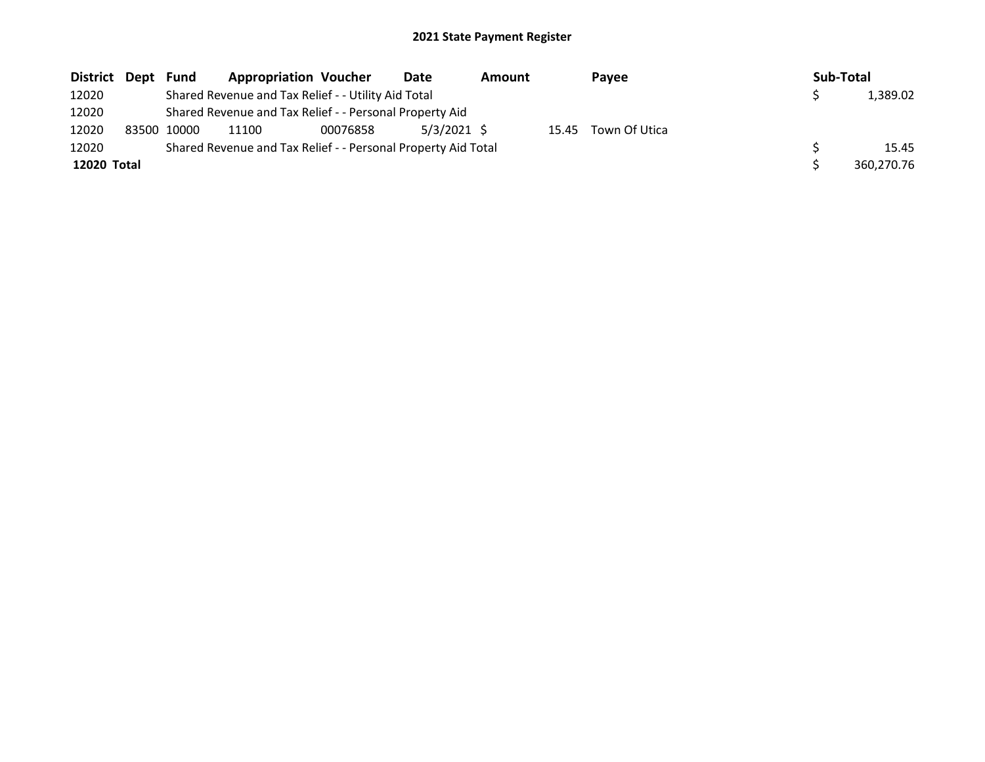| District Dept | Fund                                                          | <b>Appropriation Voucher</b>                            |          | Date          | Amount |  | Payee               |  | Sub-Total |            |
|---------------|---------------------------------------------------------------|---------------------------------------------------------|----------|---------------|--------|--|---------------------|--|-----------|------------|
| 12020         |                                                               | Shared Revenue and Tax Relief - - Utility Aid Total     |          |               |        |  |                     |  |           | 1,389.02   |
| 12020         |                                                               | Shared Revenue and Tax Relief - - Personal Property Aid |          |               |        |  |                     |  |           |            |
| 12020         | 83500 10000                                                   | 11100                                                   | 00076858 | $5/3/2021$ \$ |        |  | 15.45 Town Of Utica |  |           |            |
| 12020         | Shared Revenue and Tax Relief - - Personal Property Aid Total |                                                         |          |               |        |  |                     |  |           | 15.45      |
| 12020 Total   |                                                               |                                                         |          |               |        |  |                     |  |           | 360.270.76 |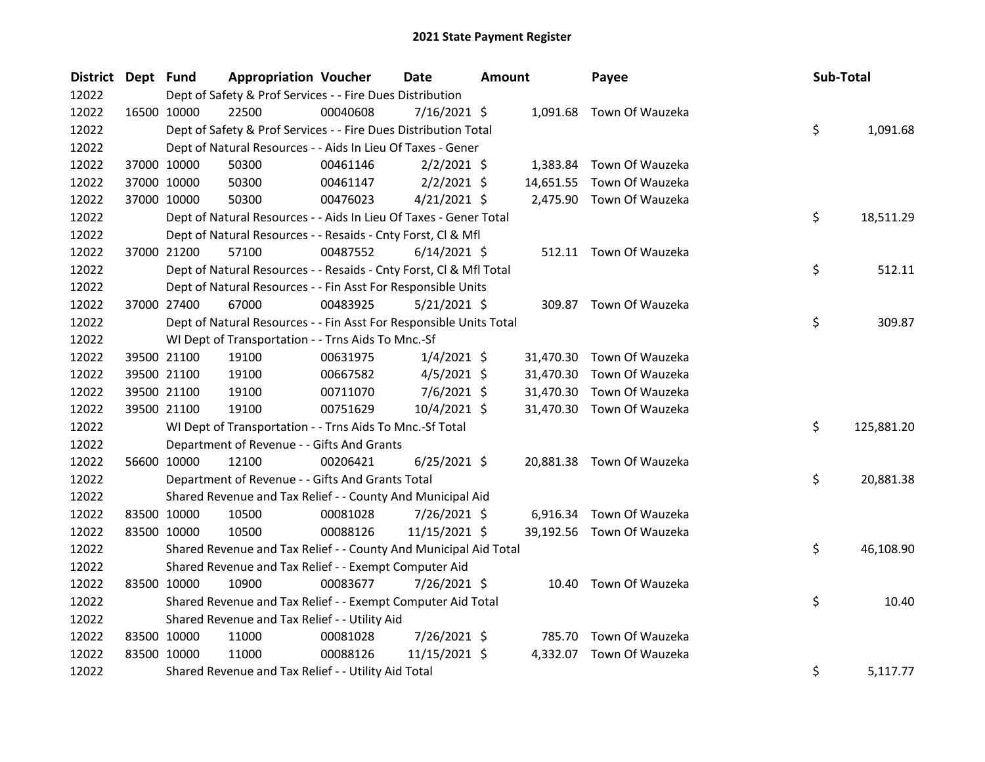| <b>District</b> | Dept Fund |                                                    | <b>Appropriation Voucher</b>                                       |          | Date           | <b>Amount</b> |           | Payee                     | Sub-Total |            |
|-----------------|-----------|----------------------------------------------------|--------------------------------------------------------------------|----------|----------------|---------------|-----------|---------------------------|-----------|------------|
| 12022           |           |                                                    | Dept of Safety & Prof Services - - Fire Dues Distribution          |          |                |               |           |                           |           |            |
| 12022           |           | 16500 10000                                        | 22500                                                              | 00040608 | 7/16/2021 \$   |               |           | 1,091.68 Town Of Wauzeka  |           |            |
| 12022           |           |                                                    | Dept of Safety & Prof Services - - Fire Dues Distribution Total    |          |                |               |           |                           | \$        | 1,091.68   |
| 12022           |           |                                                    | Dept of Natural Resources - - Aids In Lieu Of Taxes - Gener        |          |                |               |           |                           |           |            |
| 12022           |           | 37000 10000                                        | 50300                                                              | 00461146 | $2/2/2021$ \$  |               |           | 1,383.84 Town Of Wauzeka  |           |            |
| 12022           |           | 37000 10000                                        | 50300                                                              | 00461147 | $2/2/2021$ \$  |               |           | 14,651.55 Town Of Wauzeka |           |            |
| 12022           |           | 37000 10000                                        | 50300                                                              | 00476023 | $4/21/2021$ \$ |               |           | 2,475.90 Town Of Wauzeka  |           |            |
| 12022           |           |                                                    | Dept of Natural Resources - - Aids In Lieu Of Taxes - Gener Total  |          |                |               |           |                           | \$        | 18,511.29  |
| 12022           |           |                                                    | Dept of Natural Resources - - Resaids - Cnty Forst, Cl & Mfl       |          |                |               |           |                           |           |            |
| 12022           |           | 37000 21200                                        | 57100                                                              | 00487552 | $6/14/2021$ \$ |               |           | 512.11 Town Of Wauzeka    |           |            |
| 12022           |           |                                                    | Dept of Natural Resources - - Resaids - Cnty Forst, Cl & Mfl Total |          |                |               |           |                           | \$        | 512.11     |
| 12022           |           |                                                    | Dept of Natural Resources - - Fin Asst For Responsible Units       |          |                |               |           |                           |           |            |
| 12022           |           | 37000 27400                                        | 67000                                                              | 00483925 | $5/21/2021$ \$ |               |           | 309.87 Town Of Wauzeka    |           |            |
| 12022           |           |                                                    | Dept of Natural Resources - - Fin Asst For Responsible Units Total |          |                |               |           |                           | \$        | 309.87     |
| 12022           |           | WI Dept of Transportation - - Trns Aids To Mnc.-Sf |                                                                    |          |                |               |           |                           |           |            |
| 12022           |           | 39500 21100                                        | 19100                                                              | 00631975 | $1/4/2021$ \$  |               |           | 31,470.30 Town Of Wauzeka |           |            |
| 12022           |           | 39500 21100                                        | 19100                                                              | 00667582 | $4/5/2021$ \$  |               | 31,470.30 | Town Of Wauzeka           |           |            |
| 12022           |           | 39500 21100                                        | 19100                                                              | 00711070 | $7/6/2021$ \$  |               |           | 31,470.30 Town Of Wauzeka |           |            |
| 12022           |           | 39500 21100                                        | 19100                                                              | 00751629 | 10/4/2021 \$   |               |           | 31,470.30 Town Of Wauzeka |           |            |
| 12022           |           |                                                    | WI Dept of Transportation - - Trns Aids To Mnc.-Sf Total           |          |                |               |           |                           | \$.       | 125,881.20 |
| 12022           |           |                                                    | Department of Revenue - - Gifts And Grants                         |          |                |               |           |                           |           |            |
| 12022           |           | 56600 10000                                        | 12100                                                              | 00206421 | $6/25/2021$ \$ |               |           | 20,881.38 Town Of Wauzeka |           |            |
| 12022           |           |                                                    | Department of Revenue - - Gifts And Grants Total                   |          |                |               |           |                           | \$.       | 20,881.38  |
| 12022           |           |                                                    | Shared Revenue and Tax Relief - - County And Municipal Aid         |          |                |               |           |                           |           |            |
| 12022           |           | 83500 10000                                        | 10500                                                              | 00081028 | 7/26/2021 \$   |               | 6,916.34  | Town Of Wauzeka           |           |            |
| 12022           |           | 83500 10000                                        | 10500                                                              | 00088126 | 11/15/2021 \$  |               |           | 39,192.56 Town Of Wauzeka |           |            |
| 12022           |           |                                                    | Shared Revenue and Tax Relief - - County And Municipal Aid Total   |          |                |               |           |                           | \$        | 46,108.90  |
| 12022           |           |                                                    | Shared Revenue and Tax Relief - - Exempt Computer Aid              |          |                |               |           |                           |           |            |
| 12022           |           | 83500 10000                                        | 10900                                                              | 00083677 | 7/26/2021 \$   |               |           | 10.40 Town Of Wauzeka     |           |            |
| 12022           |           |                                                    | Shared Revenue and Tax Relief - - Exempt Computer Aid Total        |          |                |               |           |                           | \$        | 10.40      |
| 12022           |           |                                                    | Shared Revenue and Tax Relief - - Utility Aid                      |          |                |               |           |                           |           |            |
| 12022           |           | 83500 10000                                        | 11000                                                              | 00081028 | 7/26/2021 \$   |               | 785.70    | Town Of Wauzeka           |           |            |
| 12022           |           | 83500 10000                                        | 11000                                                              | 00088126 | 11/15/2021 \$  |               | 4,332.07  | Town Of Wauzeka           |           |            |
| 12022           |           |                                                    | Shared Revenue and Tax Relief - - Utility Aid Total                |          |                |               |           |                           | \$        | 5,117.77   |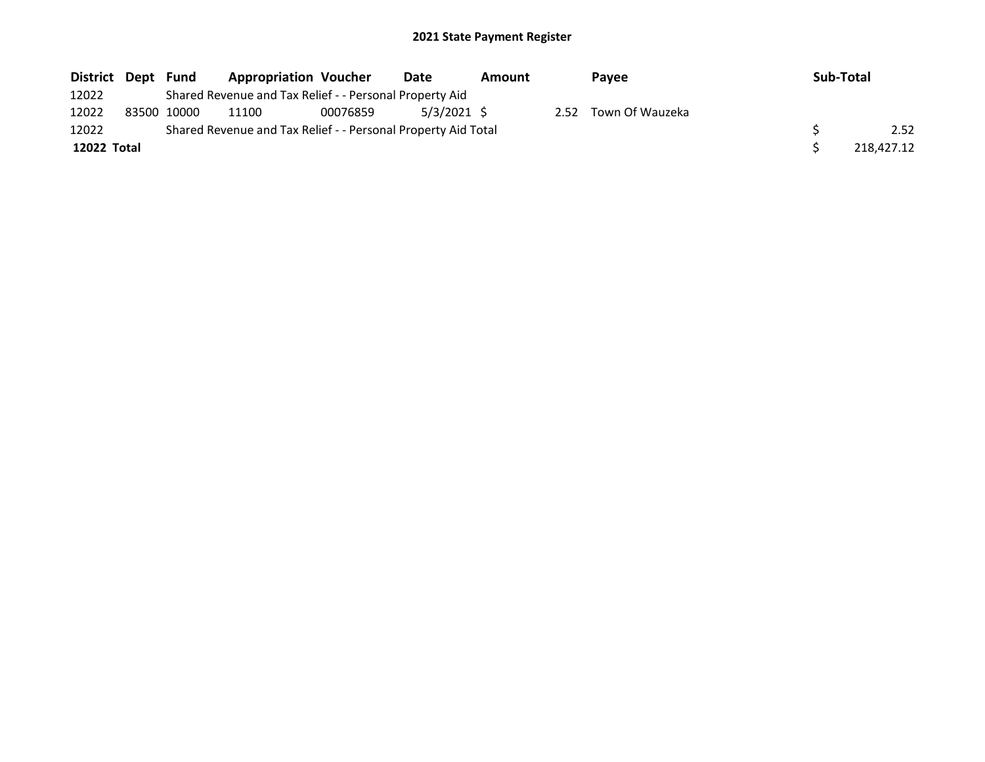| District Dept Fund |             | <b>Appropriation Voucher</b>                                  |          | Date        | Amount |      | Payee           | <b>Sub-Total</b> |            |
|--------------------|-------------|---------------------------------------------------------------|----------|-------------|--------|------|-----------------|------------------|------------|
| 12022              |             | Shared Revenue and Tax Relief - - Personal Property Aid       |          |             |        |      |                 |                  |            |
| 12022              | 83500 10000 | 11100                                                         | 00076859 | 5/3/2021 \$ |        | 2.52 | Town Of Wauzeka |                  |            |
| 12022              |             | Shared Revenue and Tax Relief - - Personal Property Aid Total |          |             |        |      |                 |                  | 2.52       |
| 12022 Total        |             |                                                               |          |             |        |      |                 |                  | 218.427.12 |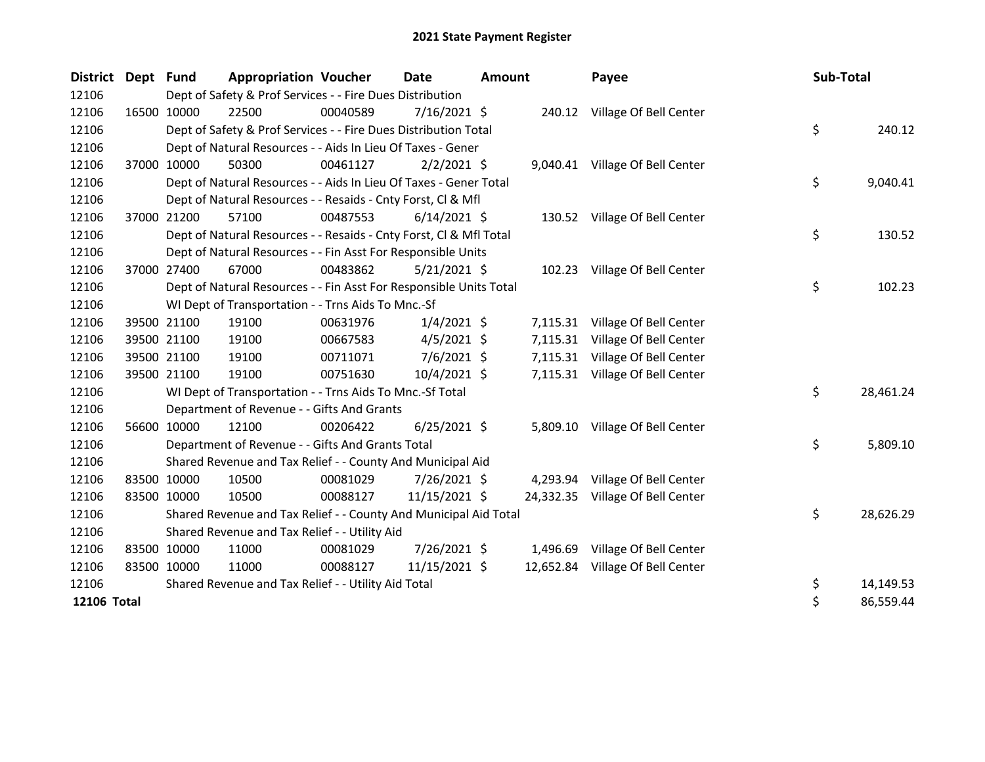| <b>District</b> | <b>Dept</b> | <b>Fund</b> | <b>Appropriation Voucher</b>                                       |          | <b>Date</b>    | Amount |          | Payee                            |  | Sub-Total |           |
|-----------------|-------------|-------------|--------------------------------------------------------------------|----------|----------------|--------|----------|----------------------------------|--|-----------|-----------|
| 12106           |             |             | Dept of Safety & Prof Services - - Fire Dues Distribution          |          |                |        |          |                                  |  |           |           |
| 12106           |             | 16500 10000 | 22500                                                              | 00040589 | $7/16/2021$ \$ |        |          | 240.12 Village Of Bell Center    |  |           |           |
| 12106           |             |             | Dept of Safety & Prof Services - - Fire Dues Distribution Total    |          |                |        |          |                                  |  | \$        | 240.12    |
| 12106           |             |             | Dept of Natural Resources - - Aids In Lieu Of Taxes - Gener        |          |                |        |          |                                  |  |           |           |
| 12106           |             | 37000 10000 | 50300                                                              | 00461127 | $2/2/2021$ \$  |        |          | 9,040.41 Village Of Bell Center  |  |           |           |
| 12106           |             |             | Dept of Natural Resources - - Aids In Lieu Of Taxes - Gener Total  |          |                |        |          |                                  |  | \$        | 9,040.41  |
| 12106           |             |             | Dept of Natural Resources - - Resaids - Cnty Forst, Cl & Mfl       |          |                |        |          |                                  |  |           |           |
| 12106           | 37000       | 21200       | 57100                                                              | 00487553 | $6/14/2021$ \$ |        |          | 130.52 Village Of Bell Center    |  |           |           |
| 12106           |             |             | Dept of Natural Resources - - Resaids - Cnty Forst, Cl & Mfl Total |          |                |        |          |                                  |  | \$        | 130.52    |
| 12106           |             |             | Dept of Natural Resources - - Fin Asst For Responsible Units       |          |                |        |          |                                  |  |           |           |
| 12106           |             | 37000 27400 | 67000                                                              | 00483862 | $5/21/2021$ \$ |        |          | 102.23 Village Of Bell Center    |  |           |           |
| 12106           |             |             | Dept of Natural Resources - - Fin Asst For Responsible Units Total |          |                |        |          |                                  |  | \$        | 102.23    |
| 12106           |             |             | WI Dept of Transportation - - Trns Aids To Mnc.-Sf                 |          |                |        |          |                                  |  |           |           |
| 12106           |             | 39500 21100 | 19100                                                              | 00631976 | $1/4/2021$ \$  |        |          | 7,115.31 Village Of Bell Center  |  |           |           |
| 12106           |             | 39500 21100 | 19100                                                              | 00667583 | $4/5/2021$ \$  |        |          | 7,115.31 Village Of Bell Center  |  |           |           |
| 12106           |             | 39500 21100 | 19100                                                              | 00711071 | 7/6/2021 \$    |        | 7,115.31 | Village Of Bell Center           |  |           |           |
| 12106           |             | 39500 21100 | 19100                                                              | 00751630 | 10/4/2021 \$   |        |          | 7,115.31 Village Of Bell Center  |  |           |           |
| 12106           |             |             | WI Dept of Transportation - - Trns Aids To Mnc.-Sf Total           |          |                |        |          |                                  |  | \$        | 28,461.24 |
| 12106           |             |             | Department of Revenue - - Gifts And Grants                         |          |                |        |          |                                  |  |           |           |
| 12106           |             | 56600 10000 | 12100                                                              | 00206422 | $6/25/2021$ \$ |        |          | 5,809.10 Village Of Bell Center  |  |           |           |
| 12106           |             |             | Department of Revenue - - Gifts And Grants Total                   |          |                |        |          |                                  |  | \$        | 5,809.10  |
| 12106           |             |             | Shared Revenue and Tax Relief - - County And Municipal Aid         |          |                |        |          |                                  |  |           |           |
| 12106           |             | 83500 10000 | 10500                                                              | 00081029 | 7/26/2021 \$   |        |          | 4,293.94 Village Of Bell Center  |  |           |           |
| 12106           |             | 83500 10000 | 10500                                                              | 00088127 | 11/15/2021 \$  |        |          | 24,332.35 Village Of Bell Center |  |           |           |
| 12106           |             |             | Shared Revenue and Tax Relief - - County And Municipal Aid Total   |          |                |        |          |                                  |  | \$        | 28,626.29 |
| 12106           |             |             | Shared Revenue and Tax Relief - - Utility Aid                      |          |                |        |          |                                  |  |           |           |
| 12106           |             | 83500 10000 | 11000                                                              | 00081029 | 7/26/2021 \$   |        |          | 1,496.69 Village Of Bell Center  |  |           |           |
| 12106           |             | 83500 10000 | 11000                                                              | 00088127 | 11/15/2021 \$  |        |          | 12,652.84 Village Of Bell Center |  |           |           |
| 12106           |             |             | Shared Revenue and Tax Relief - - Utility Aid Total                |          |                |        |          |                                  |  | \$        | 14,149.53 |
| 12106 Total     |             |             |                                                                    |          |                |        |          |                                  |  | \$        | 86,559.44 |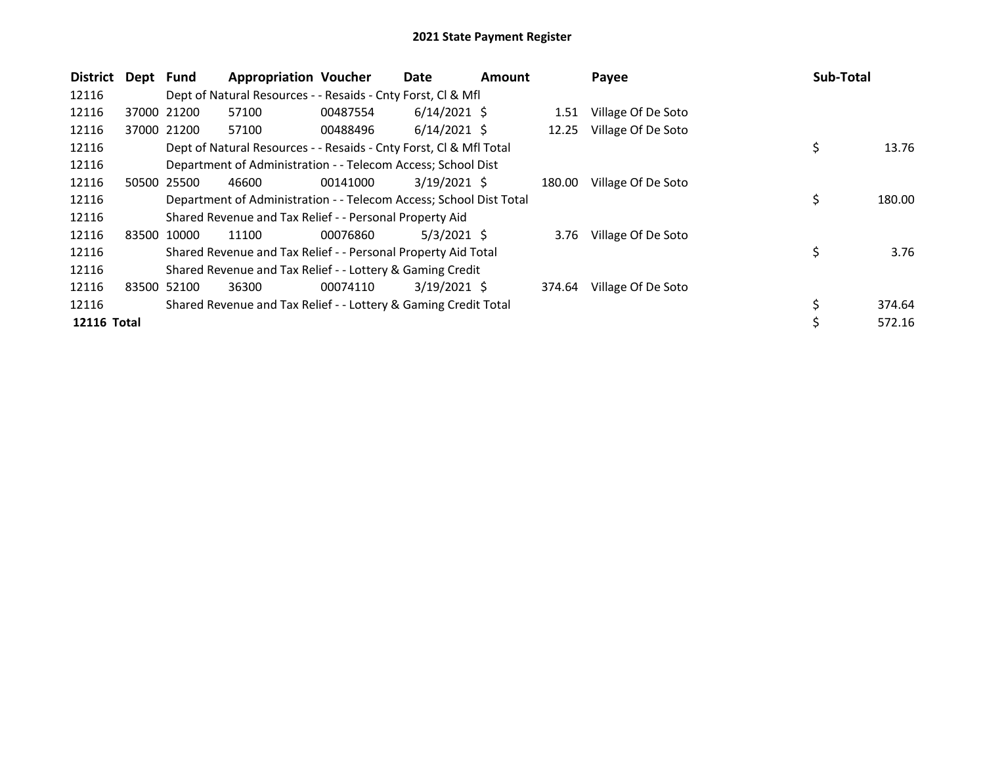| District    | Dept Fund |             | <b>Appropriation Voucher</b>                                       |          | Date           | <b>Amount</b> |        | Payee                   | <b>Sub-Total</b> |        |
|-------------|-----------|-------------|--------------------------------------------------------------------|----------|----------------|---------------|--------|-------------------------|------------------|--------|
| 12116       |           |             | Dept of Natural Resources - - Resaids - Cnty Forst, CI & Mfl       |          |                |               |        |                         |                  |        |
| 12116       |           | 37000 21200 | 57100                                                              | 00487554 | $6/14/2021$ \$ |               | 1.51   | Village Of De Soto      |                  |        |
| 12116       |           | 37000 21200 | 57100                                                              | 00488496 | $6/14/2021$ \$ |               | 12.25  | Village Of De Soto      |                  |        |
| 12116       |           |             | Dept of Natural Resources - - Resaids - Cnty Forst, CI & Mfl Total |          |                |               |        |                         | \$               | 13.76  |
| 12116       |           |             | Department of Administration - - Telecom Access; School Dist       |          |                |               |        |                         |                  |        |
| 12116       | 50500     | 25500       | 46600                                                              | 00141000 | $3/19/2021$ \$ |               | 180.00 | Village Of De Soto      |                  |        |
| 12116       |           |             | Department of Administration - - Telecom Access; School Dist Total |          |                |               |        |                         | \$               | 180.00 |
| 12116       |           |             | Shared Revenue and Tax Relief - - Personal Property Aid            |          |                |               |        |                         |                  |        |
| 12116       |           | 83500 10000 | 11100                                                              | 00076860 | $5/3/2021$ \$  |               |        | 3.76 Village Of De Soto |                  |        |
| 12116       |           |             | Shared Revenue and Tax Relief - - Personal Property Aid Total      |          |                |               |        |                         | \$               | 3.76   |
| 12116       |           |             | Shared Revenue and Tax Relief - - Lottery & Gaming Credit          |          |                |               |        |                         |                  |        |
| 12116       | 83500     | 52100       | 36300                                                              | 00074110 | $3/19/2021$ \$ |               | 374.64 | Village Of De Soto      |                  |        |
| 12116       |           |             | Shared Revenue and Tax Relief - - Lottery & Gaming Credit Total    |          |                |               |        |                         | \$               | 374.64 |
| 12116 Total |           |             |                                                                    |          |                |               |        |                         | \$               | 572.16 |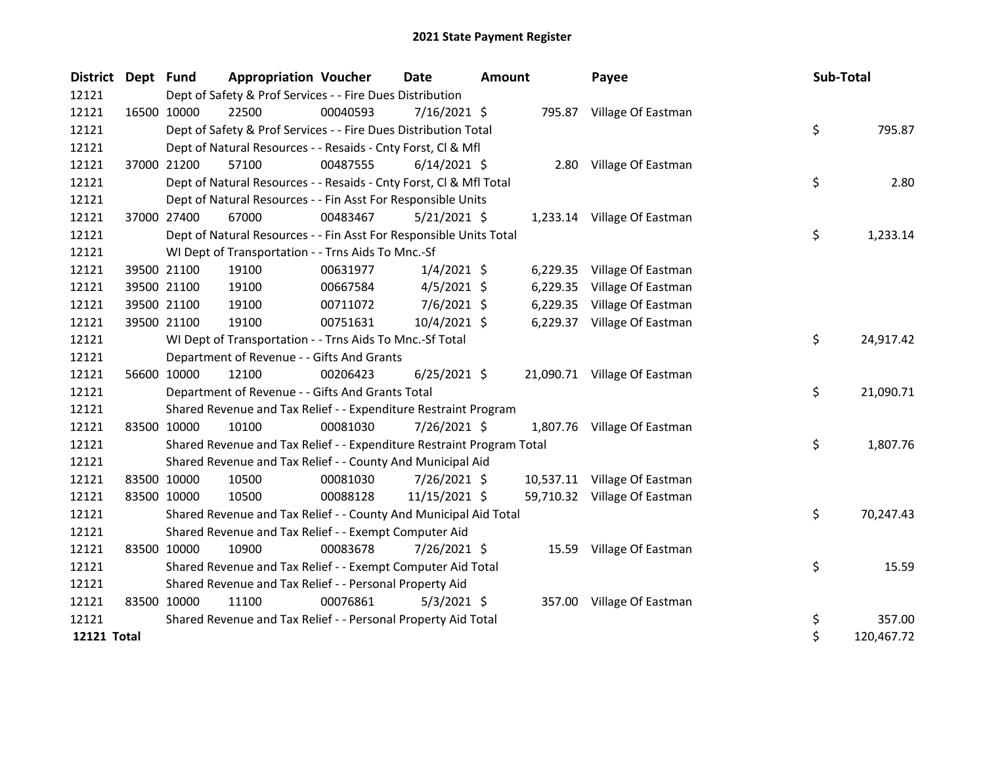| <b>District</b>    | Dept Fund |                                                           | <b>Appropriation Voucher</b>                                          |          | <b>Date</b>    | <b>Amount</b> |          | Payee                        |  | Sub-Total |            |
|--------------------|-----------|-----------------------------------------------------------|-----------------------------------------------------------------------|----------|----------------|---------------|----------|------------------------------|--|-----------|------------|
| 12121              |           | Dept of Safety & Prof Services - - Fire Dues Distribution |                                                                       |          |                |               |          |                              |  |           |            |
| 12121              |           | 16500 10000                                               | 22500                                                                 | 00040593 | $7/16/2021$ \$ |               |          | 795.87 Village Of Eastman    |  |           |            |
| 12121              |           |                                                           | Dept of Safety & Prof Services - - Fire Dues Distribution Total       |          |                |               |          |                              |  | \$        | 795.87     |
| 12121              |           |                                                           | Dept of Natural Resources - - Resaids - Cnty Forst, Cl & Mfl          |          |                |               |          |                              |  |           |            |
| 12121              |           | 37000 21200                                               | 57100                                                                 | 00487555 | $6/14/2021$ \$ |               |          | 2.80 Village Of Eastman      |  |           |            |
| 12121              |           |                                                           | Dept of Natural Resources - - Resaids - Cnty Forst, CI & Mfl Total    |          |                |               |          |                              |  | \$        | 2.80       |
| 12121              |           |                                                           | Dept of Natural Resources - - Fin Asst For Responsible Units          |          |                |               |          |                              |  |           |            |
| 12121              |           | 37000 27400                                               | 67000                                                                 | 00483467 | $5/21/2021$ \$ |               |          | 1,233.14 Village Of Eastman  |  |           |            |
| 12121              |           |                                                           | Dept of Natural Resources - - Fin Asst For Responsible Units Total    |          |                |               |          |                              |  | \$        | 1,233.14   |
| 12121              |           |                                                           | WI Dept of Transportation - - Trns Aids To Mnc.-Sf                    |          |                |               |          |                              |  |           |            |
| 12121              |           | 39500 21100                                               | 19100                                                                 | 00631977 | $1/4/2021$ \$  |               |          | 6,229.35 Village Of Eastman  |  |           |            |
| 12121              |           | 39500 21100                                               | 19100                                                                 | 00667584 | $4/5/2021$ \$  |               | 6,229.35 | Village Of Eastman           |  |           |            |
| 12121              |           | 39500 21100                                               | 19100                                                                 | 00711072 | $7/6/2021$ \$  |               |          | 6,229.35 Village Of Eastman  |  |           |            |
| 12121              |           | 39500 21100                                               | 19100                                                                 | 00751631 | 10/4/2021 \$   |               |          | 6,229.37 Village Of Eastman  |  |           |            |
| 12121              |           |                                                           | WI Dept of Transportation - - Trns Aids To Mnc.-Sf Total              |          |                |               |          |                              |  | \$        | 24,917.42  |
| 12121              |           |                                                           | Department of Revenue - - Gifts And Grants                            |          |                |               |          |                              |  |           |            |
| 12121              |           | 56600 10000                                               | 12100                                                                 | 00206423 | $6/25/2021$ \$ |               |          | 21,090.71 Village Of Eastman |  |           |            |
| 12121              |           |                                                           | Department of Revenue - - Gifts And Grants Total                      |          |                |               |          |                              |  | \$        | 21,090.71  |
| 12121              |           |                                                           | Shared Revenue and Tax Relief - - Expenditure Restraint Program       |          |                |               |          |                              |  |           |            |
| 12121              |           | 83500 10000                                               | 10100                                                                 | 00081030 | 7/26/2021 \$   |               |          | 1,807.76 Village Of Eastman  |  |           |            |
| 12121              |           |                                                           | Shared Revenue and Tax Relief - - Expenditure Restraint Program Total |          |                |               |          |                              |  | \$        | 1,807.76   |
| 12121              |           |                                                           | Shared Revenue and Tax Relief - - County And Municipal Aid            |          |                |               |          |                              |  |           |            |
| 12121              |           | 83500 10000                                               | 10500                                                                 | 00081030 | 7/26/2021 \$   |               |          | 10,537.11 Village Of Eastman |  |           |            |
| 12121              |           | 83500 10000                                               | 10500                                                                 | 00088128 | 11/15/2021 \$  |               |          | 59,710.32 Village Of Eastman |  |           |            |
| 12121              |           |                                                           | Shared Revenue and Tax Relief - - County And Municipal Aid Total      |          |                |               |          |                              |  | \$        | 70,247.43  |
| 12121              |           |                                                           | Shared Revenue and Tax Relief - - Exempt Computer Aid                 |          |                |               |          |                              |  |           |            |
| 12121              |           | 83500 10000                                               | 10900                                                                 | 00083678 | 7/26/2021 \$   |               |          | 15.59 Village Of Eastman     |  |           |            |
| 12121              |           |                                                           | Shared Revenue and Tax Relief - - Exempt Computer Aid Total           |          |                |               |          |                              |  | \$        | 15.59      |
| 12121              |           |                                                           | Shared Revenue and Tax Relief - - Personal Property Aid               |          |                |               |          |                              |  |           |            |
| 12121              |           | 83500 10000                                               | 11100                                                                 | 00076861 | $5/3/2021$ \$  |               |          | 357.00 Village Of Eastman    |  |           |            |
| 12121              |           |                                                           | Shared Revenue and Tax Relief - - Personal Property Aid Total         |          |                |               |          |                              |  | \$        | 357.00     |
| <b>12121 Total</b> |           |                                                           |                                                                       |          |                |               |          |                              |  | \$        | 120,467.72 |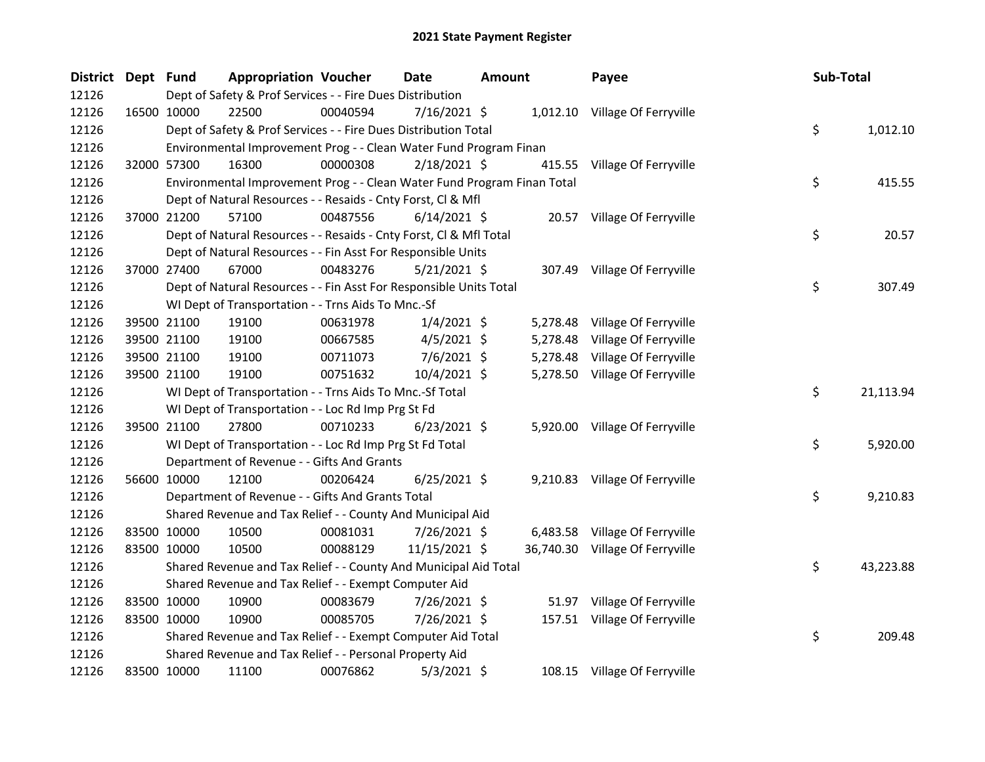| District Dept Fund |                                                                         | <b>Appropriation Voucher</b> | <b>Date</b>    | <b>Amount</b> |          | Payee                           | Sub-Total |           |
|--------------------|-------------------------------------------------------------------------|------------------------------|----------------|---------------|----------|---------------------------------|-----------|-----------|
| 12126              | Dept of Safety & Prof Services - - Fire Dues Distribution               |                              |                |               |          |                                 |           |           |
| 12126              | 22500<br>16500 10000                                                    | 00040594                     | $7/16/2021$ \$ |               |          | 1,012.10 Village Of Ferryville  |           |           |
| 12126              | Dept of Safety & Prof Services - - Fire Dues Distribution Total         |                              |                |               |          |                                 | \$        | 1,012.10  |
| 12126              | Environmental Improvement Prog - - Clean Water Fund Program Finan       |                              |                |               |          |                                 |           |           |
| 12126              | 32000 57300<br>16300                                                    | 00000308                     | 2/18/2021 \$   |               |          | 415.55 Village Of Ferryville    |           |           |
| 12126              | Environmental Improvement Prog - - Clean Water Fund Program Finan Total |                              |                |               |          |                                 | \$        | 415.55    |
| 12126              | Dept of Natural Resources - - Resaids - Cnty Forst, Cl & Mfl            |                              |                |               |          |                                 |           |           |
| 12126              | 37000 21200<br>57100                                                    | 00487556                     | $6/14/2021$ \$ |               |          | 20.57 Village Of Ferryville     |           |           |
| 12126              | Dept of Natural Resources - - Resaids - Cnty Forst, CI & Mfl Total      |                              |                |               |          |                                 | \$        | 20.57     |
| 12126              | Dept of Natural Resources - - Fin Asst For Responsible Units            |                              |                |               |          |                                 |           |           |
| 12126              | 67000<br>37000 27400                                                    | 00483276                     | $5/21/2021$ \$ |               |          | 307.49 Village Of Ferryville    |           |           |
| 12126              | Dept of Natural Resources - - Fin Asst For Responsible Units Total      |                              |                |               |          |                                 | \$        | 307.49    |
| 12126              | WI Dept of Transportation - - Trns Aids To Mnc.-Sf                      |                              |                |               |          |                                 |           |           |
| 12126              | 39500 21100<br>19100                                                    | 00631978                     | $1/4/2021$ \$  |               | 5,278.48 | Village Of Ferryville           |           |           |
| 12126              | 39500 21100<br>19100                                                    | 00667585                     | $4/5/2021$ \$  |               | 5,278.48 | Village Of Ferryville           |           |           |
| 12126              | 39500 21100<br>19100                                                    | 00711073                     | $7/6/2021$ \$  |               |          | 5,278.48 Village Of Ferryville  |           |           |
| 12126              | 39500 21100<br>19100                                                    | 00751632                     | 10/4/2021 \$   |               |          | 5,278.50 Village Of Ferryville  |           |           |
| 12126              | WI Dept of Transportation - - Trns Aids To Mnc.-Sf Total                |                              |                |               |          |                                 | \$        | 21,113.94 |
| 12126              | WI Dept of Transportation - - Loc Rd Imp Prg St Fd                      |                              |                |               |          |                                 |           |           |
| 12126              | 27800<br>39500 21100                                                    | 00710233                     | $6/23/2021$ \$ |               |          | 5,920.00 Village Of Ferryville  |           |           |
| 12126              | WI Dept of Transportation - - Loc Rd Imp Prg St Fd Total                |                              |                |               |          |                                 | \$        | 5,920.00  |
| 12126              | Department of Revenue - - Gifts And Grants                              |                              |                |               |          |                                 |           |           |
| 12126              | 56600 10000<br>12100                                                    | 00206424                     | $6/25/2021$ \$ |               |          | 9,210.83 Village Of Ferryville  |           |           |
| 12126              | Department of Revenue - - Gifts And Grants Total                        |                              |                |               |          |                                 | \$        | 9,210.83  |
| 12126              | Shared Revenue and Tax Relief - - County And Municipal Aid              |                              |                |               |          |                                 |           |           |
| 12126              | 83500 10000<br>10500                                                    | 00081031                     | 7/26/2021 \$   |               |          | 6,483.58 Village Of Ferryville  |           |           |
| 12126              | 83500 10000<br>10500                                                    | 00088129                     | 11/15/2021 \$  |               |          | 36,740.30 Village Of Ferryville |           |           |
| 12126              | Shared Revenue and Tax Relief - - County And Municipal Aid Total        |                              |                |               |          |                                 | \$        | 43,223.88 |
| 12126              | Shared Revenue and Tax Relief - - Exempt Computer Aid                   |                              |                |               |          |                                 |           |           |
| 12126              | 83500 10000<br>10900                                                    | 00083679                     | 7/26/2021 \$   |               |          | 51.97 Village Of Ferryville     |           |           |
| 12126              | 83500 10000<br>10900                                                    | 00085705                     | 7/26/2021 \$   |               |          | 157.51 Village Of Ferryville    |           |           |
| 12126              | Shared Revenue and Tax Relief - - Exempt Computer Aid Total             |                              |                |               |          |                                 | \$        | 209.48    |
| 12126              | Shared Revenue and Tax Relief - - Personal Property Aid                 |                              |                |               |          |                                 |           |           |
| 12126              | 83500 10000<br>11100                                                    | 00076862                     | 5/3/2021 \$    |               |          | 108.15 Village Of Ferryville    |           |           |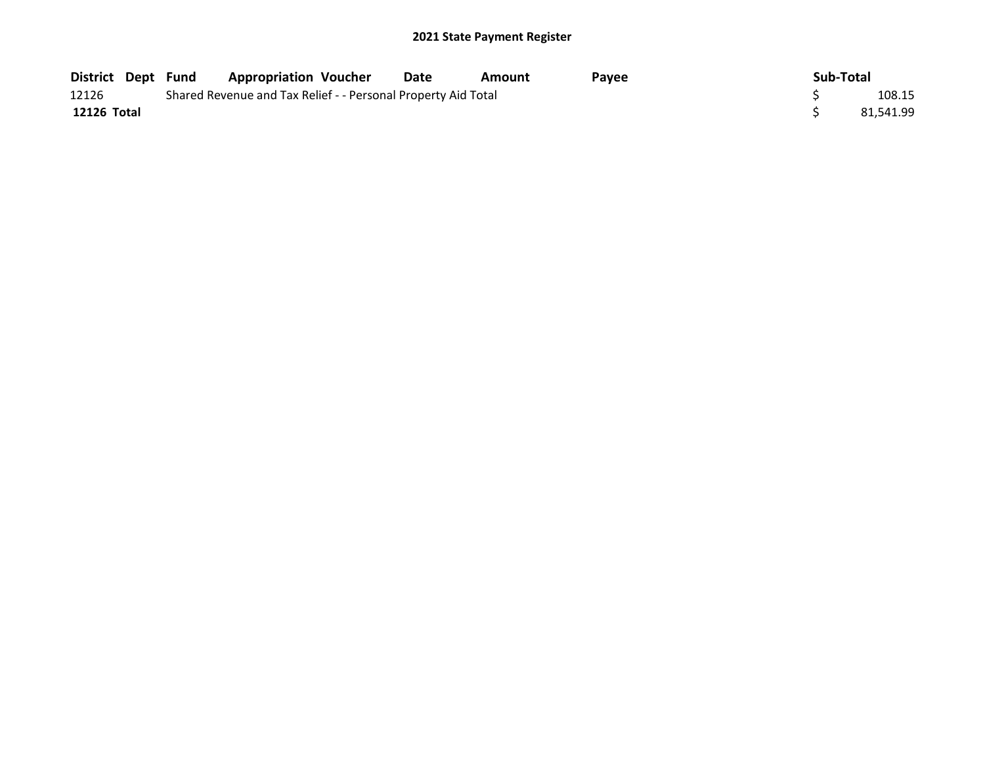|             |                                                               | District Dept Fund Appropriation Voucher |  | Date | Amount | Payee |  | Sub-Total |  |  |
|-------------|---------------------------------------------------------------|------------------------------------------|--|------|--------|-------|--|-----------|--|--|
| 12126       | Shared Revenue and Tax Relief - - Personal Property Aid Total |                                          |  |      |        |       |  |           |  |  |
| 12126 Total |                                                               |                                          |  |      |        |       |  | 81.541.99 |  |  |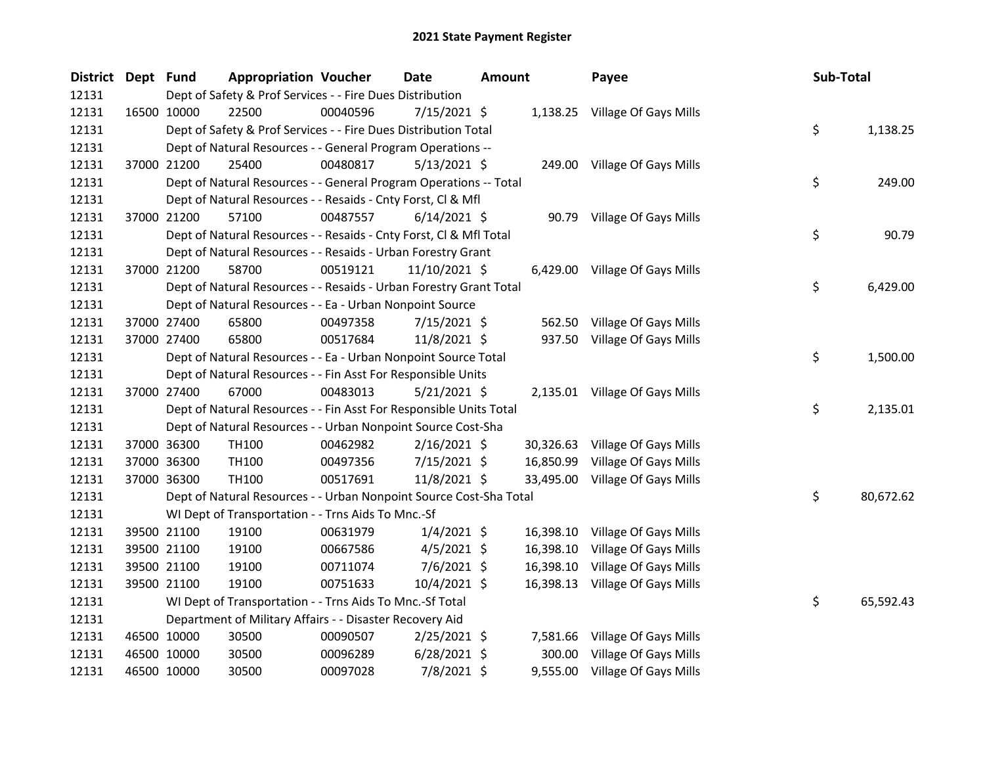| District Dept Fund |             | <b>Appropriation Voucher</b>                                       |          | <b>Date</b>    | <b>Amount</b> |           | Payee                           | Sub-Total |           |
|--------------------|-------------|--------------------------------------------------------------------|----------|----------------|---------------|-----------|---------------------------------|-----------|-----------|
| 12131              |             | Dept of Safety & Prof Services - - Fire Dues Distribution          |          |                |               |           |                                 |           |           |
| 12131              | 16500 10000 | 22500                                                              | 00040596 | 7/15/2021 \$   |               |           | 1,138.25 Village Of Gays Mills  |           |           |
| 12131              |             | Dept of Safety & Prof Services - - Fire Dues Distribution Total    |          |                |               |           |                                 | \$        | 1,138.25  |
| 12131              |             | Dept of Natural Resources - - General Program Operations --        |          |                |               |           |                                 |           |           |
| 12131              | 37000 21200 | 25400                                                              | 00480817 | $5/13/2021$ \$ |               |           | 249.00 Village Of Gays Mills    |           |           |
| 12131              |             | Dept of Natural Resources - - General Program Operations -- Total  |          |                |               |           |                                 | \$        | 249.00    |
| 12131              |             | Dept of Natural Resources - - Resaids - Cnty Forst, Cl & Mfl       |          |                |               |           |                                 |           |           |
| 12131              | 37000 21200 | 57100                                                              | 00487557 | $6/14/2021$ \$ |               |           | 90.79 Village Of Gays Mills     |           |           |
| 12131              |             | Dept of Natural Resources - - Resaids - Cnty Forst, CI & Mfl Total |          |                |               |           |                                 | \$        | 90.79     |
| 12131              |             | Dept of Natural Resources - - Resaids - Urban Forestry Grant       |          |                |               |           |                                 |           |           |
| 12131              | 37000 21200 | 58700                                                              | 00519121 | 11/10/2021 \$  |               |           | 6,429.00 Village Of Gays Mills  |           |           |
| 12131              |             | Dept of Natural Resources - - Resaids - Urban Forestry Grant Total |          |                |               |           |                                 | \$        | 6,429.00  |
| 12131              |             | Dept of Natural Resources - - Ea - Urban Nonpoint Source           |          |                |               |           |                                 |           |           |
| 12131              | 37000 27400 | 65800                                                              | 00497358 | $7/15/2021$ \$ |               | 562.50    | Village Of Gays Mills           |           |           |
| 12131              | 37000 27400 | 65800                                                              | 00517684 | 11/8/2021 \$   |               |           | 937.50 Village Of Gays Mills    |           |           |
| 12131              |             | Dept of Natural Resources - - Ea - Urban Nonpoint Source Total     |          |                |               |           |                                 | \$        | 1,500.00  |
| 12131              |             | Dept of Natural Resources - - Fin Asst For Responsible Units       |          |                |               |           |                                 |           |           |
| 12131              | 37000 27400 | 67000                                                              | 00483013 | $5/21/2021$ \$ |               |           | 2,135.01 Village Of Gays Mills  |           |           |
| 12131              |             | Dept of Natural Resources - - Fin Asst For Responsible Units Total |          |                |               |           |                                 | \$        | 2,135.01  |
| 12131              |             | Dept of Natural Resources - - Urban Nonpoint Source Cost-Sha       |          |                |               |           |                                 |           |           |
| 12131              | 37000 36300 | TH100                                                              | 00462982 | $2/16/2021$ \$ |               |           | 30,326.63 Village Of Gays Mills |           |           |
| 12131              | 37000 36300 | TH100                                                              | 00497356 | 7/15/2021 \$   |               | 16,850.99 | Village Of Gays Mills           |           |           |
| 12131              | 37000 36300 | TH100                                                              | 00517691 | 11/8/2021 \$   |               | 33,495.00 | Village Of Gays Mills           |           |           |
| 12131              |             | Dept of Natural Resources - - Urban Nonpoint Source Cost-Sha Total |          |                |               |           |                                 | \$        | 80,672.62 |
| 12131              |             | WI Dept of Transportation - - Trns Aids To Mnc.-Sf                 |          |                |               |           |                                 |           |           |
| 12131              | 39500 21100 | 19100                                                              | 00631979 | $1/4/2021$ \$  |               | 16,398.10 | Village Of Gays Mills           |           |           |
| 12131              | 39500 21100 | 19100                                                              | 00667586 | 4/5/2021 \$    |               | 16,398.10 | Village Of Gays Mills           |           |           |
| 12131              | 39500 21100 | 19100                                                              | 00711074 | $7/6/2021$ \$  |               | 16,398.10 | Village Of Gays Mills           |           |           |
| 12131              | 39500 21100 | 19100                                                              | 00751633 | 10/4/2021 \$   |               |           | 16,398.13 Village Of Gays Mills |           |           |
| 12131              |             | WI Dept of Transportation - - Trns Aids To Mnc.-Sf Total           |          |                |               |           |                                 | \$        | 65,592.43 |
| 12131              |             | Department of Military Affairs - - Disaster Recovery Aid           |          |                |               |           |                                 |           |           |
| 12131              | 46500 10000 | 30500                                                              | 00090507 | $2/25/2021$ \$ |               | 7,581.66  | Village Of Gays Mills           |           |           |
| 12131              | 46500 10000 | 30500                                                              | 00096289 | $6/28/2021$ \$ |               | 300.00    | Village Of Gays Mills           |           |           |
| 12131              | 46500 10000 | 30500                                                              | 00097028 | 7/8/2021 \$    |               | 9,555.00  | Village Of Gays Mills           |           |           |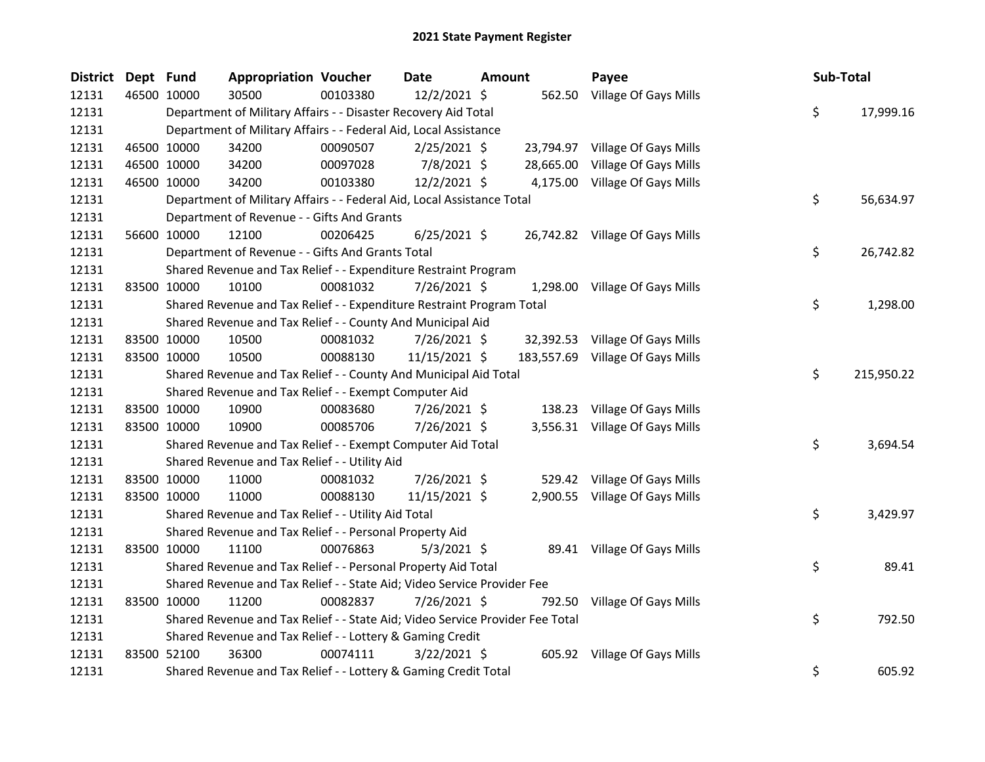| <b>District</b> | Dept Fund |             | <b>Appropriation Voucher</b>                                                  |          | <b>Date</b>    | <b>Amount</b> | Payee                            | Sub-Total |            |
|-----------------|-----------|-------------|-------------------------------------------------------------------------------|----------|----------------|---------------|----------------------------------|-----------|------------|
| 12131           |           | 46500 10000 | 30500                                                                         | 00103380 | 12/2/2021 \$   |               | 562.50 Village Of Gays Mills     |           |            |
| 12131           |           |             | Department of Military Affairs - - Disaster Recovery Aid Total                |          |                |               |                                  | \$        | 17,999.16  |
| 12131           |           |             | Department of Military Affairs - - Federal Aid, Local Assistance              |          |                |               |                                  |           |            |
| 12131           |           | 46500 10000 | 34200                                                                         | 00090507 | $2/25/2021$ \$ |               | 23,794.97 Village Of Gays Mills  |           |            |
| 12131           |           | 46500 10000 | 34200                                                                         | 00097028 | 7/8/2021 \$    |               | 28,665.00 Village Of Gays Mills  |           |            |
| 12131           |           | 46500 10000 | 34200                                                                         | 00103380 | $12/2/2021$ \$ |               | 4,175.00 Village Of Gays Mills   |           |            |
| 12131           |           |             | Department of Military Affairs - - Federal Aid, Local Assistance Total        |          |                |               |                                  | \$        | 56,634.97  |
| 12131           |           |             | Department of Revenue - - Gifts And Grants                                    |          |                |               |                                  |           |            |
| 12131           |           | 56600 10000 | 12100                                                                         | 00206425 | $6/25/2021$ \$ |               | 26,742.82 Village Of Gays Mills  |           |            |
| 12131           |           |             | Department of Revenue - - Gifts And Grants Total                              |          |                |               |                                  | \$        | 26,742.82  |
| 12131           |           |             | Shared Revenue and Tax Relief - - Expenditure Restraint Program               |          |                |               |                                  |           |            |
| 12131           |           | 83500 10000 | 10100                                                                         | 00081032 | 7/26/2021 \$   |               | 1,298.00 Village Of Gays Mills   |           |            |
| 12131           |           |             | Shared Revenue and Tax Relief - - Expenditure Restraint Program Total         |          |                |               |                                  | \$        | 1,298.00   |
| 12131           |           |             | Shared Revenue and Tax Relief - - County And Municipal Aid                    |          |                |               |                                  |           |            |
| 12131           |           | 83500 10000 | 10500                                                                         | 00081032 | $7/26/2021$ \$ |               | 32,392.53 Village Of Gays Mills  |           |            |
| 12131           |           | 83500 10000 | 10500                                                                         | 00088130 | 11/15/2021 \$  |               | 183,557.69 Village Of Gays Mills |           |            |
| 12131           |           |             | Shared Revenue and Tax Relief - - County And Municipal Aid Total              |          |                |               |                                  | \$        | 215,950.22 |
| 12131           |           |             | Shared Revenue and Tax Relief - - Exempt Computer Aid                         |          |                |               |                                  |           |            |
| 12131           |           | 83500 10000 | 10900                                                                         | 00083680 | $7/26/2021$ \$ |               | 138.23 Village Of Gays Mills     |           |            |
| 12131           |           | 83500 10000 | 10900                                                                         | 00085706 | 7/26/2021 \$   |               | 3,556.31 Village Of Gays Mills   |           |            |
| 12131           |           |             | Shared Revenue and Tax Relief - - Exempt Computer Aid Total                   |          |                |               |                                  | \$        | 3,694.54   |
| 12131           |           |             | Shared Revenue and Tax Relief - - Utility Aid                                 |          |                |               |                                  |           |            |
| 12131           |           | 83500 10000 | 11000                                                                         | 00081032 | 7/26/2021 \$   |               | 529.42 Village Of Gays Mills     |           |            |
| 12131           |           | 83500 10000 | 11000                                                                         | 00088130 | 11/15/2021 \$  |               | 2,900.55 Village Of Gays Mills   |           |            |
| 12131           |           |             | Shared Revenue and Tax Relief - - Utility Aid Total                           |          |                |               |                                  | \$        | 3,429.97   |
| 12131           |           |             | Shared Revenue and Tax Relief - - Personal Property Aid                       |          |                |               |                                  |           |            |
| 12131           |           | 83500 10000 | 11100                                                                         | 00076863 | $5/3/2021$ \$  |               | 89.41 Village Of Gays Mills      |           |            |
| 12131           |           |             | Shared Revenue and Tax Relief - - Personal Property Aid Total                 |          |                |               |                                  | \$        | 89.41      |
| 12131           |           |             | Shared Revenue and Tax Relief - - State Aid; Video Service Provider Fee       |          |                |               |                                  |           |            |
| 12131           |           | 83500 10000 | 11200                                                                         | 00082837 | 7/26/2021 \$   |               | 792.50 Village Of Gays Mills     |           |            |
| 12131           |           |             | Shared Revenue and Tax Relief - - State Aid; Video Service Provider Fee Total |          |                |               |                                  | \$        | 792.50     |
| 12131           |           |             | Shared Revenue and Tax Relief - - Lottery & Gaming Credit                     |          |                |               |                                  |           |            |
| 12131           |           | 83500 52100 | 36300                                                                         | 00074111 | $3/22/2021$ \$ |               | 605.92 Village Of Gays Mills     |           |            |
| 12131           |           |             | Shared Revenue and Tax Relief - - Lottery & Gaming Credit Total               |          |                |               |                                  | \$        | 605.92     |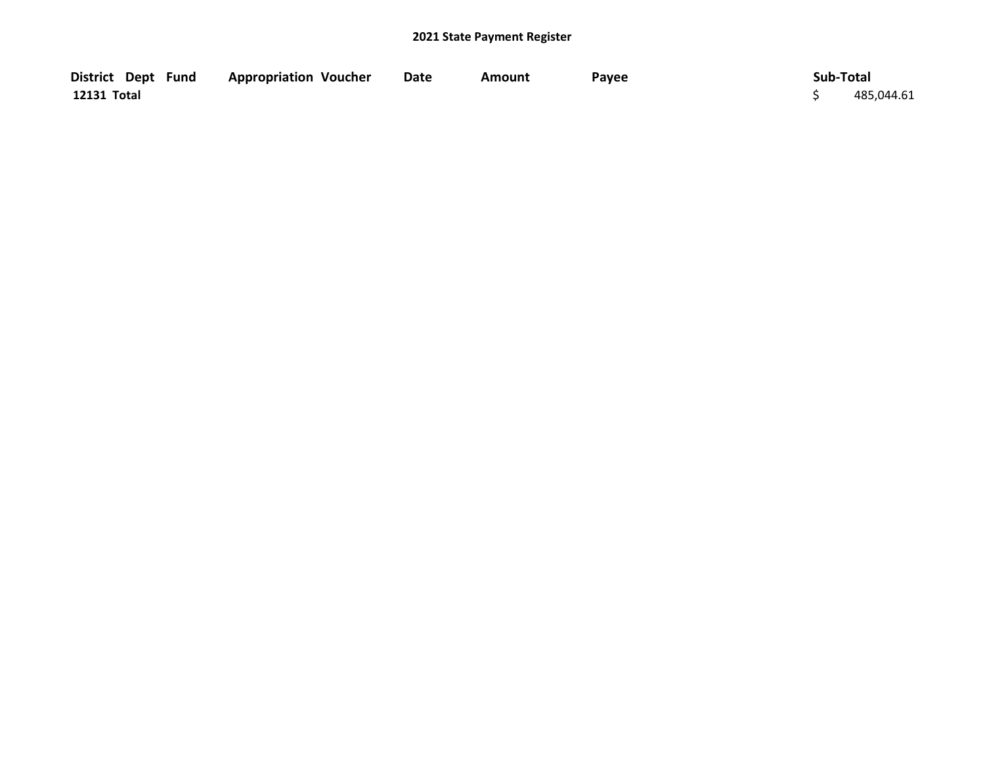| District Dept Fund | <b>Appropriation Voucher</b> | <b>Date</b> | Amount | Payee | Sub-Total  |
|--------------------|------------------------------|-------------|--------|-------|------------|
| 12131 Total        |                              |             |        |       | 485,044.61 |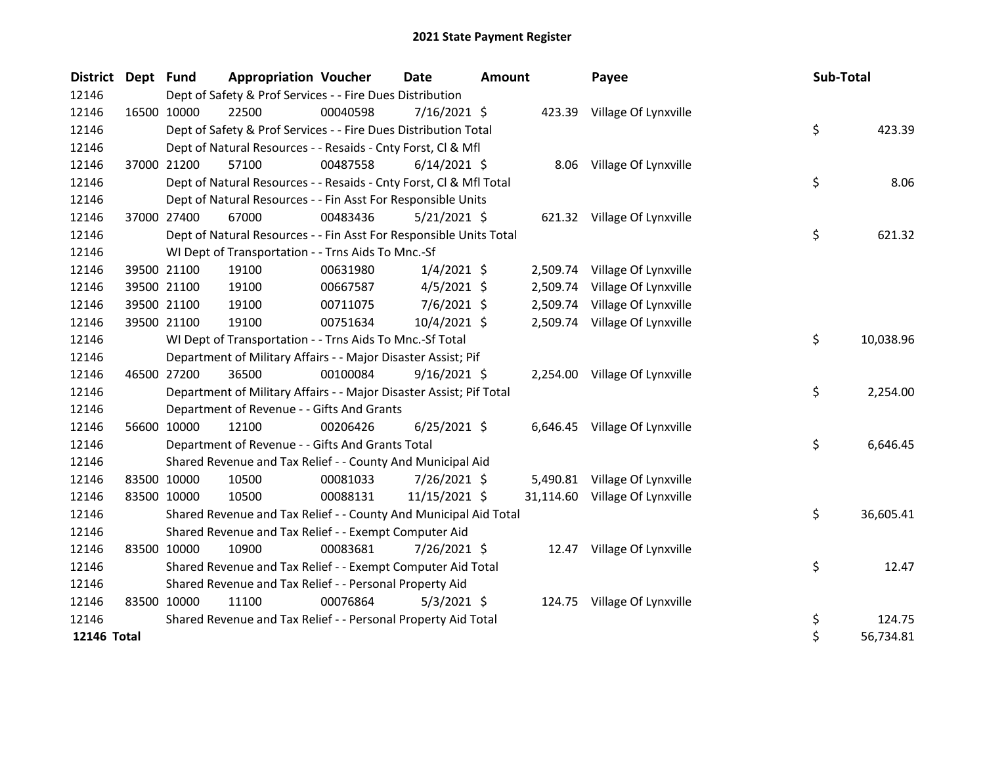| District Dept Fund |             | <b>Appropriation Voucher</b>                                        |          | <b>Date</b>    | <b>Amount</b> |          | Payee                          |  | Sub-Total |           |  |
|--------------------|-------------|---------------------------------------------------------------------|----------|----------------|---------------|----------|--------------------------------|--|-----------|-----------|--|
| 12146              |             | Dept of Safety & Prof Services - - Fire Dues Distribution           |          |                |               |          |                                |  |           |           |  |
| 12146              | 16500 10000 | 22500                                                               | 00040598 | $7/16/2021$ \$ |               |          | 423.39 Village Of Lynxville    |  |           |           |  |
| 12146              |             | Dept of Safety & Prof Services - - Fire Dues Distribution Total     |          |                |               |          |                                |  | \$        | 423.39    |  |
| 12146              |             | Dept of Natural Resources - - Resaids - Cnty Forst, Cl & Mfl        |          |                |               |          |                                |  |           |           |  |
| 12146              | 37000 21200 | 57100                                                               | 00487558 | $6/14/2021$ \$ |               |          | 8.06 Village Of Lynxville      |  |           |           |  |
| 12146              |             | Dept of Natural Resources - - Resaids - Cnty Forst, Cl & Mfl Total  |          |                |               |          |                                |  | \$        | 8.06      |  |
| 12146              |             | Dept of Natural Resources - - Fin Asst For Responsible Units        |          |                |               |          |                                |  |           |           |  |
| 12146              | 37000 27400 | 67000                                                               | 00483436 | $5/21/2021$ \$ |               |          | 621.32 Village Of Lynxville    |  |           |           |  |
| 12146              |             | Dept of Natural Resources - - Fin Asst For Responsible Units Total  |          |                |               |          |                                |  | \$        | 621.32    |  |
| 12146              |             | WI Dept of Transportation - - Trns Aids To Mnc.-Sf                  |          |                |               |          |                                |  |           |           |  |
| 12146              | 39500 21100 | 19100                                                               | 00631980 | $1/4/2021$ \$  |               | 2,509.74 | Village Of Lynxville           |  |           |           |  |
| 12146              | 39500 21100 | 19100                                                               | 00667587 | $4/5/2021$ \$  |               | 2,509.74 | Village Of Lynxville           |  |           |           |  |
| 12146              | 39500 21100 | 19100                                                               | 00711075 | $7/6/2021$ \$  |               |          | 2,509.74 Village Of Lynxville  |  |           |           |  |
| 12146              | 39500 21100 | 19100                                                               | 00751634 | 10/4/2021 \$   |               |          | 2,509.74 Village Of Lynxville  |  |           |           |  |
| 12146              |             | WI Dept of Transportation - - Trns Aids To Mnc.-Sf Total            |          |                |               |          |                                |  | \$        | 10,038.96 |  |
| 12146              |             | Department of Military Affairs - - Major Disaster Assist; Pif       |          |                |               |          |                                |  |           |           |  |
| 12146              | 46500 27200 | 36500                                                               | 00100084 | $9/16/2021$ \$ |               |          | 2,254.00 Village Of Lynxville  |  |           |           |  |
| 12146              |             | Department of Military Affairs - - Major Disaster Assist; Pif Total |          |                |               |          |                                |  | \$        | 2,254.00  |  |
| 12146              |             | Department of Revenue - - Gifts And Grants                          |          |                |               |          |                                |  |           |           |  |
| 12146              | 56600 10000 | 12100                                                               | 00206426 | $6/25/2021$ \$ |               |          | 6,646.45 Village Of Lynxville  |  |           |           |  |
| 12146              |             | Department of Revenue - - Gifts And Grants Total                    |          |                |               |          |                                |  | \$        | 6,646.45  |  |
| 12146              |             | Shared Revenue and Tax Relief - - County And Municipal Aid          |          |                |               |          |                                |  |           |           |  |
| 12146              | 83500 10000 | 10500                                                               | 00081033 | 7/26/2021 \$   |               |          | 5,490.81 Village Of Lynxville  |  |           |           |  |
| 12146              | 83500 10000 | 10500                                                               | 00088131 | 11/15/2021 \$  |               |          | 31,114.60 Village Of Lynxville |  |           |           |  |
| 12146              |             | Shared Revenue and Tax Relief - - County And Municipal Aid Total    |          |                |               |          |                                |  | \$        | 36,605.41 |  |
| 12146              |             | Shared Revenue and Tax Relief - - Exempt Computer Aid               |          |                |               |          |                                |  |           |           |  |
| 12146              | 83500 10000 | 10900                                                               | 00083681 | 7/26/2021 \$   |               |          | 12.47 Village Of Lynxville     |  |           |           |  |
| 12146              |             | Shared Revenue and Tax Relief - - Exempt Computer Aid Total         |          |                |               |          |                                |  | \$        | 12.47     |  |
| 12146              |             | Shared Revenue and Tax Relief - - Personal Property Aid             |          |                |               |          |                                |  |           |           |  |
| 12146              | 83500 10000 | 11100                                                               | 00076864 | $5/3/2021$ \$  |               |          | 124.75 Village Of Lynxville    |  |           |           |  |
| 12146              |             | Shared Revenue and Tax Relief - - Personal Property Aid Total       |          |                |               |          |                                |  | \$        | 124.75    |  |
| 12146 Total        |             |                                                                     |          |                |               |          |                                |  | \$        | 56,734.81 |  |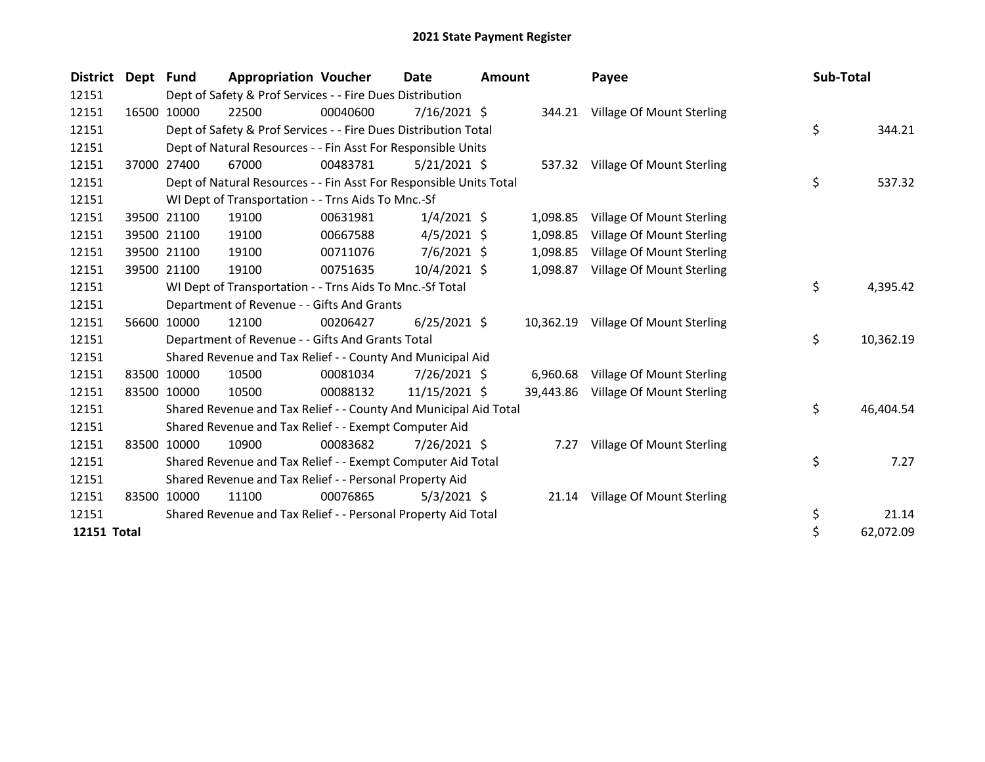| <b>District</b> | Dept Fund |             | <b>Appropriation Voucher</b>                                       |          | <b>Date</b>    | <b>Amount</b> |           | Payee                            |    | Sub-Total |  |
|-----------------|-----------|-------------|--------------------------------------------------------------------|----------|----------------|---------------|-----------|----------------------------------|----|-----------|--|
| 12151           |           |             | Dept of Safety & Prof Services - - Fire Dues Distribution          |          |                |               |           |                                  |    |           |  |
| 12151           |           | 16500 10000 | 22500                                                              | 00040600 | $7/16/2021$ \$ |               |           | 344.21 Village Of Mount Sterling |    |           |  |
| 12151           |           |             | Dept of Safety & Prof Services - - Fire Dues Distribution Total    |          |                |               |           |                                  | \$ | 344.21    |  |
| 12151           |           |             | Dept of Natural Resources - - Fin Asst For Responsible Units       |          |                |               |           |                                  |    |           |  |
| 12151           |           | 37000 27400 | 67000                                                              | 00483781 | $5/21/2021$ \$ |               |           | 537.32 Village Of Mount Sterling |    |           |  |
| 12151           |           |             | Dept of Natural Resources - - Fin Asst For Responsible Units Total |          |                |               |           |                                  | \$ | 537.32    |  |
| 12151           |           |             | WI Dept of Transportation - - Trns Aids To Mnc.-Sf                 |          |                |               |           |                                  |    |           |  |
| 12151           |           | 39500 21100 | 19100                                                              | 00631981 | $1/4/2021$ \$  |               | 1,098.85  | Village Of Mount Sterling        |    |           |  |
| 12151           |           | 39500 21100 | 19100                                                              | 00667588 | $4/5/2021$ \$  |               | 1,098.85  | Village Of Mount Sterling        |    |           |  |
| 12151           |           | 39500 21100 | 19100                                                              | 00711076 | $7/6/2021$ \$  |               | 1,098.85  | Village Of Mount Sterling        |    |           |  |
| 12151           |           | 39500 21100 | 19100                                                              | 00751635 | 10/4/2021 \$   |               | 1,098.87  | Village Of Mount Sterling        |    |           |  |
| 12151           |           |             | WI Dept of Transportation - - Trns Aids To Mnc.-Sf Total           |          |                |               |           |                                  | \$ | 4,395.42  |  |
| 12151           |           |             | Department of Revenue - - Gifts And Grants                         |          |                |               |           |                                  |    |           |  |
| 12151           |           | 56600 10000 | 12100                                                              | 00206427 | $6/25/2021$ \$ |               | 10,362.19 | Village Of Mount Sterling        |    |           |  |
| 12151           |           |             | Department of Revenue - - Gifts And Grants Total                   |          |                |               |           |                                  | \$ | 10,362.19 |  |
| 12151           |           |             | Shared Revenue and Tax Relief - - County And Municipal Aid         |          |                |               |           |                                  |    |           |  |
| 12151           |           | 83500 10000 | 10500                                                              | 00081034 | 7/26/2021 \$   |               | 6,960.68  | Village Of Mount Sterling        |    |           |  |
| 12151           |           | 83500 10000 | 10500                                                              | 00088132 | 11/15/2021 \$  |               | 39,443.86 | Village Of Mount Sterling        |    |           |  |
| 12151           |           |             | Shared Revenue and Tax Relief - - County And Municipal Aid Total   |          |                |               |           |                                  | \$ | 46,404.54 |  |
| 12151           |           |             | Shared Revenue and Tax Relief - - Exempt Computer Aid              |          |                |               |           |                                  |    |           |  |
| 12151           |           | 83500 10000 | 10900                                                              | 00083682 | 7/26/2021 \$   |               | 7.27      | Village Of Mount Sterling        |    |           |  |
| 12151           |           |             | Shared Revenue and Tax Relief - - Exempt Computer Aid Total        |          |                |               |           |                                  | \$ | 7.27      |  |
| 12151           |           |             | Shared Revenue and Tax Relief - - Personal Property Aid            |          |                |               |           |                                  |    |           |  |
| 12151           | 83500     | 10000       | 11100                                                              | 00076865 | $5/3/2021$ \$  |               |           | 21.14 Village Of Mount Sterling  |    |           |  |
| 12151           |           |             | Shared Revenue and Tax Relief - - Personal Property Aid Total      |          |                |               |           |                                  | \$ | 21.14     |  |
| 12151 Total     |           |             |                                                                    |          |                |               |           |                                  | \$ | 62,072.09 |  |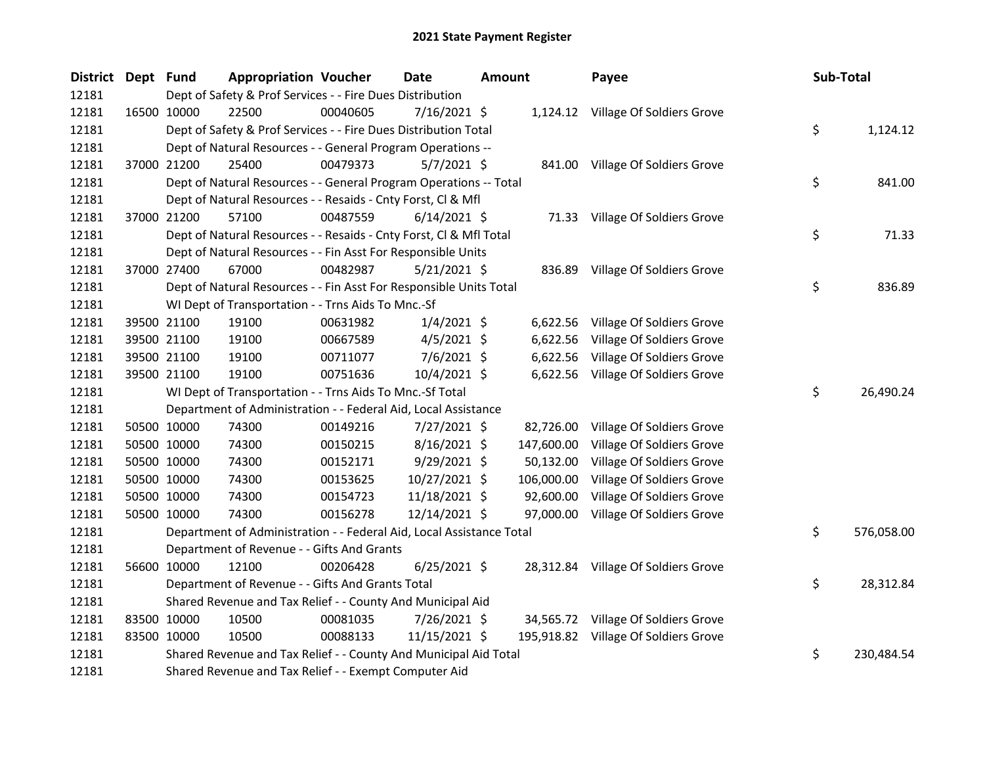| District Dept Fund |             | <b>Appropriation Voucher</b>                                         |          | <b>Date</b>    | <b>Amount</b> |            | Payee                                |    | Sub-Total  |
|--------------------|-------------|----------------------------------------------------------------------|----------|----------------|---------------|------------|--------------------------------------|----|------------|
| 12181              |             | Dept of Safety & Prof Services - - Fire Dues Distribution            |          |                |               |            |                                      |    |            |
| 12181              | 16500 10000 | 22500                                                                | 00040605 | $7/16/2021$ \$ |               |            | 1,124.12 Village Of Soldiers Grove   |    |            |
| 12181              |             | Dept of Safety & Prof Services - - Fire Dues Distribution Total      |          |                |               |            |                                      | \$ | 1,124.12   |
| 12181              |             | Dept of Natural Resources - - General Program Operations --          |          |                |               |            |                                      |    |            |
| 12181              | 37000 21200 | 25400                                                                | 00479373 | $5/7/2021$ \$  |               |            | 841.00 Village Of Soldiers Grove     |    |            |
| 12181              |             | Dept of Natural Resources - - General Program Operations -- Total    |          |                |               |            |                                      | \$ | 841.00     |
| 12181              |             | Dept of Natural Resources - - Resaids - Cnty Forst, Cl & Mfl         |          |                |               |            |                                      |    |            |
| 12181              | 37000 21200 | 57100                                                                | 00487559 | $6/14/2021$ \$ |               |            | 71.33 Village Of Soldiers Grove      |    |            |
| 12181              |             | Dept of Natural Resources - - Resaids - Cnty Forst, Cl & Mfl Total   |          |                |               |            |                                      | \$ | 71.33      |
| 12181              |             | Dept of Natural Resources - - Fin Asst For Responsible Units         |          |                |               |            |                                      |    |            |
| 12181              | 37000 27400 | 67000                                                                | 00482987 | $5/21/2021$ \$ |               |            | 836.89 Village Of Soldiers Grove     |    |            |
| 12181              |             | Dept of Natural Resources - - Fin Asst For Responsible Units Total   |          |                |               |            |                                      | \$ | 836.89     |
| 12181              |             | WI Dept of Transportation - - Trns Aids To Mnc.-Sf                   |          |                |               |            |                                      |    |            |
| 12181              | 39500 21100 | 19100                                                                | 00631982 | $1/4/2021$ \$  |               | 6,622.56   | Village Of Soldiers Grove            |    |            |
| 12181              | 39500 21100 | 19100                                                                | 00667589 | $4/5/2021$ \$  |               | 6,622.56   | Village Of Soldiers Grove            |    |            |
| 12181              | 39500 21100 | 19100                                                                | 00711077 | $7/6/2021$ \$  |               | 6,622.56   | Village Of Soldiers Grove            |    |            |
| 12181              | 39500 21100 | 19100                                                                | 00751636 | 10/4/2021 \$   |               |            | 6,622.56 Village Of Soldiers Grove   |    |            |
| 12181              |             | WI Dept of Transportation - - Trns Aids To Mnc.-Sf Total             |          |                |               |            |                                      | \$ | 26,490.24  |
| 12181              |             | Department of Administration - - Federal Aid, Local Assistance       |          |                |               |            |                                      |    |            |
| 12181              | 50500 10000 | 74300                                                                | 00149216 | $7/27/2021$ \$ |               | 82,726.00  | Village Of Soldiers Grove            |    |            |
| 12181              | 50500 10000 | 74300                                                                | 00150215 | $8/16/2021$ \$ |               | 147,600.00 | Village Of Soldiers Grove            |    |            |
| 12181              | 50500 10000 | 74300                                                                | 00152171 | $9/29/2021$ \$ |               | 50,132.00  | Village Of Soldiers Grove            |    |            |
| 12181              | 50500 10000 | 74300                                                                | 00153625 | 10/27/2021 \$  |               | 106,000.00 | Village Of Soldiers Grove            |    |            |
| 12181              | 50500 10000 | 74300                                                                | 00154723 | 11/18/2021 \$  |               | 92,600.00  | Village Of Soldiers Grove            |    |            |
| 12181              | 50500 10000 | 74300                                                                | 00156278 | 12/14/2021 \$  |               | 97,000.00  | Village Of Soldiers Grove            |    |            |
| 12181              |             | Department of Administration - - Federal Aid, Local Assistance Total |          |                |               |            |                                      | \$ | 576,058.00 |
| 12181              |             | Department of Revenue - - Gifts And Grants                           |          |                |               |            |                                      |    |            |
| 12181              | 56600 10000 | 12100                                                                | 00206428 | $6/25/2021$ \$ |               |            | 28,312.84 Village Of Soldiers Grove  |    |            |
| 12181              |             | Department of Revenue - - Gifts And Grants Total                     |          |                |               |            |                                      | \$ | 28,312.84  |
| 12181              |             | Shared Revenue and Tax Relief - - County And Municipal Aid           |          |                |               |            |                                      |    |            |
| 12181              | 83500 10000 | 10500                                                                | 00081035 | 7/26/2021 \$   |               |            | 34,565.72 Village Of Soldiers Grove  |    |            |
| 12181              | 83500 10000 | 10500                                                                | 00088133 | 11/15/2021 \$  |               |            | 195,918.82 Village Of Soldiers Grove |    |            |
| 12181              |             | Shared Revenue and Tax Relief - - County And Municipal Aid Total     |          |                |               |            |                                      | \$ | 230,484.54 |
| 12181              |             | Shared Revenue and Tax Relief - - Exempt Computer Aid                |          |                |               |            |                                      |    |            |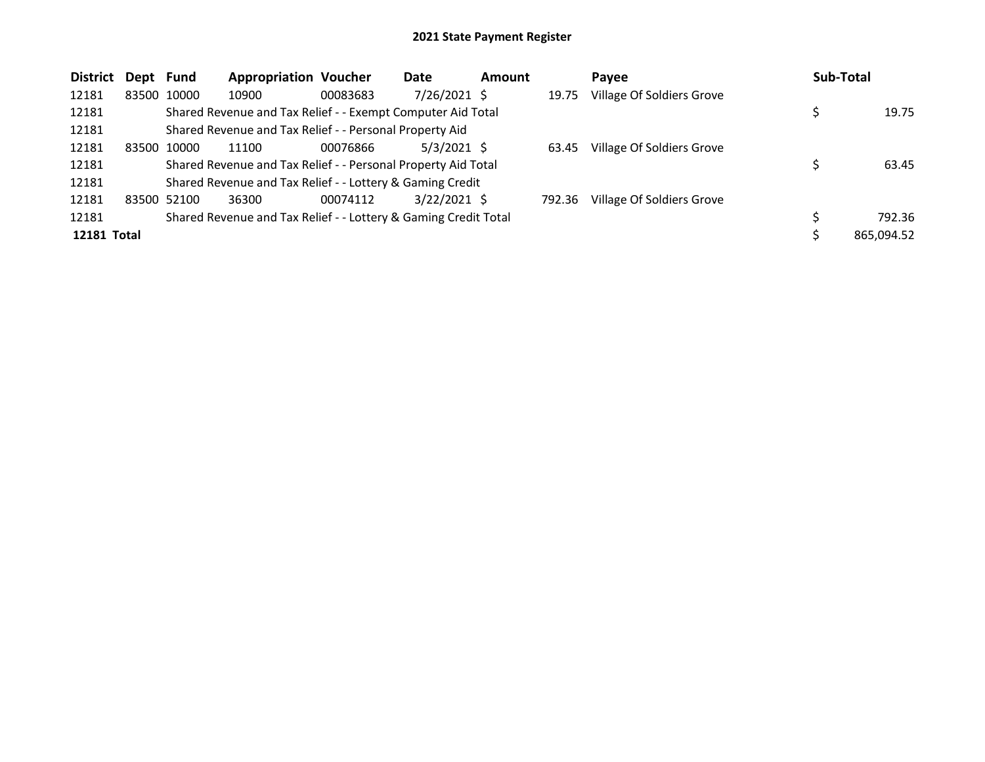| <b>District</b> | Dept Fund |       | <b>Appropriation Voucher</b>                                    |          | Date           | <b>Amount</b> |        | Payee                     | <b>Sub-Total</b> |
|-----------------|-----------|-------|-----------------------------------------------------------------|----------|----------------|---------------|--------|---------------------------|------------------|
| 12181           | 83500     | 10000 | 10900                                                           | 00083683 | $7/26/2021$ \$ |               | 19.75  | Village Of Soldiers Grove |                  |
| 12181           |           |       | Shared Revenue and Tax Relief - - Exempt Computer Aid Total     |          |                |               |        |                           | 19.75            |
| 12181           |           |       | Shared Revenue and Tax Relief - - Personal Property Aid         |          |                |               |        |                           |                  |
| 12181           | 83500     | 10000 | 11100                                                           | 00076866 | $5/3/2021$ \$  |               | 63.45  | Village Of Soldiers Grove |                  |
| 12181           |           |       | Shared Revenue and Tax Relief - - Personal Property Aid Total   |          |                |               |        |                           | 63.45            |
| 12181           |           |       | Shared Revenue and Tax Relief - - Lottery & Gaming Credit       |          |                |               |        |                           |                  |
| 12181           | 83500     | 52100 | 36300                                                           | 00074112 | $3/22/2021$ \$ |               | 792.36 | Village Of Soldiers Grove |                  |
| 12181           |           |       | Shared Revenue and Tax Relief - - Lottery & Gaming Credit Total |          |                |               |        |                           | 792.36           |
| 12181 Total     |           |       |                                                                 |          |                |               |        |                           | 865.094.52       |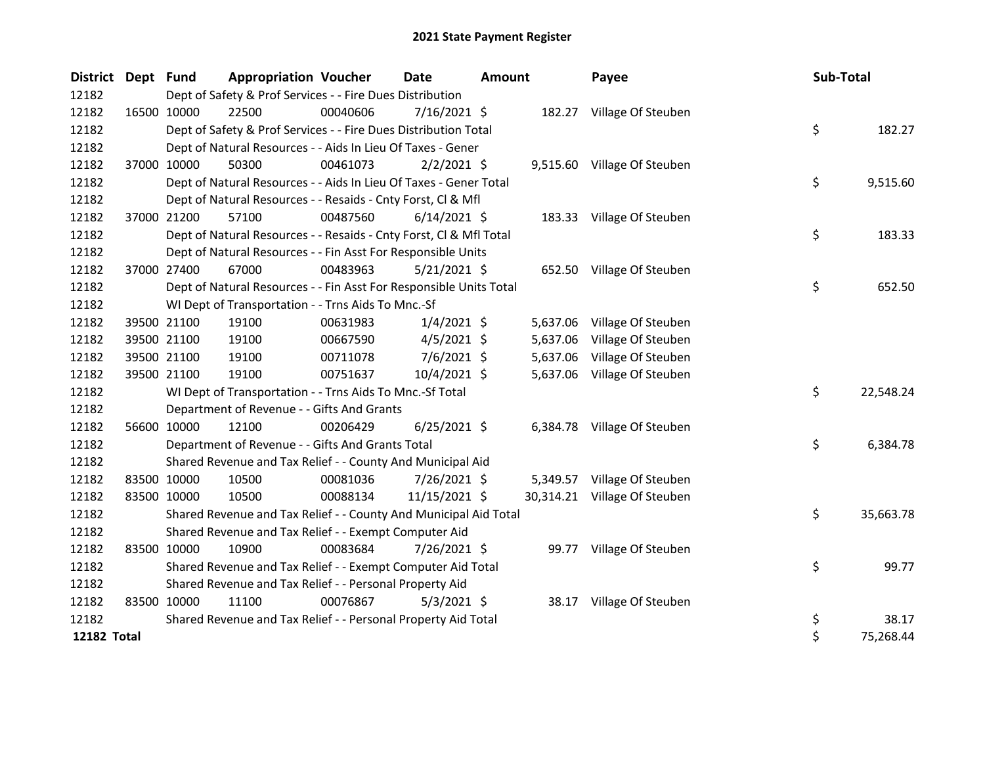| District Dept Fund |             |             | <b>Appropriation Voucher</b>                                       |          | <b>Date</b>    | <b>Amount</b> |          | Payee                        | Sub-Total |           |
|--------------------|-------------|-------------|--------------------------------------------------------------------|----------|----------------|---------------|----------|------------------------------|-----------|-----------|
| 12182              |             |             | Dept of Safety & Prof Services - - Fire Dues Distribution          |          |                |               |          |                              |           |           |
| 12182              | 16500 10000 |             | 22500                                                              | 00040606 | 7/16/2021 \$   |               |          | 182.27 Village Of Steuben    |           |           |
| 12182              |             |             | Dept of Safety & Prof Services - - Fire Dues Distribution Total    |          |                |               |          |                              | \$        | 182.27    |
| 12182              |             |             | Dept of Natural Resources - - Aids In Lieu Of Taxes - Gener        |          |                |               |          |                              |           |           |
| 12182              |             | 37000 10000 | 50300                                                              | 00461073 | $2/2/2021$ \$  |               |          | 9,515.60 Village Of Steuben  |           |           |
| 12182              |             |             | Dept of Natural Resources - - Aids In Lieu Of Taxes - Gener Total  |          |                |               |          |                              | \$        | 9,515.60  |
| 12182              |             |             | Dept of Natural Resources - - Resaids - Cnty Forst, Cl & Mfl       |          |                |               |          |                              |           |           |
| 12182              | 37000 21200 |             | 57100                                                              | 00487560 | $6/14/2021$ \$ |               |          | 183.33 Village Of Steuben    |           |           |
| 12182              |             |             | Dept of Natural Resources - - Resaids - Cnty Forst, Cl & Mfl Total |          |                |               |          |                              | \$        | 183.33    |
| 12182              |             |             | Dept of Natural Resources - - Fin Asst For Responsible Units       |          |                |               |          |                              |           |           |
| 12182              |             | 37000 27400 | 67000                                                              | 00483963 | $5/21/2021$ \$ |               |          | 652.50 Village Of Steuben    |           |           |
| 12182              |             |             | Dept of Natural Resources - - Fin Asst For Responsible Units Total |          |                |               |          |                              | \$        | 652.50    |
| 12182              |             |             | WI Dept of Transportation - - Trns Aids To Mnc.-Sf                 |          |                |               |          |                              |           |           |
| 12182              |             | 39500 21100 | 19100                                                              | 00631983 | $1/4/2021$ \$  |               | 5,637.06 | Village Of Steuben           |           |           |
| 12182              |             | 39500 21100 | 19100                                                              | 00667590 | $4/5/2021$ \$  |               | 5,637.06 | Village Of Steuben           |           |           |
| 12182              |             | 39500 21100 | 19100                                                              | 00711078 | $7/6/2021$ \$  |               | 5,637.06 | Village Of Steuben           |           |           |
| 12182              |             | 39500 21100 | 19100                                                              | 00751637 | 10/4/2021 \$   |               | 5,637.06 | Village Of Steuben           |           |           |
| 12182              |             |             | WI Dept of Transportation - - Trns Aids To Mnc.-Sf Total           |          |                |               |          |                              | \$        | 22,548.24 |
| 12182              |             |             | Department of Revenue - - Gifts And Grants                         |          |                |               |          |                              |           |           |
| 12182              |             | 56600 10000 | 12100                                                              | 00206429 | $6/25/2021$ \$ |               |          | 6,384.78 Village Of Steuben  |           |           |
| 12182              |             |             | Department of Revenue - - Gifts And Grants Total                   |          |                |               |          |                              | \$        | 6,384.78  |
| 12182              |             |             | Shared Revenue and Tax Relief - - County And Municipal Aid         |          |                |               |          |                              |           |           |
| 12182              |             | 83500 10000 | 10500                                                              | 00081036 | 7/26/2021 \$   |               |          | 5,349.57 Village Of Steuben  |           |           |
| 12182              |             | 83500 10000 | 10500                                                              | 00088134 | 11/15/2021 \$  |               |          | 30,314.21 Village Of Steuben |           |           |
| 12182              |             |             | Shared Revenue and Tax Relief - - County And Municipal Aid Total   |          |                |               |          |                              | \$        | 35,663.78 |
| 12182              |             |             | Shared Revenue and Tax Relief - - Exempt Computer Aid              |          |                |               |          |                              |           |           |
| 12182              |             | 83500 10000 | 10900                                                              | 00083684 | 7/26/2021 \$   |               |          | 99.77 Village Of Steuben     |           |           |
| 12182              |             |             | Shared Revenue and Tax Relief - - Exempt Computer Aid Total        |          |                |               |          |                              | \$        | 99.77     |
| 12182              |             |             | Shared Revenue and Tax Relief - - Personal Property Aid            |          |                |               |          |                              |           |           |
| 12182              | 83500 10000 |             | 11100                                                              | 00076867 | $5/3/2021$ \$  |               |          | 38.17 Village Of Steuben     |           |           |
| 12182              |             |             | Shared Revenue and Tax Relief - - Personal Property Aid Total      |          |                |               |          |                              | \$        | 38.17     |
| 12182 Total        |             |             |                                                                    |          |                |               |          |                              | \$        | 75,268.44 |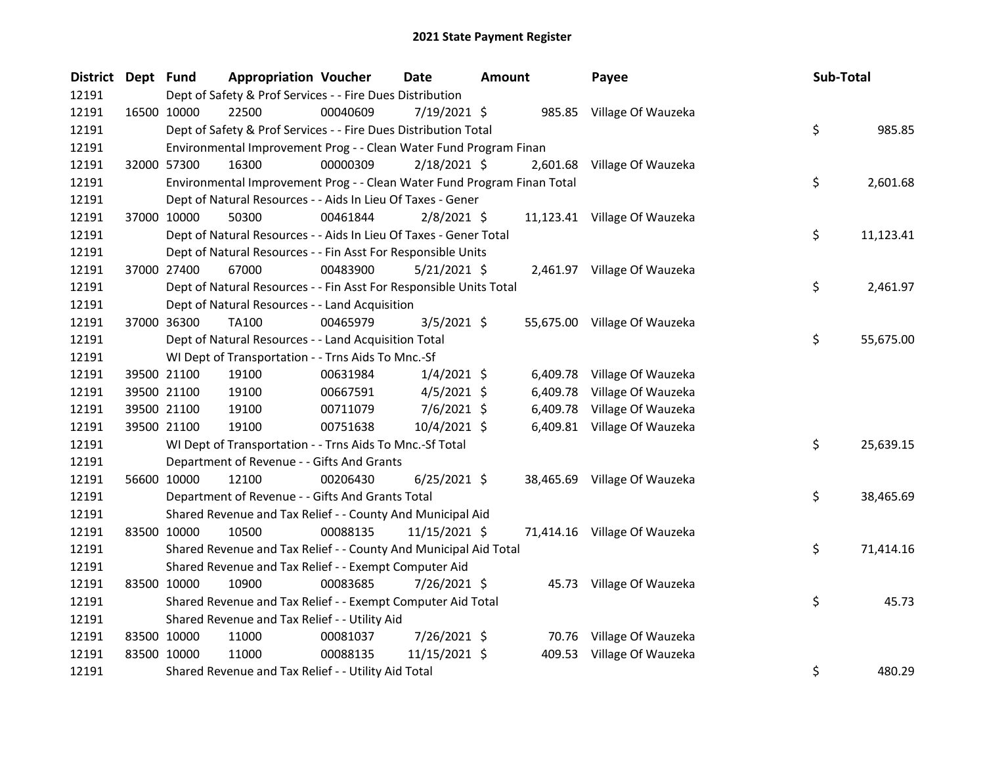| District Dept Fund |             | <b>Appropriation Voucher</b>                                            |          | <b>Date</b>    | <b>Amount</b> |        | Payee                        | Sub-Total       |
|--------------------|-------------|-------------------------------------------------------------------------|----------|----------------|---------------|--------|------------------------------|-----------------|
| 12191              |             | Dept of Safety & Prof Services - - Fire Dues Distribution               |          |                |               |        |                              |                 |
| 12191              |             | 16500 10000<br>22500                                                    | 00040609 | 7/19/2021 \$   |               |        | 985.85 Village Of Wauzeka    |                 |
| 12191              |             | Dept of Safety & Prof Services - - Fire Dues Distribution Total         |          |                |               |        |                              | \$<br>985.85    |
| 12191              |             | Environmental Improvement Prog - - Clean Water Fund Program Finan       |          |                |               |        |                              |                 |
| 12191              |             | 16300<br>32000 57300                                                    | 00000309 | 2/18/2021 \$   |               |        | 2,601.68 Village Of Wauzeka  |                 |
| 12191              |             | Environmental Improvement Prog - - Clean Water Fund Program Finan Total |          |                |               |        |                              | \$<br>2,601.68  |
| 12191              |             | Dept of Natural Resources - - Aids In Lieu Of Taxes - Gener             |          |                |               |        |                              |                 |
| 12191              |             | 37000 10000<br>50300                                                    | 00461844 | $2/8/2021$ \$  |               |        | 11,123.41 Village Of Wauzeka |                 |
| 12191              |             | Dept of Natural Resources - - Aids In Lieu Of Taxes - Gener Total       |          |                |               |        |                              | \$<br>11,123.41 |
| 12191              |             | Dept of Natural Resources - - Fin Asst For Responsible Units            |          |                |               |        |                              |                 |
| 12191              |             | 37000 27400<br>67000                                                    | 00483900 | 5/21/2021 \$   |               |        | 2,461.97 Village Of Wauzeka  |                 |
| 12191              |             | Dept of Natural Resources - - Fin Asst For Responsible Units Total      |          |                |               |        |                              | \$<br>2,461.97  |
| 12191              |             | Dept of Natural Resources - - Land Acquisition                          |          |                |               |        |                              |                 |
| 12191              |             | 37000 36300<br>TA100                                                    | 00465979 | $3/5/2021$ \$  |               |        | 55,675.00 Village Of Wauzeka |                 |
| 12191              |             | Dept of Natural Resources - - Land Acquisition Total                    |          |                |               |        |                              | \$<br>55,675.00 |
| 12191              |             | WI Dept of Transportation - - Trns Aids To Mnc.-Sf                      |          |                |               |        |                              |                 |
| 12191              |             | 39500 21100<br>19100                                                    | 00631984 | $1/4/2021$ \$  |               |        | 6,409.78 Village Of Wauzeka  |                 |
| 12191              |             | 39500 21100<br>19100                                                    | 00667591 | $4/5/2021$ \$  |               |        | 6,409.78 Village Of Wauzeka  |                 |
| 12191              |             | 39500 21100<br>19100                                                    | 00711079 | $7/6/2021$ \$  |               |        | 6,409.78 Village Of Wauzeka  |                 |
| 12191              |             | 39500 21100<br>19100                                                    | 00751638 | $10/4/2021$ \$ |               |        | 6,409.81 Village Of Wauzeka  |                 |
| 12191              |             | WI Dept of Transportation - - Trns Aids To Mnc.-Sf Total                |          |                |               |        |                              | \$<br>25,639.15 |
| 12191              |             | Department of Revenue - - Gifts And Grants                              |          |                |               |        |                              |                 |
| 12191              |             | 56600 10000<br>12100                                                    | 00206430 | $6/25/2021$ \$ |               |        | 38,465.69 Village Of Wauzeka |                 |
| 12191              |             | Department of Revenue - - Gifts And Grants Total                        |          |                |               |        |                              | \$<br>38,465.69 |
| 12191              |             | Shared Revenue and Tax Relief - - County And Municipal Aid              |          |                |               |        |                              |                 |
| 12191              | 83500 10000 | 10500                                                                   | 00088135 | 11/15/2021 \$  |               |        | 71,414.16 Village Of Wauzeka |                 |
| 12191              |             | Shared Revenue and Tax Relief - - County And Municipal Aid Total        |          |                |               |        |                              | \$<br>71,414.16 |
| 12191              |             | Shared Revenue and Tax Relief - - Exempt Computer Aid                   |          |                |               |        |                              |                 |
| 12191              | 83500 10000 | 10900                                                                   | 00083685 | 7/26/2021 \$   |               |        | 45.73 Village Of Wauzeka     |                 |
| 12191              |             | Shared Revenue and Tax Relief - - Exempt Computer Aid Total             |          |                |               |        |                              | \$<br>45.73     |
| 12191              |             | Shared Revenue and Tax Relief - - Utility Aid                           |          |                |               |        |                              |                 |
| 12191              |             | 83500 10000<br>11000                                                    | 00081037 | 7/26/2021 \$   |               |        | 70.76 Village Of Wauzeka     |                 |
| 12191              | 83500 10000 | 11000                                                                   | 00088135 | 11/15/2021 \$  |               | 409.53 | Village Of Wauzeka           |                 |
| 12191              |             | Shared Revenue and Tax Relief - - Utility Aid Total                     |          |                |               |        |                              | \$<br>480.29    |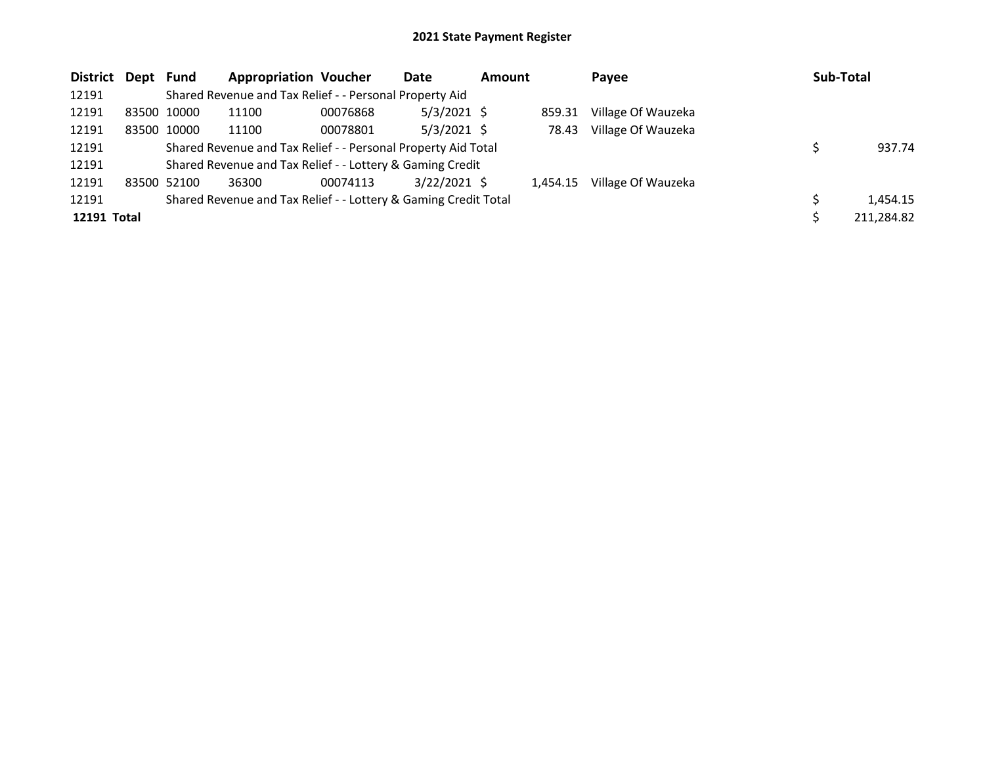| District Dept Fund |             | <b>Appropriation Voucher</b>                                    |          | Date           | Amount |          | Payee              | Sub-Total  |
|--------------------|-------------|-----------------------------------------------------------------|----------|----------------|--------|----------|--------------------|------------|
| 12191              |             | Shared Revenue and Tax Relief - - Personal Property Aid         |          |                |        |          |                    |            |
| 12191              | 83500 10000 | 11100                                                           | 00076868 | $5/3/2021$ \$  |        | 859.31   | Village Of Wauzeka |            |
| 12191              | 83500 10000 | 11100                                                           | 00078801 | $5/3/2021$ \$  |        | 78.43    | Village Of Wauzeka |            |
| 12191              |             | Shared Revenue and Tax Relief - - Personal Property Aid Total   |          |                |        |          |                    | 937.74     |
| 12191              |             | Shared Revenue and Tax Relief - - Lottery & Gaming Credit       |          |                |        |          |                    |            |
| 12191              | 83500 52100 | 36300                                                           | 00074113 | $3/22/2021$ \$ |        | 1.454.15 | Village Of Wauzeka |            |
| 12191              |             | Shared Revenue and Tax Relief - - Lottery & Gaming Credit Total |          |                |        |          |                    | 1,454.15   |
| 12191 Total        |             |                                                                 |          |                |        |          |                    | 211,284.82 |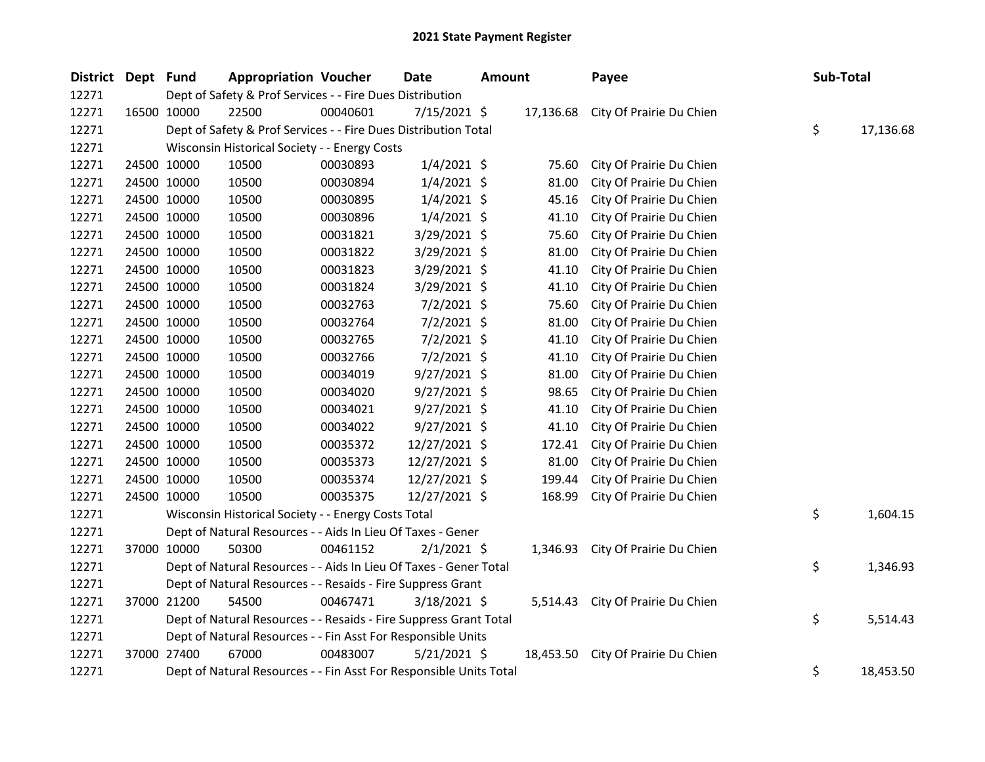| District Dept Fund |             | <b>Appropriation Voucher</b>                                       |          | <b>Date</b>    | <b>Amount</b> |        | Payee                              | Sub-Total       |
|--------------------|-------------|--------------------------------------------------------------------|----------|----------------|---------------|--------|------------------------------------|-----------------|
| 12271              |             | Dept of Safety & Prof Services - - Fire Dues Distribution          |          |                |               |        |                                    |                 |
| 12271              | 16500 10000 | 22500                                                              | 00040601 | $7/15/2021$ \$ |               |        | 17,136.68 City Of Prairie Du Chien |                 |
| 12271              |             | Dept of Safety & Prof Services - - Fire Dues Distribution Total    |          |                |               |        |                                    | \$<br>17,136.68 |
| 12271              |             | Wisconsin Historical Society - - Energy Costs                      |          |                |               |        |                                    |                 |
| 12271              | 24500 10000 | 10500                                                              | 00030893 | $1/4/2021$ \$  |               | 75.60  | City Of Prairie Du Chien           |                 |
| 12271              | 24500 10000 | 10500                                                              | 00030894 | $1/4/2021$ \$  |               | 81.00  | City Of Prairie Du Chien           |                 |
| 12271              | 24500 10000 | 10500                                                              | 00030895 | $1/4/2021$ \$  |               | 45.16  | City Of Prairie Du Chien           |                 |
| 12271              | 24500 10000 | 10500                                                              | 00030896 | $1/4/2021$ \$  |               | 41.10  | City Of Prairie Du Chien           |                 |
| 12271              | 24500 10000 | 10500                                                              | 00031821 | 3/29/2021 \$   |               | 75.60  | City Of Prairie Du Chien           |                 |
| 12271              | 24500 10000 | 10500                                                              | 00031822 | 3/29/2021 \$   |               | 81.00  | City Of Prairie Du Chien           |                 |
| 12271              | 24500 10000 | 10500                                                              | 00031823 | 3/29/2021 \$   |               | 41.10  | City Of Prairie Du Chien           |                 |
| 12271              | 24500 10000 | 10500                                                              | 00031824 | 3/29/2021 \$   |               | 41.10  | City Of Prairie Du Chien           |                 |
| 12271              | 24500 10000 | 10500                                                              | 00032763 | $7/2/2021$ \$  |               | 75.60  | City Of Prairie Du Chien           |                 |
| 12271              | 24500 10000 | 10500                                                              | 00032764 | $7/2/2021$ \$  |               | 81.00  | City Of Prairie Du Chien           |                 |
| 12271              | 24500 10000 | 10500                                                              | 00032765 | $7/2/2021$ \$  |               | 41.10  | City Of Prairie Du Chien           |                 |
| 12271              | 24500 10000 | 10500                                                              | 00032766 | $7/2/2021$ \$  |               | 41.10  | City Of Prairie Du Chien           |                 |
| 12271              | 24500 10000 | 10500                                                              | 00034019 | $9/27/2021$ \$ |               | 81.00  | City Of Prairie Du Chien           |                 |
| 12271              | 24500 10000 | 10500                                                              | 00034020 | $9/27/2021$ \$ |               | 98.65  | City Of Prairie Du Chien           |                 |
| 12271              | 24500 10000 | 10500                                                              | 00034021 | $9/27/2021$ \$ |               | 41.10  | City Of Prairie Du Chien           |                 |
| 12271              | 24500 10000 | 10500                                                              | 00034022 | $9/27/2021$ \$ |               | 41.10  | City Of Prairie Du Chien           |                 |
| 12271              | 24500 10000 | 10500                                                              | 00035372 | 12/27/2021 \$  |               | 172.41 | City Of Prairie Du Chien           |                 |
| 12271              | 24500 10000 | 10500                                                              | 00035373 | 12/27/2021 \$  |               | 81.00  | City Of Prairie Du Chien           |                 |
| 12271              | 24500 10000 | 10500                                                              | 00035374 | 12/27/2021 \$  |               | 199.44 | City Of Prairie Du Chien           |                 |
| 12271              | 24500 10000 | 10500                                                              | 00035375 | 12/27/2021 \$  |               | 168.99 | City Of Prairie Du Chien           |                 |
| 12271              |             | Wisconsin Historical Society - - Energy Costs Total                |          |                |               |        |                                    | \$<br>1,604.15  |
| 12271              |             | Dept of Natural Resources - - Aids In Lieu Of Taxes - Gener        |          |                |               |        |                                    |                 |
| 12271              | 37000 10000 | 50300                                                              | 00461152 | $2/1/2021$ \$  |               |        | 1,346.93 City Of Prairie Du Chien  |                 |
| 12271              |             | Dept of Natural Resources - - Aids In Lieu Of Taxes - Gener Total  |          |                |               |        |                                    | \$<br>1,346.93  |
| 12271              |             | Dept of Natural Resources - - Resaids - Fire Suppress Grant        |          |                |               |        |                                    |                 |
| 12271              | 37000 21200 | 54500                                                              | 00467471 | $3/18/2021$ \$ |               |        | 5,514.43 City Of Prairie Du Chien  |                 |
| 12271              |             | Dept of Natural Resources - - Resaids - Fire Suppress Grant Total  |          |                |               |        |                                    | \$<br>5,514.43  |
| 12271              |             | Dept of Natural Resources - - Fin Asst For Responsible Units       |          |                |               |        |                                    |                 |
| 12271              | 37000 27400 | 67000                                                              | 00483007 | $5/21/2021$ \$ |               |        | 18,453.50 City Of Prairie Du Chien |                 |
| 12271              |             | Dept of Natural Resources - - Fin Asst For Responsible Units Total |          |                |               |        |                                    | \$<br>18,453.50 |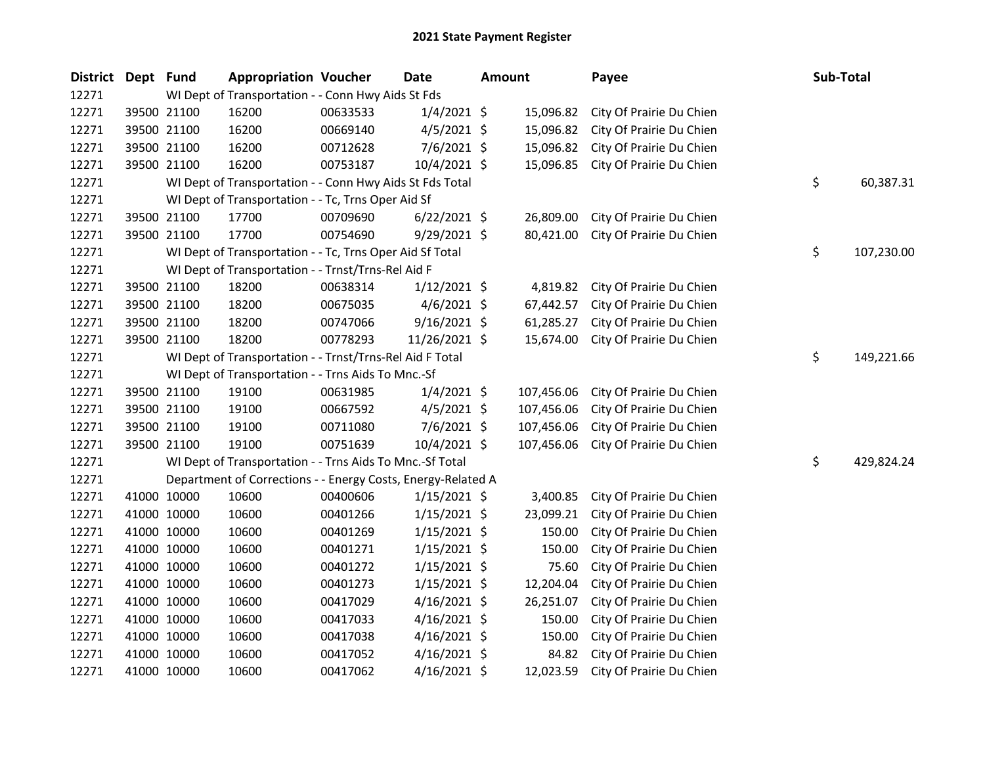| <b>District</b> | Dept Fund |                                                    | <b>Appropriation Voucher</b>                                 |          | Date           | <b>Amount</b> |            | Payee                    |  | Sub-Total |            |
|-----------------|-----------|----------------------------------------------------|--------------------------------------------------------------|----------|----------------|---------------|------------|--------------------------|--|-----------|------------|
| 12271           |           | WI Dept of Transportation - - Conn Hwy Aids St Fds |                                                              |          |                |               |            |                          |  |           |            |
| 12271           |           | 39500 21100                                        | 16200                                                        | 00633533 | $1/4/2021$ \$  |               | 15,096.82  | City Of Prairie Du Chien |  |           |            |
| 12271           |           | 39500 21100                                        | 16200                                                        | 00669140 | $4/5/2021$ \$  |               | 15,096.82  | City Of Prairie Du Chien |  |           |            |
| 12271           |           | 39500 21100                                        | 16200                                                        | 00712628 | 7/6/2021 \$    |               | 15,096.82  | City Of Prairie Du Chien |  |           |            |
| 12271           |           | 39500 21100                                        | 16200                                                        | 00753187 | 10/4/2021 \$   |               | 15,096.85  | City Of Prairie Du Chien |  |           |            |
| 12271           |           |                                                    | WI Dept of Transportation - - Conn Hwy Aids St Fds Total     |          |                |               |            |                          |  | \$        | 60,387.31  |
| 12271           |           |                                                    | WI Dept of Transportation - - Tc, Trns Oper Aid Sf           |          |                |               |            |                          |  |           |            |
| 12271           |           | 39500 21100                                        | 17700                                                        | 00709690 | $6/22/2021$ \$ |               | 26,809.00  | City Of Prairie Du Chien |  |           |            |
| 12271           |           | 39500 21100                                        | 17700                                                        | 00754690 | $9/29/2021$ \$ |               | 80,421.00  | City Of Prairie Du Chien |  |           |            |
| 12271           |           |                                                    | WI Dept of Transportation - - Tc, Trns Oper Aid Sf Total     |          |                |               |            |                          |  | \$        | 107,230.00 |
| 12271           |           |                                                    | WI Dept of Transportation - - Trnst/Trns-Rel Aid F           |          |                |               |            |                          |  |           |            |
| 12271           |           | 39500 21100                                        | 18200                                                        | 00638314 | $1/12/2021$ \$ |               | 4,819.82   | City Of Prairie Du Chien |  |           |            |
| 12271           |           | 39500 21100                                        | 18200                                                        | 00675035 | $4/6/2021$ \$  |               | 67,442.57  | City Of Prairie Du Chien |  |           |            |
| 12271           |           | 39500 21100                                        | 18200                                                        | 00747066 | $9/16/2021$ \$ |               | 61,285.27  | City Of Prairie Du Chien |  |           |            |
| 12271           |           | 39500 21100                                        | 18200                                                        | 00778293 | 11/26/2021 \$  |               | 15,674.00  | City Of Prairie Du Chien |  |           |            |
| 12271           |           |                                                    | WI Dept of Transportation - - Trnst/Trns-Rel Aid F Total     |          |                |               |            |                          |  | \$        | 149,221.66 |
| 12271           |           |                                                    | WI Dept of Transportation - - Trns Aids To Mnc.-Sf           |          |                |               |            |                          |  |           |            |
| 12271           |           | 39500 21100                                        | 19100                                                        | 00631985 | $1/4/2021$ \$  |               | 107,456.06 | City Of Prairie Du Chien |  |           |            |
| 12271           |           | 39500 21100                                        | 19100                                                        | 00667592 | $4/5/2021$ \$  |               | 107,456.06 | City Of Prairie Du Chien |  |           |            |
| 12271           |           | 39500 21100                                        | 19100                                                        | 00711080 | $7/6/2021$ \$  |               | 107,456.06 | City Of Prairie Du Chien |  |           |            |
| 12271           |           | 39500 21100                                        | 19100                                                        | 00751639 | 10/4/2021 \$   |               | 107,456.06 | City Of Prairie Du Chien |  |           |            |
| 12271           |           |                                                    | WI Dept of Transportation - - Trns Aids To Mnc.-Sf Total     |          |                |               |            |                          |  | \$        | 429,824.24 |
| 12271           |           |                                                    | Department of Corrections - - Energy Costs, Energy-Related A |          |                |               |            |                          |  |           |            |
| 12271           |           | 41000 10000                                        | 10600                                                        | 00400606 | 1/15/2021 \$   |               | 3,400.85   | City Of Prairie Du Chien |  |           |            |
| 12271           |           | 41000 10000                                        | 10600                                                        | 00401266 | $1/15/2021$ \$ |               | 23,099.21  | City Of Prairie Du Chien |  |           |            |
| 12271           |           | 41000 10000                                        | 10600                                                        | 00401269 | $1/15/2021$ \$ |               | 150.00     | City Of Prairie Du Chien |  |           |            |
| 12271           |           | 41000 10000                                        | 10600                                                        | 00401271 | $1/15/2021$ \$ |               | 150.00     | City Of Prairie Du Chien |  |           |            |
| 12271           |           | 41000 10000                                        | 10600                                                        | 00401272 | $1/15/2021$ \$ |               | 75.60      | City Of Prairie Du Chien |  |           |            |
| 12271           |           | 41000 10000                                        | 10600                                                        | 00401273 | $1/15/2021$ \$ |               | 12,204.04  | City Of Prairie Du Chien |  |           |            |
| 12271           |           | 41000 10000                                        | 10600                                                        | 00417029 | $4/16/2021$ \$ |               | 26,251.07  | City Of Prairie Du Chien |  |           |            |
| 12271           |           | 41000 10000                                        | 10600                                                        | 00417033 | $4/16/2021$ \$ |               | 150.00     | City Of Prairie Du Chien |  |           |            |
| 12271           |           | 41000 10000                                        | 10600                                                        | 00417038 | $4/16/2021$ \$ |               | 150.00     | City Of Prairie Du Chien |  |           |            |
| 12271           |           | 41000 10000                                        | 10600                                                        | 00417052 | $4/16/2021$ \$ |               | 84.82      | City Of Prairie Du Chien |  |           |            |
| 12271           |           | 41000 10000                                        | 10600                                                        | 00417062 | $4/16/2021$ \$ |               | 12,023.59  | City Of Prairie Du Chien |  |           |            |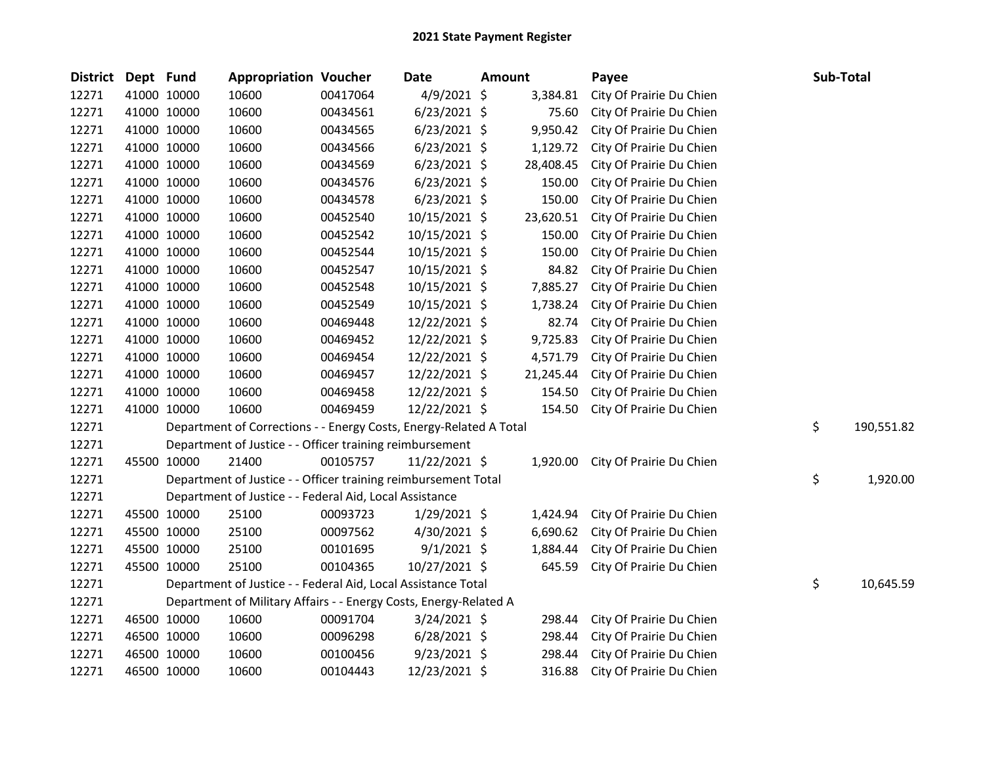| <b>District</b> | Dept Fund   |                                                                   | <b>Appropriation Voucher</b>                                       |          | Date           | Amount |           | Payee                    |    | Sub-Total  |
|-----------------|-------------|-------------------------------------------------------------------|--------------------------------------------------------------------|----------|----------------|--------|-----------|--------------------------|----|------------|
| 12271           |             | 41000 10000                                                       | 10600                                                              | 00417064 | $4/9/2021$ \$  |        | 3,384.81  | City Of Prairie Du Chien |    |            |
| 12271           |             | 41000 10000                                                       | 10600                                                              | 00434561 | $6/23/2021$ \$ |        | 75.60     | City Of Prairie Du Chien |    |            |
| 12271           |             | 41000 10000                                                       | 10600                                                              | 00434565 | $6/23/2021$ \$ |        | 9,950.42  | City Of Prairie Du Chien |    |            |
| 12271           | 41000 10000 |                                                                   | 10600                                                              | 00434566 | $6/23/2021$ \$ |        | 1,129.72  | City Of Prairie Du Chien |    |            |
| 12271           |             | 41000 10000                                                       | 10600                                                              | 00434569 | $6/23/2021$ \$ |        | 28,408.45 | City Of Prairie Du Chien |    |            |
| 12271           |             | 41000 10000                                                       | 10600                                                              | 00434576 | $6/23/2021$ \$ |        | 150.00    | City Of Prairie Du Chien |    |            |
| 12271           |             | 41000 10000                                                       | 10600                                                              | 00434578 | $6/23/2021$ \$ |        | 150.00    | City Of Prairie Du Chien |    |            |
| 12271           |             | 41000 10000                                                       | 10600                                                              | 00452540 | 10/15/2021 \$  |        | 23,620.51 | City Of Prairie Du Chien |    |            |
| 12271           |             | 41000 10000                                                       | 10600                                                              | 00452542 | 10/15/2021 \$  |        | 150.00    | City Of Prairie Du Chien |    |            |
| 12271           |             | 41000 10000                                                       | 10600                                                              | 00452544 | 10/15/2021 \$  |        | 150.00    | City Of Prairie Du Chien |    |            |
| 12271           |             | 41000 10000                                                       | 10600                                                              | 00452547 | 10/15/2021 \$  |        | 84.82     | City Of Prairie Du Chien |    |            |
| 12271           | 41000 10000 |                                                                   | 10600                                                              | 00452548 | 10/15/2021 \$  |        | 7,885.27  | City Of Prairie Du Chien |    |            |
| 12271           |             | 41000 10000                                                       | 10600                                                              | 00452549 | 10/15/2021 \$  |        | 1,738.24  | City Of Prairie Du Chien |    |            |
| 12271           |             | 41000 10000                                                       | 10600                                                              | 00469448 | 12/22/2021 \$  |        | 82.74     | City Of Prairie Du Chien |    |            |
| 12271           |             | 41000 10000                                                       | 10600                                                              | 00469452 | 12/22/2021 \$  |        | 9,725.83  | City Of Prairie Du Chien |    |            |
| 12271           |             | 41000 10000                                                       | 10600                                                              | 00469454 | 12/22/2021 \$  |        | 4,571.79  | City Of Prairie Du Chien |    |            |
| 12271           |             | 41000 10000                                                       | 10600                                                              | 00469457 | 12/22/2021 \$  |        | 21,245.44 | City Of Prairie Du Chien |    |            |
| 12271           | 41000 10000 |                                                                   | 10600                                                              | 00469458 | 12/22/2021 \$  |        | 154.50    | City Of Prairie Du Chien |    |            |
| 12271           |             | 41000 10000                                                       | 10600                                                              | 00469459 | 12/22/2021 \$  |        | 154.50    | City Of Prairie Du Chien |    |            |
| 12271           |             |                                                                   | Department of Corrections - - Energy Costs, Energy-Related A Total |          |                |        |           |                          | \$ | 190,551.82 |
| 12271           |             |                                                                   | Department of Justice - - Officer training reimbursement           |          |                |        |           |                          |    |            |
| 12271           |             | 45500 10000                                                       | 21400                                                              | 00105757 | 11/22/2021 \$  |        | 1,920.00  | City Of Prairie Du Chien |    |            |
| 12271           |             |                                                                   | Department of Justice - - Officer training reimbursement Total     |          |                |        |           |                          | \$ | 1,920.00   |
| 12271           |             |                                                                   | Department of Justice - - Federal Aid, Local Assistance            |          |                |        |           |                          |    |            |
| 12271           |             | 45500 10000                                                       | 25100                                                              | 00093723 | $1/29/2021$ \$ |        | 1,424.94  | City Of Prairie Du Chien |    |            |
| 12271           | 45500 10000 |                                                                   | 25100                                                              | 00097562 | $4/30/2021$ \$ |        | 6,690.62  | City Of Prairie Du Chien |    |            |
| 12271           | 45500 10000 |                                                                   | 25100                                                              | 00101695 | $9/1/2021$ \$  |        | 1,884.44  | City Of Prairie Du Chien |    |            |
| 12271           |             | 45500 10000                                                       | 25100                                                              | 00104365 | 10/27/2021 \$  |        | 645.59    | City Of Prairie Du Chien |    |            |
| 12271           |             |                                                                   | Department of Justice - - Federal Aid, Local Assistance Total      |          |                |        |           |                          | \$ | 10,645.59  |
| 12271           |             | Department of Military Affairs - - Energy Costs, Energy-Related A |                                                                    |          |                |        |           |                          |    |            |
| 12271           |             | 46500 10000                                                       | 10600                                                              | 00091704 | $3/24/2021$ \$ |        | 298.44    | City Of Prairie Du Chien |    |            |
| 12271           |             | 46500 10000                                                       | 10600                                                              | 00096298 | $6/28/2021$ \$ |        | 298.44    | City Of Prairie Du Chien |    |            |
| 12271           |             | 46500 10000                                                       | 10600                                                              | 00100456 | $9/23/2021$ \$ |        | 298.44    | City Of Prairie Du Chien |    |            |
| 12271           | 46500 10000 |                                                                   | 10600                                                              | 00104443 | 12/23/2021 \$  |        | 316.88    | City Of Prairie Du Chien |    |            |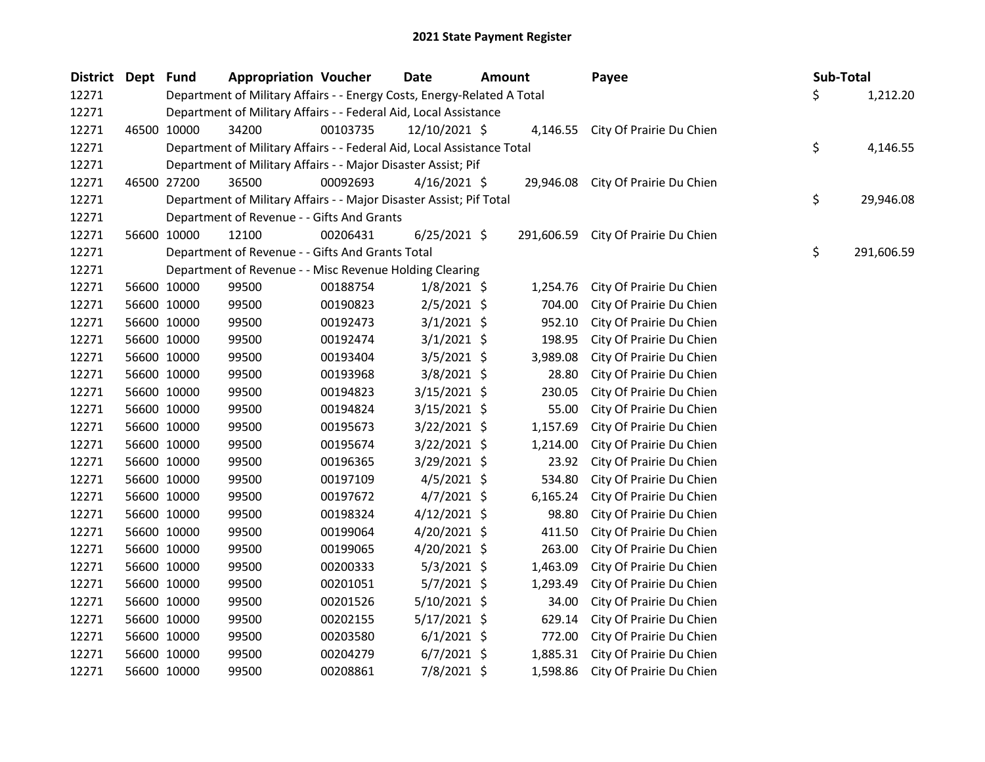| <b>District</b> | Dept Fund |                                                                  | <b>Appropriation Voucher</b>                                            |          | Date<br><b>Amount</b> |  | Payee      | Sub-Total                          |                  |
|-----------------|-----------|------------------------------------------------------------------|-------------------------------------------------------------------------|----------|-----------------------|--|------------|------------------------------------|------------------|
| 12271           |           |                                                                  | Department of Military Affairs - - Energy Costs, Energy-Related A Total |          |                       |  |            |                                    | \$<br>1,212.20   |
| 12271           |           | Department of Military Affairs - - Federal Aid, Local Assistance |                                                                         |          |                       |  |            |                                    |                  |
| 12271           |           | 46500 10000                                                      | 34200                                                                   | 00103735 | 12/10/2021 \$         |  |            | 4,146.55 City Of Prairie Du Chien  |                  |
| 12271           |           |                                                                  | Department of Military Affairs - - Federal Aid, Local Assistance Total  |          |                       |  |            |                                    | \$<br>4,146.55   |
| 12271           |           |                                                                  | Department of Military Affairs - - Major Disaster Assist; Pif           |          |                       |  |            |                                    |                  |
| 12271           |           | 46500 27200                                                      | 36500                                                                   | 00092693 | $4/16/2021$ \$        |  |            | 29,946.08 City Of Prairie Du Chien |                  |
| 12271           |           |                                                                  | Department of Military Affairs - - Major Disaster Assist; Pif Total     |          |                       |  |            |                                    | \$<br>29,946.08  |
| 12271           |           |                                                                  | Department of Revenue - - Gifts And Grants                              |          |                       |  |            |                                    |                  |
| 12271           |           | 56600 10000                                                      | 12100                                                                   | 00206431 | $6/25/2021$ \$        |  | 291,606.59 | City Of Prairie Du Chien           |                  |
| 12271           |           |                                                                  | Department of Revenue - - Gifts And Grants Total                        |          |                       |  |            |                                    | \$<br>291,606.59 |
| 12271           |           |                                                                  | Department of Revenue - - Misc Revenue Holding Clearing                 |          |                       |  |            |                                    |                  |
| 12271           |           | 56600 10000                                                      | 99500                                                                   | 00188754 | $1/8/2021$ \$         |  | 1,254.76   | City Of Prairie Du Chien           |                  |
| 12271           |           | 56600 10000                                                      | 99500                                                                   | 00190823 | $2/5/2021$ \$         |  | 704.00     | City Of Prairie Du Chien           |                  |
| 12271           |           | 56600 10000                                                      | 99500                                                                   | 00192473 | $3/1/2021$ \$         |  | 952.10     | City Of Prairie Du Chien           |                  |
| 12271           |           | 56600 10000                                                      | 99500                                                                   | 00192474 | $3/1/2021$ \$         |  | 198.95     | City Of Prairie Du Chien           |                  |
| 12271           |           | 56600 10000                                                      | 99500                                                                   | 00193404 | $3/5/2021$ \$         |  | 3,989.08   | City Of Prairie Du Chien           |                  |
| 12271           |           | 56600 10000                                                      | 99500                                                                   | 00193968 | $3/8/2021$ \$         |  | 28.80      | City Of Prairie Du Chien           |                  |
| 12271           |           | 56600 10000                                                      | 99500                                                                   | 00194823 | $3/15/2021$ \$        |  | 230.05     | City Of Prairie Du Chien           |                  |
| 12271           |           | 56600 10000                                                      | 99500                                                                   | 00194824 | $3/15/2021$ \$        |  | 55.00      | City Of Prairie Du Chien           |                  |
| 12271           |           | 56600 10000                                                      | 99500                                                                   | 00195673 | $3/22/2021$ \$        |  | 1,157.69   | City Of Prairie Du Chien           |                  |
| 12271           |           | 56600 10000                                                      | 99500                                                                   | 00195674 | $3/22/2021$ \$        |  | 1,214.00   | City Of Prairie Du Chien           |                  |
| 12271           |           | 56600 10000                                                      | 99500                                                                   | 00196365 | $3/29/2021$ \$        |  | 23.92      | City Of Prairie Du Chien           |                  |
| 12271           |           | 56600 10000                                                      | 99500                                                                   | 00197109 | $4/5/2021$ \$         |  | 534.80     | City Of Prairie Du Chien           |                  |
| 12271           |           | 56600 10000                                                      | 99500                                                                   | 00197672 | $4/7/2021$ \$         |  | 6,165.24   | City Of Prairie Du Chien           |                  |
| 12271           |           | 56600 10000                                                      | 99500                                                                   | 00198324 | $4/12/2021$ \$        |  | 98.80      | City Of Prairie Du Chien           |                  |
| 12271           |           | 56600 10000                                                      | 99500                                                                   | 00199064 | $4/20/2021$ \$        |  | 411.50     | City Of Prairie Du Chien           |                  |
| 12271           |           | 56600 10000                                                      | 99500                                                                   | 00199065 | 4/20/2021 \$          |  | 263.00     | City Of Prairie Du Chien           |                  |
| 12271           |           | 56600 10000                                                      | 99500                                                                   | 00200333 | $5/3/2021$ \$         |  | 1,463.09   | City Of Prairie Du Chien           |                  |
| 12271           |           | 56600 10000                                                      | 99500                                                                   | 00201051 | $5/7/2021$ \$         |  | 1,293.49   | City Of Prairie Du Chien           |                  |
| 12271           |           | 56600 10000                                                      | 99500                                                                   | 00201526 | $5/10/2021$ \$        |  | 34.00      | City Of Prairie Du Chien           |                  |
| 12271           |           | 56600 10000                                                      | 99500                                                                   | 00202155 | $5/17/2021$ \$        |  | 629.14     | City Of Prairie Du Chien           |                  |
| 12271           |           | 56600 10000                                                      | 99500                                                                   | 00203580 | $6/1/2021$ \$         |  | 772.00     | City Of Prairie Du Chien           |                  |
| 12271           |           | 56600 10000                                                      | 99500                                                                   | 00204279 | $6/7/2021$ \$         |  | 1,885.31   | City Of Prairie Du Chien           |                  |
| 12271           |           | 56600 10000                                                      | 99500                                                                   | 00208861 | 7/8/2021 \$           |  | 1,598.86   | City Of Prairie Du Chien           |                  |